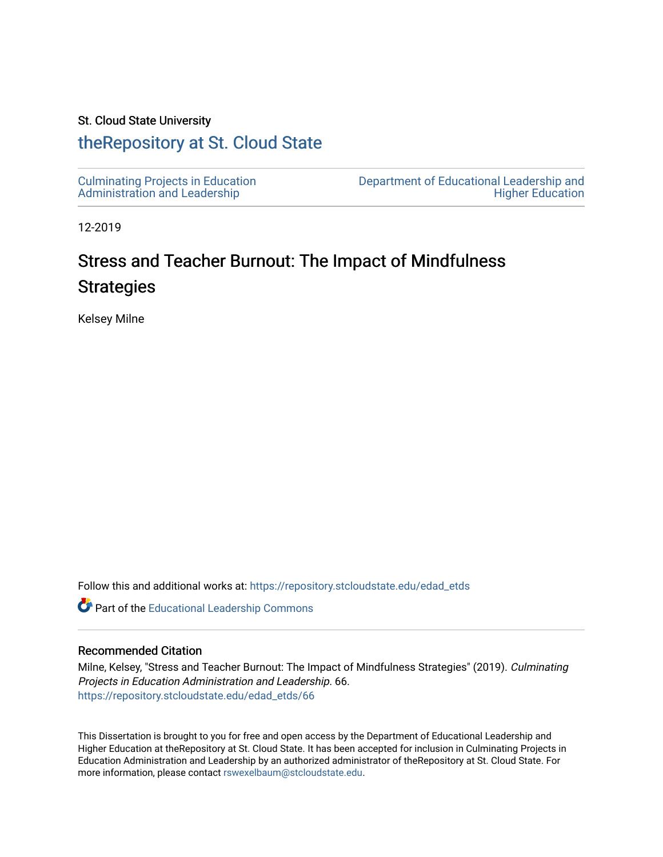## St. Cloud State University

# [theRepository at St. Cloud State](https://repository.stcloudstate.edu/)

12-2019

# Stress and Teacher Burnout: The Impact of Mindfulness **Strategies**

Kelsey Milne

Follow this and additional works at: [https://repository.stcloudstate.edu/edad\\_etds](https://repository.stcloudstate.edu/edad_etds?utm_source=repository.stcloudstate.edu%2Fedad_etds%2F66&utm_medium=PDF&utm_campaign=PDFCoverPages)

Part of the [Educational Leadership Commons](http://network.bepress.com/hgg/discipline/1230?utm_source=repository.stcloudstate.edu%2Fedad_etds%2F66&utm_medium=PDF&utm_campaign=PDFCoverPages) 

## Recommended Citation

Milne, Kelsey, "Stress and Teacher Burnout: The Impact of Mindfulness Strategies" (2019). Culminating Projects in Education Administration and Leadership. 66. [https://repository.stcloudstate.edu/edad\\_etds/66](https://repository.stcloudstate.edu/edad_etds/66?utm_source=repository.stcloudstate.edu%2Fedad_etds%2F66&utm_medium=PDF&utm_campaign=PDFCoverPages) 

This Dissertation is brought to you for free and open access by the Department of Educational Leadership and Higher Education at theRepository at St. Cloud State. It has been accepted for inclusion in Culminating Projects in Education Administration and Leadership by an authorized administrator of theRepository at St. Cloud State. For more information, please contact [rswexelbaum@stcloudstate.edu.](mailto:rswexelbaum@stcloudstate.edu)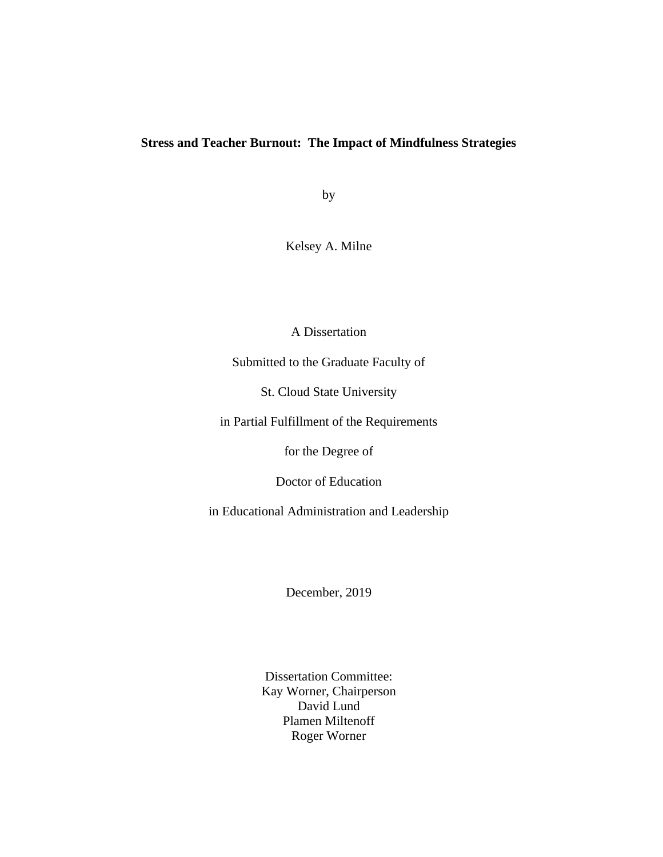## **Stress and Teacher Burnout: The Impact of Mindfulness Strategies**

by

Kelsey A. Milne

A Dissertation

Submitted to the Graduate Faculty of

St. Cloud State University

in Partial Fulfillment of the Requirements

for the Degree of

Doctor of Education

in Educational Administration and Leadership

December, 2019

Dissertation Committee: Kay Worner, Chairperson David Lund Plamen Miltenoff Roger Worner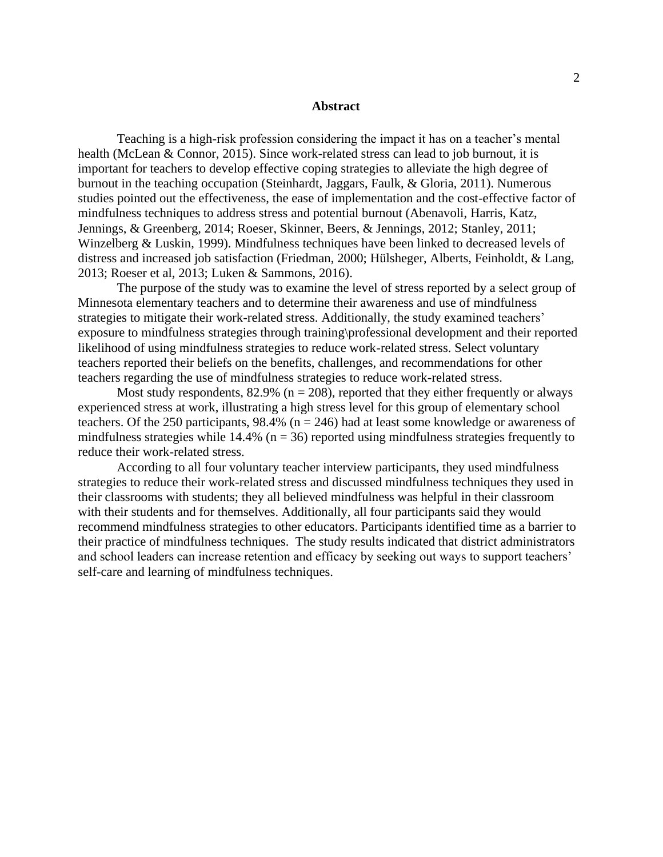#### **Abstract**

Teaching is a high-risk profession considering the impact it has on a teacher's mental health (McLean & Connor, 2015). Since work-related stress can lead to job burnout, it is important for teachers to develop effective coping strategies to alleviate the high degree of burnout in the teaching occupation (Steinhardt, Jaggars, Faulk, & Gloria, 2011). Numerous studies pointed out the effectiveness, the ease of implementation and the cost-effective factor of mindfulness techniques to address stress and potential burnout (Abenavoli, Harris, Katz, Jennings, & Greenberg, 2014; Roeser, Skinner, Beers, & Jennings, 2012; Stanley, 2011; Winzelberg & Luskin, 1999). Mindfulness techniques have been linked to decreased levels of distress and increased job satisfaction (Friedman, 2000; Hülsheger, Alberts, Feinholdt, & Lang, 2013; Roeser et al, 2013; Luken & Sammons, 2016).

The purpose of the study was to examine the level of stress reported by a select group of Minnesota elementary teachers and to determine their awareness and use of mindfulness strategies to mitigate their work-related stress. Additionally, the study examined teachers' exposure to mindfulness strategies through training\professional development and their reported likelihood of using mindfulness strategies to reduce work-related stress. Select voluntary teachers reported their beliefs on the benefits, challenges, and recommendations for other teachers regarding the use of mindfulness strategies to reduce work-related stress.

Most study respondents, 82.9% ( $n = 208$ ), reported that they either frequently or always experienced stress at work, illustrating a high stress level for this group of elementary school teachers. Of the 250 participants, 98.4% ( $n = 246$ ) had at least some knowledge or awareness of mindfulness strategies while  $14.4\%$  (n = 36) reported using mindfulness strategies frequently to reduce their work-related stress.

According to all four voluntary teacher interview participants, they used mindfulness strategies to reduce their work-related stress and discussed mindfulness techniques they used in their classrooms with students; they all believed mindfulness was helpful in their classroom with their students and for themselves. Additionally, all four participants said they would recommend mindfulness strategies to other educators. Participants identified time as a barrier to their practice of mindfulness techniques. The study results indicated that district administrators and school leaders can increase retention and efficacy by seeking out ways to support teachers' self-care and learning of mindfulness techniques.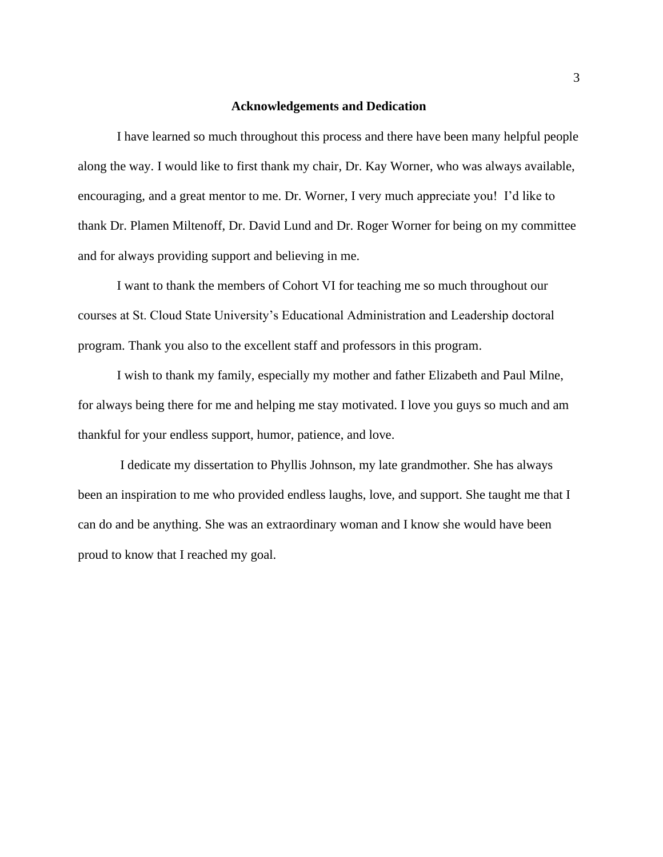## **Acknowledgements and Dedication**

I have learned so much throughout this process and there have been many helpful people along the way. I would like to first thank my chair, Dr. Kay Worner, who was always available, encouraging, and a great mentor to me. Dr. Worner, I very much appreciate you! I'd like to thank Dr. Plamen Miltenoff, Dr. David Lund and Dr. Roger Worner for being on my committee and for always providing support and believing in me.

I want to thank the members of Cohort VI for teaching me so much throughout our courses at St. Cloud State University's Educational Administration and Leadership doctoral program. Thank you also to the excellent staff and professors in this program.

I wish to thank my family, especially my mother and father Elizabeth and Paul Milne, for always being there for me and helping me stay motivated. I love you guys so much and am thankful for your endless support, humor, patience, and love.

I dedicate my dissertation to Phyllis Johnson, my late grandmother. She has always been an inspiration to me who provided endless laughs, love, and support. She taught me that I can do and be anything. She was an extraordinary woman and I know she would have been proud to know that I reached my goal.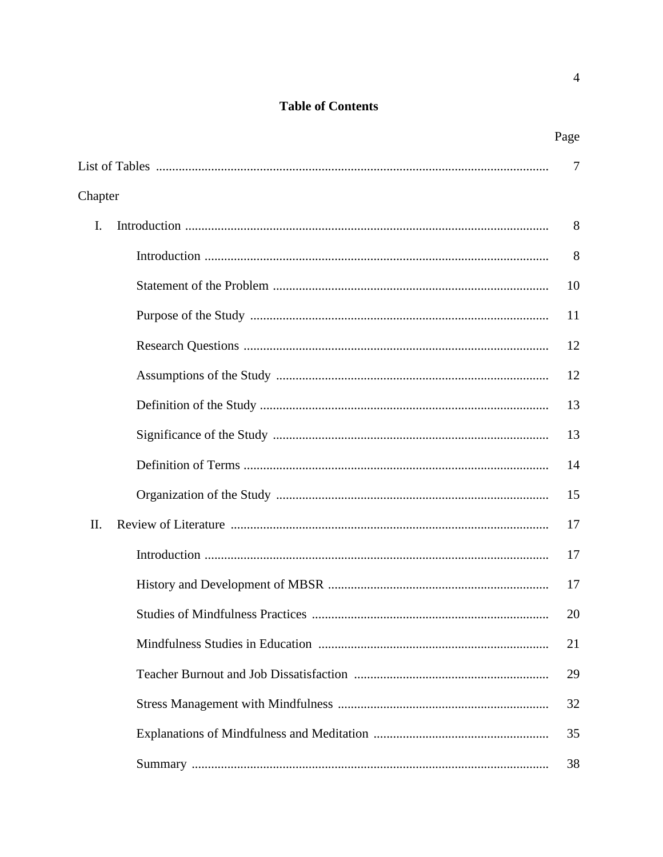## **Table of Contents**

|         | Page |
|---------|------|
|         | 7    |
| Chapter |      |
| I.      | 8    |
|         | 8    |
|         | 10   |
|         | 11   |
|         | 12   |
|         | 12   |
|         | 13   |
|         | 13   |
|         | 14   |
|         | 15   |
| II.     | 17   |
|         | 17   |
|         | 17   |
|         | 20   |
|         | 21   |
|         | 29   |
|         | 32   |
|         | 35   |
|         | 38   |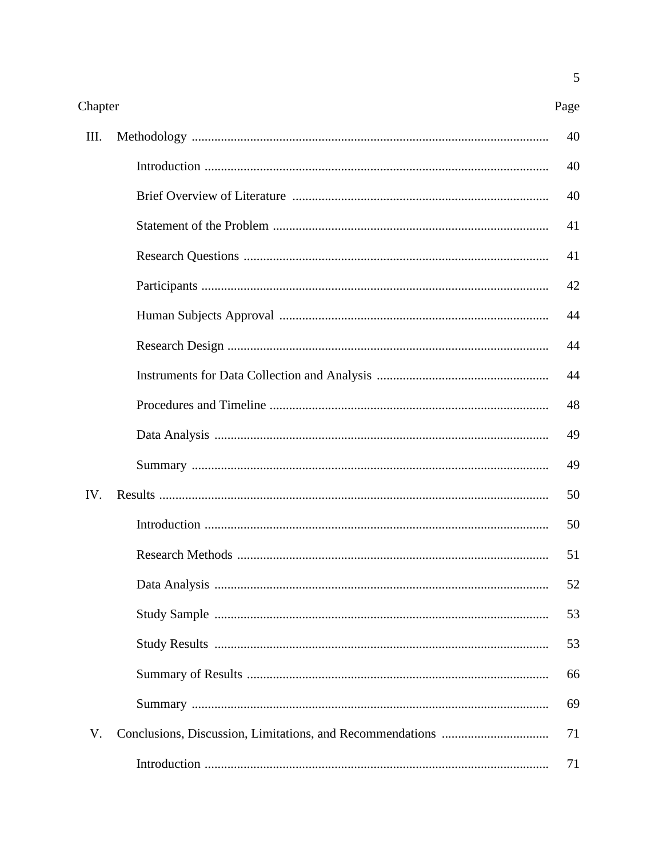| Ш.  | 40 |
|-----|----|
|     | 40 |
|     | 40 |
|     | 41 |
|     | 41 |
|     | 42 |
|     | 44 |
|     | 44 |
|     | 44 |
|     | 48 |
|     | 49 |
|     | 49 |
| IV. | 50 |
|     | 50 |
|     | 51 |
|     | 52 |
|     | 53 |
|     | 53 |
|     | 66 |
|     |    |
|     | 69 |
| V.  | 71 |
|     | 71 |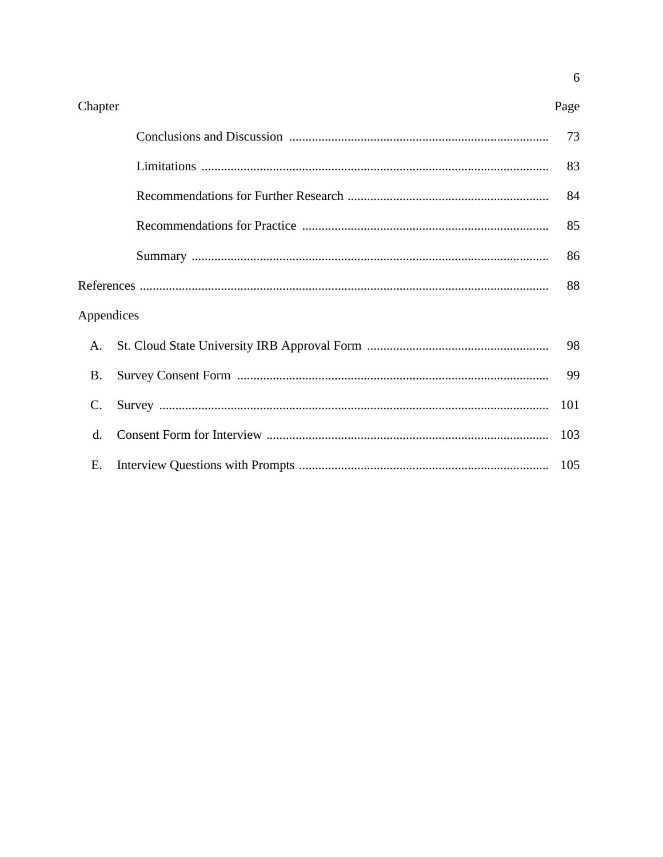| Chapter    | Page |
|------------|------|
|            | 73   |
|            | 83   |
|            | 84   |
|            | 85   |
|            | 86   |
|            | 88   |
| Appendices |      |
| A.         | 98   |
| B.         | 99   |
| C.         | 101  |
| $d$ .      | 103  |
| Ε.         | 105  |

 $\overline{6}$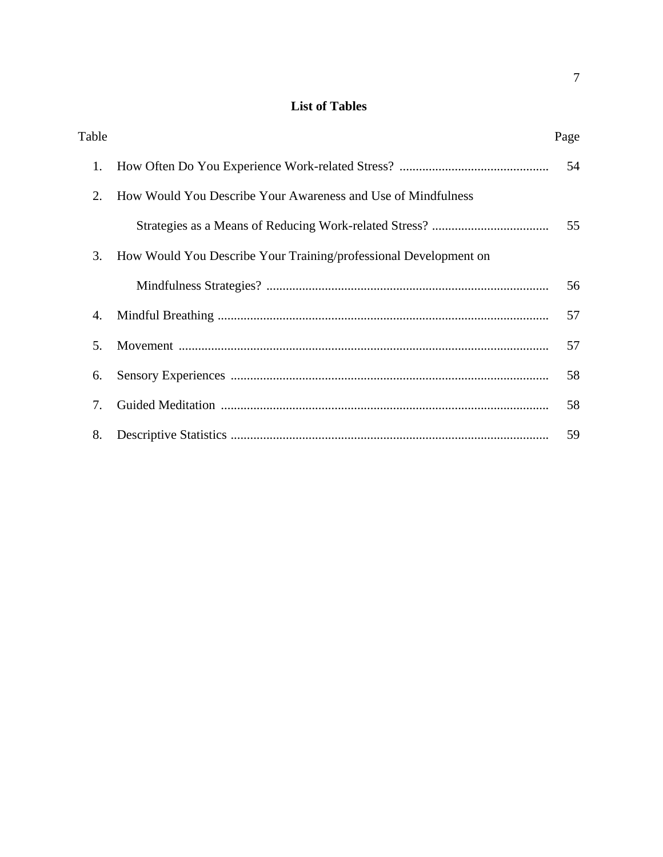## **List of Tables**

| Table |                                                                  | Page |
|-------|------------------------------------------------------------------|------|
| 1.    |                                                                  | 54   |
| 2.    | How Would You Describe Your Awareness and Use of Mindfulness     |      |
|       |                                                                  | 55   |
| 3.    | How Would You Describe Your Training/professional Development on |      |
|       |                                                                  | 56   |
| 4.    |                                                                  | 57   |
| 5.    |                                                                  | 57   |
| 6.    |                                                                  | 58   |
| 7.    |                                                                  | 58   |
| 8.    |                                                                  | 59   |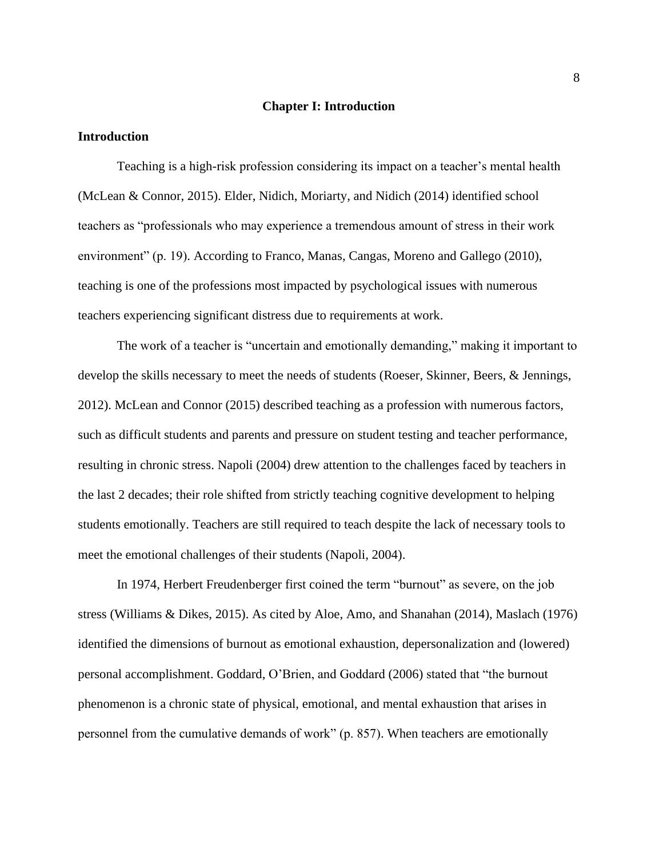#### **Chapter I: Introduction**

## **Introduction**

Teaching is a high-risk profession considering its impact on a teacher's mental health (McLean & Connor, 2015). Elder, Nidich, Moriarty, and Nidich (2014) identified school teachers as "professionals who may experience a tremendous amount of stress in their work environment" (p. 19). According to Franco, Manas, Cangas, Moreno and Gallego (2010), teaching is one of the professions most impacted by psychological issues with numerous teachers experiencing significant distress due to requirements at work.

The work of a teacher is "uncertain and emotionally demanding," making it important to develop the skills necessary to meet the needs of students (Roeser, Skinner, Beers, & Jennings, 2012). McLean and Connor (2015) described teaching as a profession with numerous factors, such as difficult students and parents and pressure on student testing and teacher performance, resulting in chronic stress. Napoli (2004) drew attention to the challenges faced by teachers in the last 2 decades; their role shifted from strictly teaching cognitive development to helping students emotionally. Teachers are still required to teach despite the lack of necessary tools to meet the emotional challenges of their students (Napoli, 2004).

In 1974, Herbert Freudenberger first coined the term "burnout" as severe, on the job stress (Williams & Dikes, 2015). As cited by Aloe, Amo, and Shanahan (2014), Maslach (1976) identified the dimensions of burnout as emotional exhaustion, depersonalization and (lowered) personal accomplishment. Goddard, O'Brien, and Goddard (2006) stated that "the burnout phenomenon is a chronic state of physical, emotional, and mental exhaustion that arises in personnel from the cumulative demands of work" (p. 857). When teachers are emotionally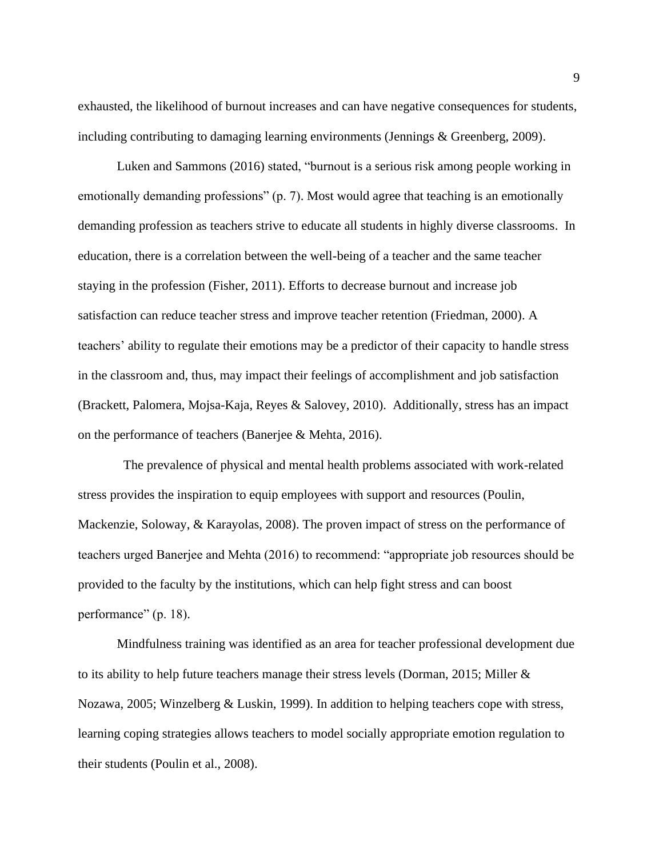exhausted, the likelihood of burnout increases and can have negative consequences for students, including contributing to damaging learning environments (Jennings & Greenberg, 2009).

Luken and Sammons (2016) stated, "burnout is a serious risk among people working in emotionally demanding professions" (p. 7). Most would agree that teaching is an emotionally demanding profession as teachers strive to educate all students in highly diverse classrooms. In education, there is a correlation between the well-being of a teacher and the same teacher staying in the profession (Fisher, 2011). Efforts to decrease burnout and increase job satisfaction can reduce teacher stress and improve teacher retention (Friedman, 2000). A teachers' ability to regulate their emotions may be a predictor of their capacity to handle stress in the classroom and, thus, may impact their feelings of accomplishment and job satisfaction (Brackett, Palomera, Mojsa-Kaja, Reyes & Salovey, 2010). Additionally, stress has an impact on the performance of teachers (Banerjee & Mehta, 2016).

The prevalence of physical and mental health problems associated with work-related stress provides the inspiration to equip employees with support and resources (Poulin, Mackenzie, Soloway, & Karayolas, 2008). The proven impact of stress on the performance of teachers urged Banerjee and Mehta (2016) to recommend: "appropriate job resources should be provided to the faculty by the institutions, which can help fight stress and can boost performance" (p. 18).

Mindfulness training was identified as an area for teacher professional development due to its ability to help future teachers manage their stress levels (Dorman, 2015; Miller & Nozawa, 2005; Winzelberg & Luskin, 1999). In addition to helping teachers cope with stress, learning coping strategies allows teachers to model socially appropriate emotion regulation to their students (Poulin et al., 2008).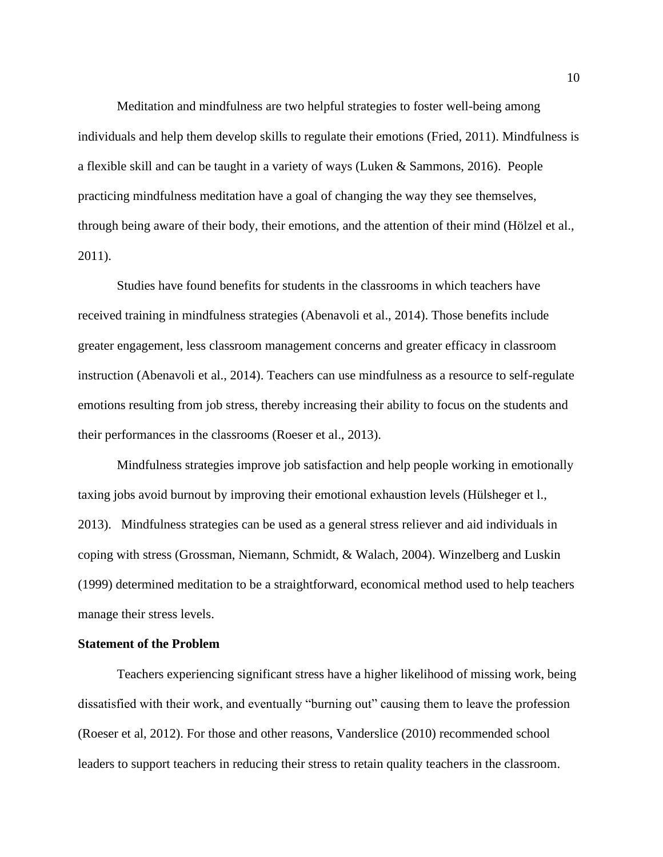Meditation and mindfulness are two helpful strategies to foster well-being among individuals and help them develop skills to regulate their emotions (Fried, 2011). Mindfulness is a flexible skill and can be taught in a variety of ways (Luken & Sammons, 2016). People practicing mindfulness meditation have a goal of changing the way they see themselves, through being aware of their body, their emotions, and the attention of their mind (Hölzel et al., 2011).

Studies have found benefits for students in the classrooms in which teachers have received training in mindfulness strategies (Abenavoli et al., 2014). Those benefits include greater engagement, less classroom management concerns and greater efficacy in classroom instruction (Abenavoli et al., 2014). Teachers can use mindfulness as a resource to self-regulate emotions resulting from job stress, thereby increasing their ability to focus on the students and their performances in the classrooms (Roeser et al., 2013).

Mindfulness strategies improve job satisfaction and help people working in emotionally taxing jobs avoid burnout by improving their emotional exhaustion levels (Hülsheger et l., 2013). Mindfulness strategies can be used as a general stress reliever and aid individuals in coping with stress (Grossman, Niemann, Schmidt, & Walach, 2004). Winzelberg and Luskin (1999) determined meditation to be a straightforward, economical method used to help teachers manage their stress levels.

## **Statement of the Problem**

Teachers experiencing significant stress have a higher likelihood of missing work, being dissatisfied with their work, and eventually "burning out" causing them to leave the profession (Roeser et al, 2012). For those and other reasons, Vanderslice (2010) recommended school leaders to support teachers in reducing their stress to retain quality teachers in the classroom.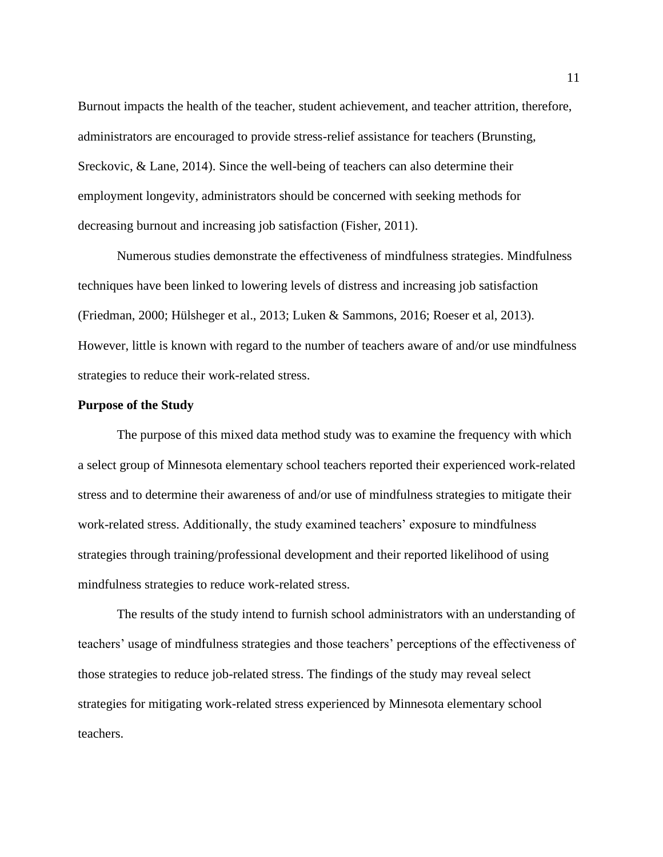Burnout impacts the health of the teacher, student achievement, and teacher attrition, therefore, administrators are encouraged to provide stress-relief assistance for teachers (Brunsting, Sreckovic, & Lane, 2014). Since the well-being of teachers can also determine their employment longevity, administrators should be concerned with seeking methods for decreasing burnout and increasing job satisfaction (Fisher, 2011).

Numerous studies demonstrate the effectiveness of mindfulness strategies. Mindfulness techniques have been linked to lowering levels of distress and increasing job satisfaction (Friedman, 2000; Hülsheger et al., 2013; Luken & Sammons, 2016; Roeser et al, 2013). However, little is known with regard to the number of teachers aware of and/or use mindfulness strategies to reduce their work-related stress.

## **Purpose of the Study**

The purpose of this mixed data method study was to examine the frequency with which a select group of Minnesota elementary school teachers reported their experienced work-related stress and to determine their awareness of and/or use of mindfulness strategies to mitigate their work-related stress. Additionally, the study examined teachers' exposure to mindfulness strategies through training/professional development and their reported likelihood of using mindfulness strategies to reduce work-related stress.

The results of the study intend to furnish school administrators with an understanding of teachers' usage of mindfulness strategies and those teachers' perceptions of the effectiveness of those strategies to reduce job-related stress. The findings of the study may reveal select strategies for mitigating work-related stress experienced by Minnesota elementary school teachers.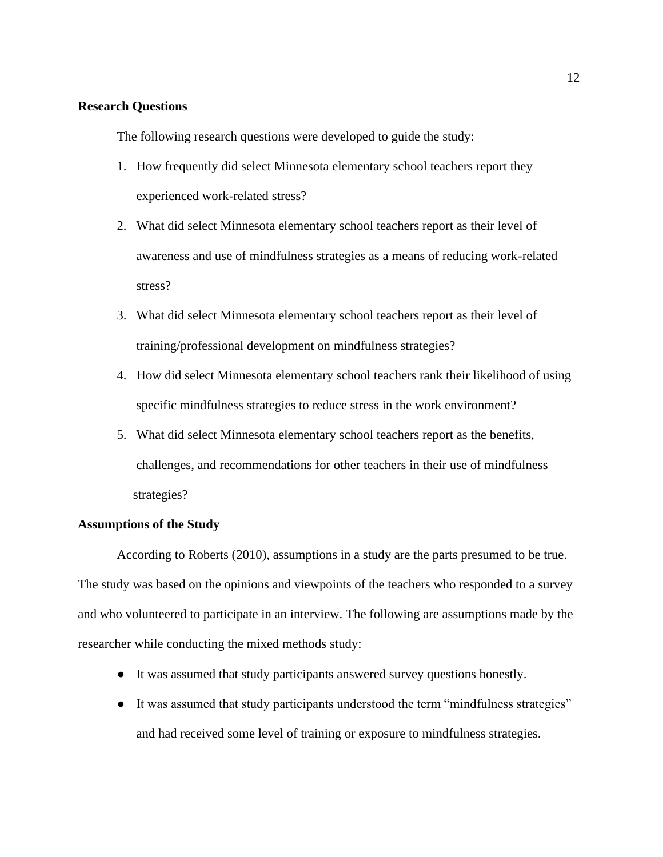## **Research Questions**

The following research questions were developed to guide the study:

- 1. How frequently did select Minnesota elementary school teachers report they experienced work-related stress?
- 2. What did select Minnesota elementary school teachers report as their level of awareness and use of mindfulness strategies as a means of reducing work-related stress?
- 3. What did select Minnesota elementary school teachers report as their level of training/professional development on mindfulness strategies?
- 4. How did select Minnesota elementary school teachers rank their likelihood of using specific mindfulness strategies to reduce stress in the work environment?
- 5. What did select Minnesota elementary school teachers report as the benefits, challenges, and recommendations for other teachers in their use of mindfulness strategies?

## **Assumptions of the Study**

According to Roberts (2010), assumptions in a study are the parts presumed to be true. The study was based on the opinions and viewpoints of the teachers who responded to a survey and who volunteered to participate in an interview. The following are assumptions made by the researcher while conducting the mixed methods study:

- It was assumed that study participants answered survey questions honestly.
- It was assumed that study participants understood the term "mindfulness strategies" and had received some level of training or exposure to mindfulness strategies.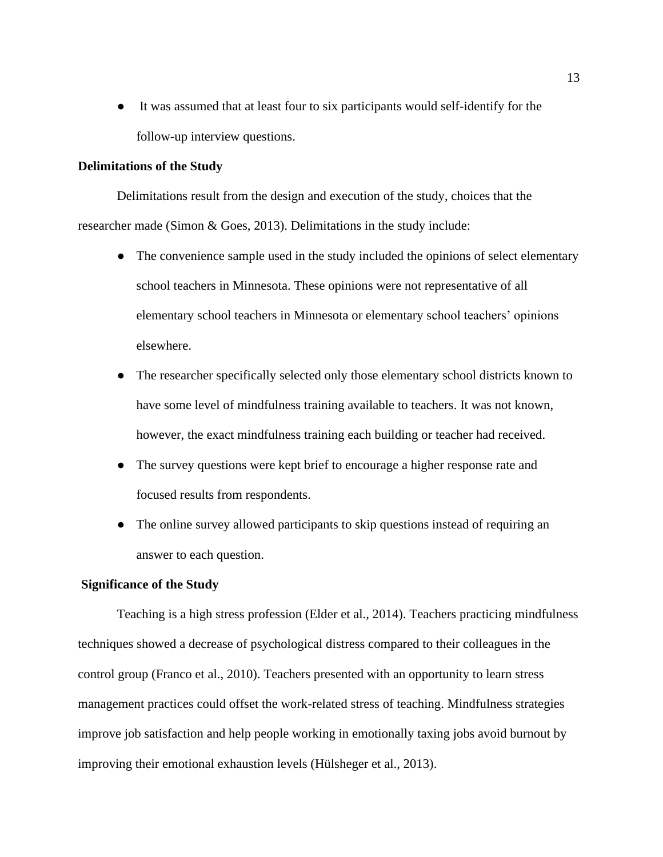● It was assumed that at least four to six participants would self-identify for the follow-up interview questions.

## **Delimitations of the Study**

Delimitations result from the design and execution of the study, choices that the researcher made (Simon & Goes, 2013). Delimitations in the study include:

- The convenience sample used in the study included the opinions of select elementary school teachers in Minnesota. These opinions were not representative of all elementary school teachers in Minnesota or elementary school teachers' opinions elsewhere.
- The researcher specifically selected only those elementary school districts known to have some level of mindfulness training available to teachers. It was not known, however, the exact mindfulness training each building or teacher had received.
- The survey questions were kept brief to encourage a higher response rate and focused results from respondents.
- The online survey allowed participants to skip questions instead of requiring an answer to each question.

## **Significance of the Study**

Teaching is a high stress profession (Elder et al., 2014). Teachers practicing mindfulness techniques showed a decrease of psychological distress compared to their colleagues in the control group (Franco et al., 2010). Teachers presented with an opportunity to learn stress management practices could offset the work-related stress of teaching. Mindfulness strategies improve job satisfaction and help people working in emotionally taxing jobs avoid burnout by improving their emotional exhaustion levels (Hülsheger et al., 2013).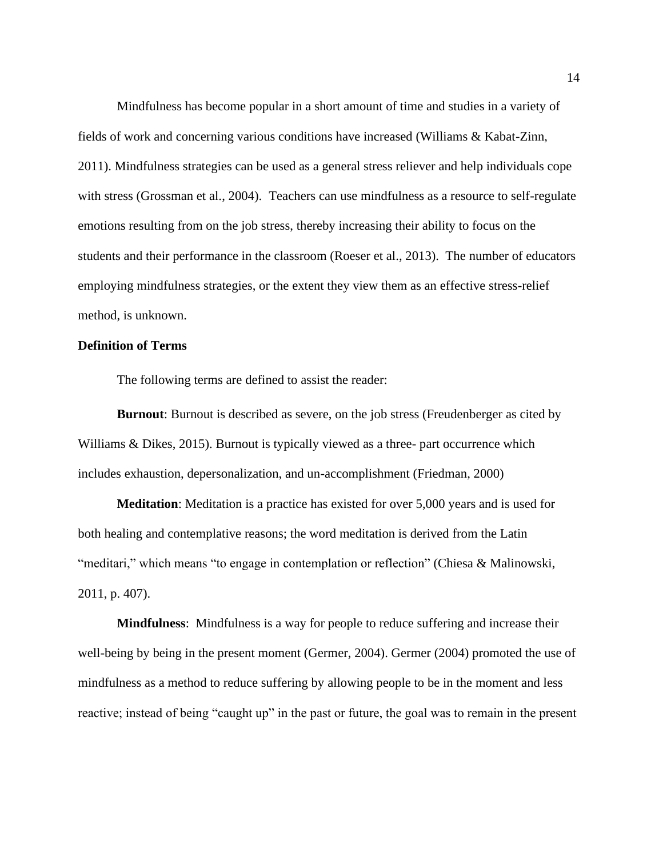Mindfulness has become popular in a short amount of time and studies in a variety of fields of work and concerning various conditions have increased (Williams & Kabat-Zinn, 2011). Mindfulness strategies can be used as a general stress reliever and help individuals cope with stress (Grossman et al., 2004). Teachers can use mindfulness as a resource to self-regulate emotions resulting from on the job stress, thereby increasing their ability to focus on the students and their performance in the classroom (Roeser et al., 2013). The number of educators employing mindfulness strategies, or the extent they view them as an effective stress-relief method, is unknown.

## **Definition of Terms**

The following terms are defined to assist the reader:

**Burnout**: Burnout is described as severe, on the job stress (Freudenberger as cited by Williams & Dikes, 2015). Burnout is typically viewed as a three- part occurrence which includes exhaustion, depersonalization, and un-accomplishment (Friedman, 2000)

**Meditation**: Meditation is a practice has existed for over 5,000 years and is used for both healing and contemplative reasons; the word meditation is derived from the Latin "meditari," which means "to engage in contemplation or reflection" (Chiesa & Malinowski, 2011, p. 407).

**Mindfulness**: Mindfulness is a way for people to reduce suffering and increase their well-being by being in the present moment (Germer, 2004). Germer (2004) promoted the use of mindfulness as a method to reduce suffering by allowing people to be in the moment and less reactive; instead of being "caught up" in the past or future, the goal was to remain in the present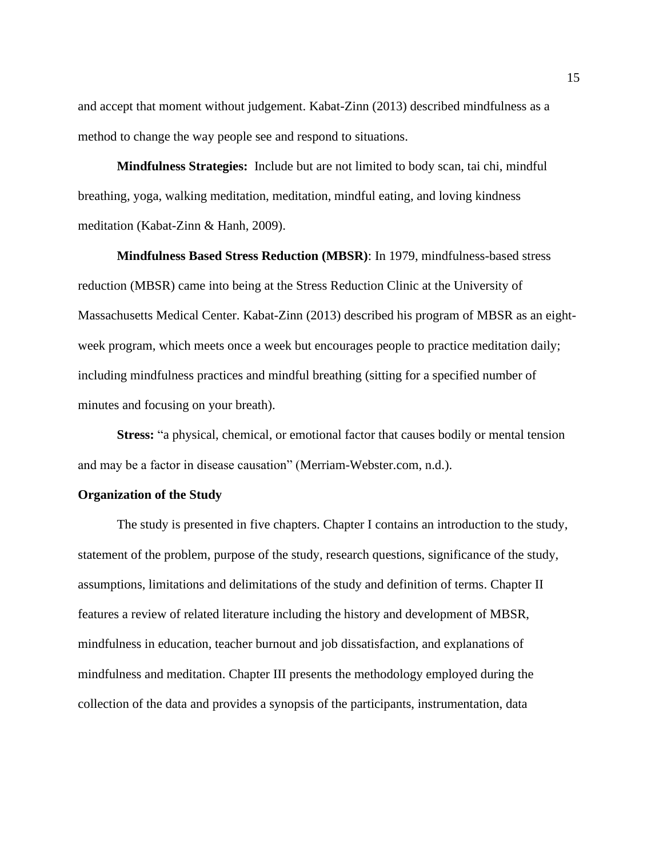and accept that moment without judgement. Kabat-Zinn (2013) described mindfulness as a method to change the way people see and respond to situations.

**Mindfulness Strategies:** Include but are not limited to body scan, tai chi, mindful breathing, yoga, walking meditation, meditation, mindful eating, and loving kindness meditation (Kabat-Zinn & Hanh, 2009).

 **Mindfulness Based Stress Reduction (MBSR)**: In 1979, mindfulness-based stress reduction (MBSR) came into being at the Stress Reduction Clinic at the University of Massachusetts Medical Center. Kabat-Zinn (2013) described his program of MBSR as an eightweek program, which meets once a week but encourages people to practice meditation daily; including mindfulness practices and mindful breathing (sitting for a specified number of minutes and focusing on your breath).

**Stress:** "a physical, chemical, or emotional factor that causes bodily or mental tension and may be a factor in disease causation" (Merriam-Webster.com, n.d.).

## **Organization of the Study**

The study is presented in five chapters. Chapter I contains an introduction to the study, statement of the problem, purpose of the study, research questions, significance of the study, assumptions, limitations and delimitations of the study and definition of terms. Chapter II features a review of related literature including the history and development of MBSR, mindfulness in education, teacher burnout and job dissatisfaction, and explanations of mindfulness and meditation. Chapter III presents the methodology employed during the collection of the data and provides a synopsis of the participants, instrumentation, data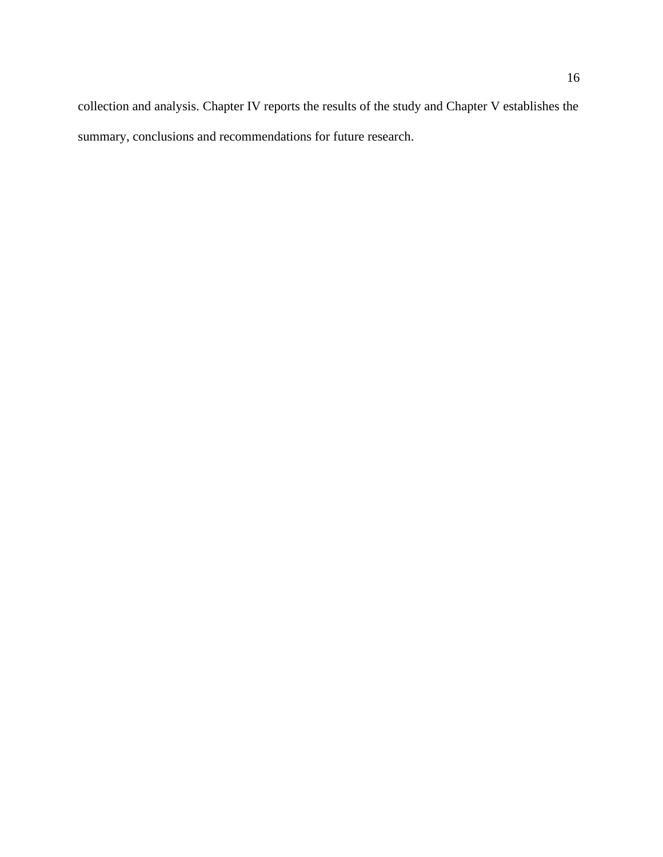collection and analysis. Chapter IV reports the results of the study and Chapter V establishes the summary, conclusions and recommendations for future research.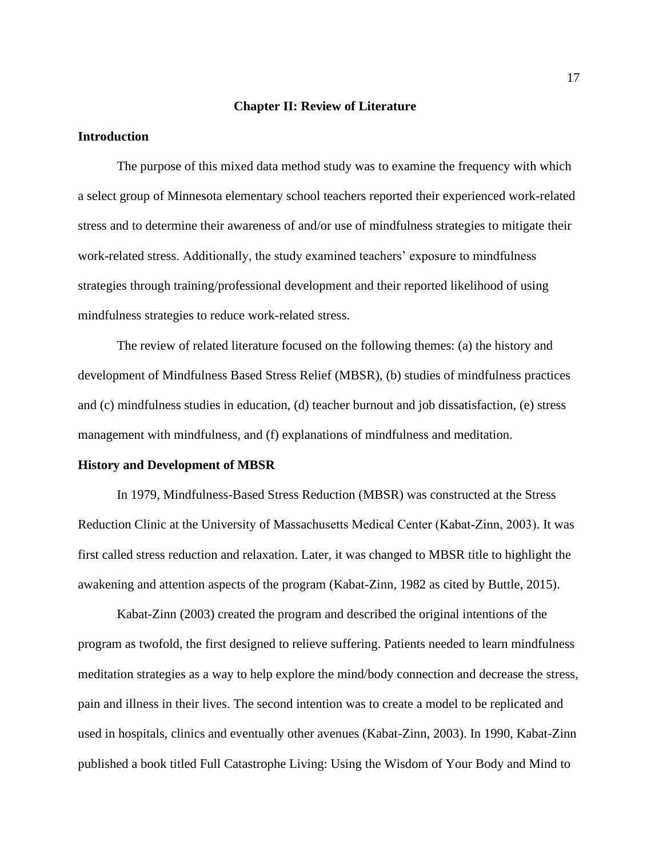#### **Chapter II: Review of Literature**

## **Introduction**

The purpose of this mixed data method study was to examine the frequency with which a select group of Minnesota elementary school teachers reported their experienced work-related stress and to determine their awareness of and/or use of mindfulness strategies to mitigate their work-related stress. Additionally, the study examined teachers' exposure to mindfulness strategies through training/professional development and their reported likelihood of using mindfulness strategies to reduce work-related stress.

The review of related literature focused on the following themes: (a) the history and development of Mindfulness Based Stress Relief (MBSR), (b) studies of mindfulness practices and (c) mindfulness studies in education, (d) teacher burnout and job dissatisfaction, (e) stress management with mindfulness, and (f) explanations of mindfulness and meditation.

#### **History and Development of MBSR**

In 1979, Mindfulness-Based Stress Reduction (MBSR) was constructed at the Stress Reduction Clinic at the University of Massachusetts Medical Center (Kabat‐Zinn, 2003). It was first called stress reduction and relaxation. Later, it was changed to MBSR title to highlight the awakening and attention aspects of the program (Kabat-Zinn, 1982 as cited by Buttle, 2015).

Kabat-Zinn (2003) created the program and described the original intentions of the program as twofold, the first designed to relieve suffering. Patients needed to learn mindfulness meditation strategies as a way to help explore the mind/body connection and decrease the stress, pain and illness in their lives. The second intention was to create a model to be replicated and used in hospitals, clinics and eventually other avenues (Kabat-Zinn, 2003). In 1990, Kabat-Zinn published a book titled Full Catastrophe Living: Using the Wisdom of Your Body and Mind to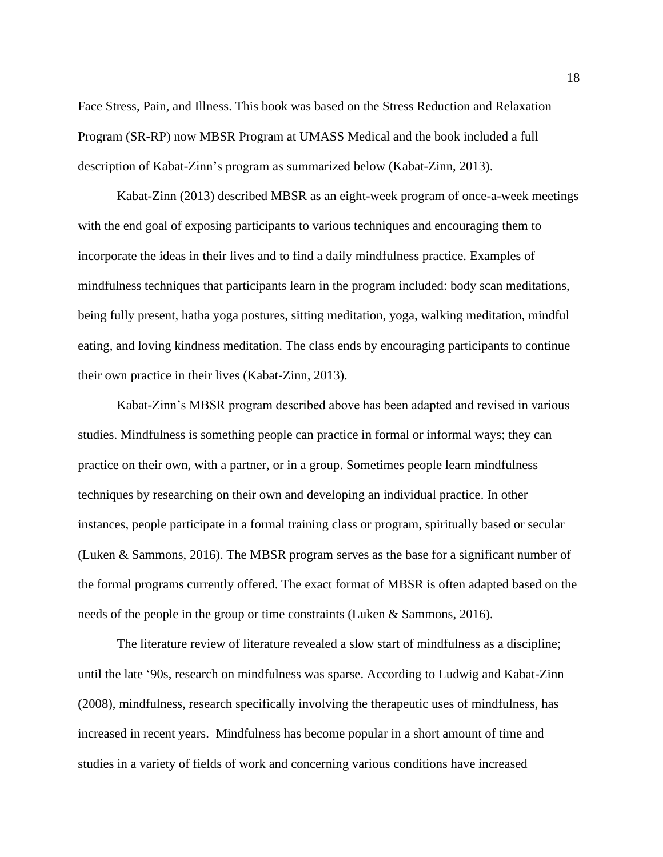Face Stress, Pain, and Illness. This book was based on the Stress Reduction and Relaxation Program (SR-RP) now MBSR Program at UMASS Medical and the book included a full description of Kabat-Zinn's program as summarized below (Kabat-Zinn, 2013).

Kabat-Zinn (2013) described MBSR as an eight-week program of once-a-week meetings with the end goal of exposing participants to various techniques and encouraging them to incorporate the ideas in their lives and to find a daily mindfulness practice. Examples of mindfulness techniques that participants learn in the program included: body scan meditations, being fully present, hatha yoga postures, sitting meditation, yoga, walking meditation, mindful eating, and loving kindness meditation. The class ends by encouraging participants to continue their own practice in their lives (Kabat-Zinn, 2013).

Kabat-Zinn's MBSR program described above has been adapted and revised in various studies. Mindfulness is something people can practice in formal or informal ways; they can practice on their own, with a partner, or in a group. Sometimes people learn mindfulness techniques by researching on their own and developing an individual practice. In other instances, people participate in a formal training class or program, spiritually based or secular (Luken & Sammons, 2016). The MBSR program serves as the base for a significant number of the formal programs currently offered. The exact format of MBSR is often adapted based on the needs of the people in the group or time constraints (Luken & Sammons, 2016).

The literature review of literature revealed a slow start of mindfulness as a discipline; until the late '90s, research on mindfulness was sparse. According to Ludwig and Kabat-Zinn (2008), mindfulness, research specifically involving the therapeutic uses of mindfulness, has increased in recent years. Mindfulness has become popular in a short amount of time and studies in a variety of fields of work and concerning various conditions have increased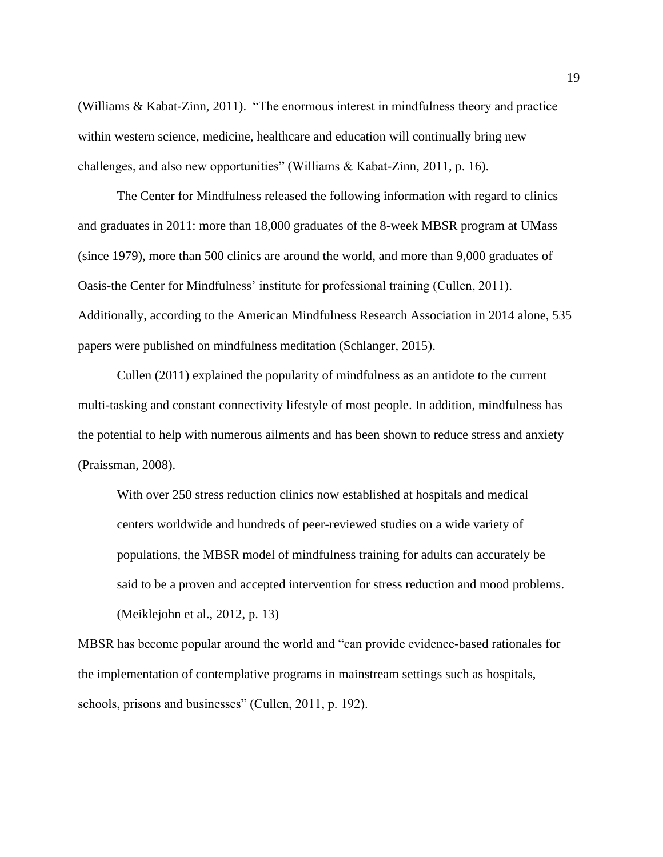(Williams & Kabat-Zinn, 2011). "The enormous interest in mindfulness theory and practice within western science, medicine, healthcare and education will continually bring new challenges, and also new opportunities" (Williams & Kabat-Zinn, 2011, p. 16).

The Center for Mindfulness released the following information with regard to clinics and graduates in 2011: more than 18,000 graduates of the 8-week MBSR program at UMass (since 1979), more than 500 clinics are around the world, and more than 9,000 graduates of Oasis-the Center for Mindfulness' institute for professional training (Cullen, 2011). Additionally, according to the American Mindfulness Research Association in 2014 alone, 535 papers were published on mindfulness meditation (Schlanger, 2015).

Cullen (2011) explained the popularity of mindfulness as an antidote to the current multi-tasking and constant connectivity lifestyle of most people. In addition, mindfulness has the potential to help with numerous ailments and has been shown to reduce stress and anxiety (Praissman, 2008).

With over 250 stress reduction clinics now established at hospitals and medical centers worldwide and hundreds of peer-reviewed studies on a wide variety of populations, the MBSR model of mindfulness training for adults can accurately be said to be a proven and accepted intervention for stress reduction and mood problems. (Meiklejohn et al., 2012, p. 13)

MBSR has become popular around the world and "can provide evidence-based rationales for the implementation of contemplative programs in mainstream settings such as hospitals, schools, prisons and businesses" (Cullen, 2011, p. 192).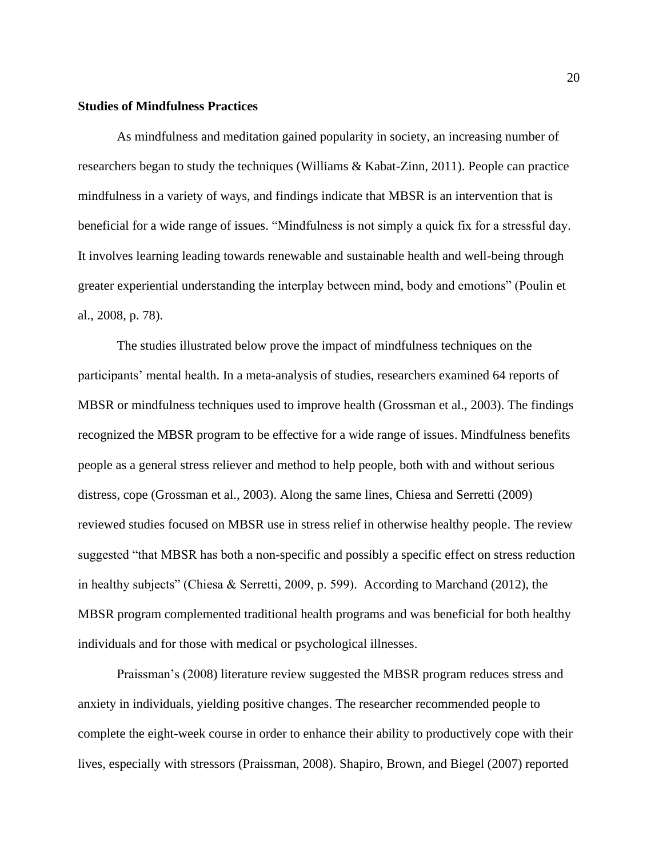## **Studies of Mindfulness Practices**

As mindfulness and meditation gained popularity in society, an increasing number of researchers began to study the techniques (Williams & Kabat-Zinn, 2011). People can practice mindfulness in a variety of ways, and findings indicate that MBSR is an intervention that is beneficial for a wide range of issues. "Mindfulness is not simply a quick fix for a stressful day. It involves learning leading towards renewable and sustainable health and well-being through greater experiential understanding the interplay between mind, body and emotions" (Poulin et al., 2008, p. 78).

The studies illustrated below prove the impact of mindfulness techniques on the participants' mental health. In a meta-analysis of studies, researchers examined 64 reports of MBSR or mindfulness techniques used to improve health (Grossman et al., 2003). The findings recognized the MBSR program to be effective for a wide range of issues. Mindfulness benefits people as a general stress reliever and method to help people, both with and without serious distress, cope (Grossman et al., 2003). Along the same lines, Chiesa and Serretti (2009) reviewed studies focused on MBSR use in stress relief in otherwise healthy people. The review suggested "that MBSR has both a non-specific and possibly a specific effect on stress reduction in healthy subjects" (Chiesa & Serretti, 2009, p. 599). According to Marchand (2012), the MBSR program complemented traditional health programs and was beneficial for both healthy individuals and for those with medical or psychological illnesses.

Praissman's (2008) literature review suggested the MBSR program reduces stress and anxiety in individuals, yielding positive changes. The researcher recommended people to complete the eight-week course in order to enhance their ability to productively cope with their lives, especially with stressors (Praissman, 2008). Shapiro, Brown, and Biegel (2007) reported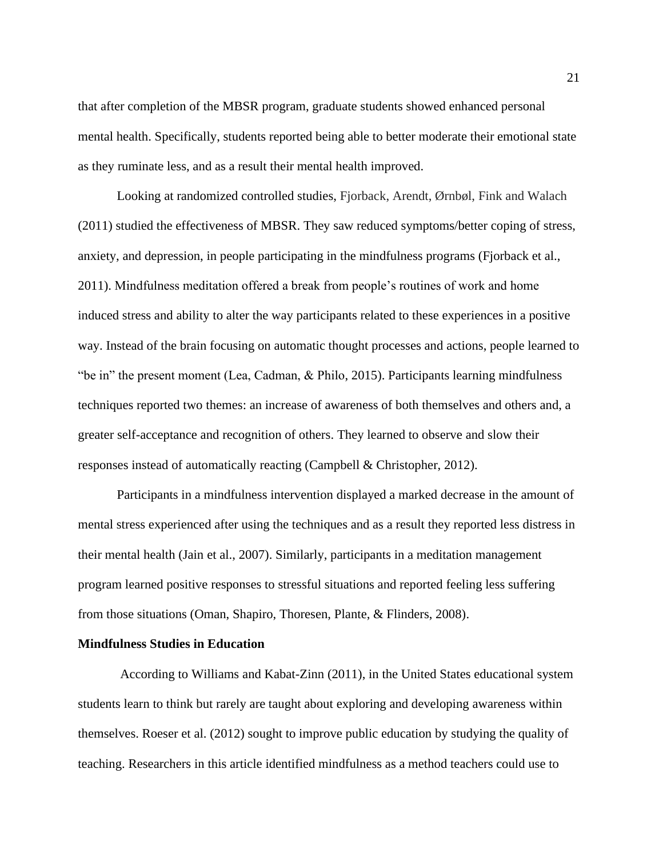that after completion of the MBSR program, graduate students showed enhanced personal mental health. Specifically, students reported being able to better moderate their emotional state as they ruminate less, and as a result their mental health improved.

Looking at randomized controlled studies, Fjorback, Arendt, Ørnbøl, Fink and Walach (2011) studied the effectiveness of MBSR. They saw reduced symptoms/better coping of stress, anxiety, and depression, in people participating in the mindfulness programs (Fjorback et al., 2011). Mindfulness meditation offered a break from people's routines of work and home induced stress and ability to alter the way participants related to these experiences in a positive way. Instead of the brain focusing on automatic thought processes and actions, people learned to "be in" the present moment (Lea, Cadman, & Philo, 2015). Participants learning mindfulness techniques reported two themes: an increase of awareness of both themselves and others and, a greater self-acceptance and recognition of others. They learned to observe and slow their responses instead of automatically reacting (Campbell & Christopher, 2012).

Participants in a mindfulness intervention displayed a marked decrease in the amount of mental stress experienced after using the techniques and as a result they reported less distress in their mental health (Jain et al., 2007). Similarly, participants in a meditation management program learned positive responses to stressful situations and reported feeling less suffering from those situations (Oman, Shapiro, Thoresen, Plante, & Flinders, 2008).

## **Mindfulness Studies in Education**

According to Williams and Kabat-Zinn (2011), in the United States educational system students learn to think but rarely are taught about exploring and developing awareness within themselves. Roeser et al. (2012) sought to improve public education by studying the quality of teaching. Researchers in this article identified mindfulness as a method teachers could use to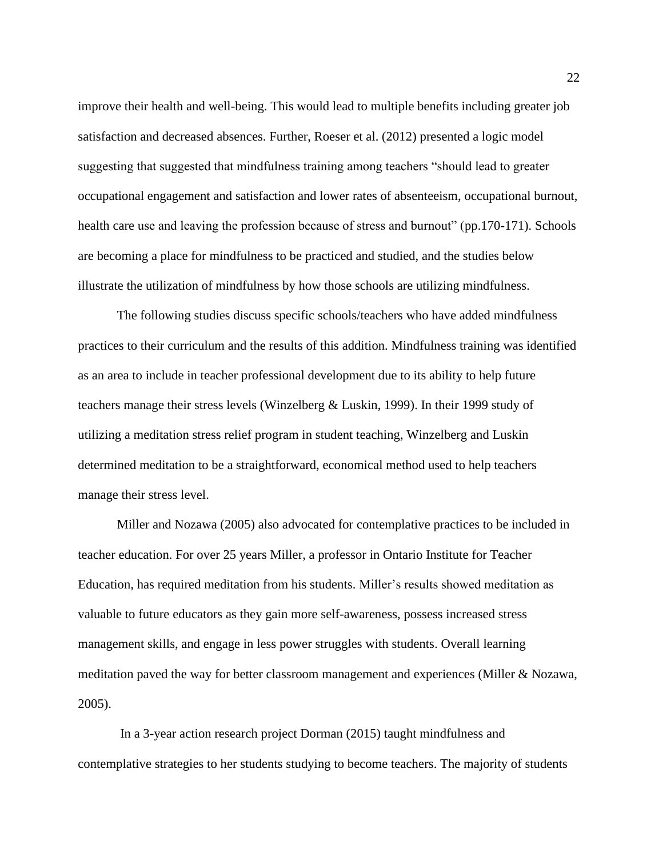improve their health and well-being. This would lead to multiple benefits including greater job satisfaction and decreased absences. Further, Roeser et al. (2012) presented a logic model suggesting that suggested that mindfulness training among teachers "should lead to greater occupational engagement and satisfaction and lower rates of absenteeism, occupational burnout, health care use and leaving the profession because of stress and burnout" (pp.170-171). Schools are becoming a place for mindfulness to be practiced and studied, and the studies below illustrate the utilization of mindfulness by how those schools are utilizing mindfulness.

The following studies discuss specific schools/teachers who have added mindfulness practices to their curriculum and the results of this addition. Mindfulness training was identified as an area to include in teacher professional development due to its ability to help future teachers manage their stress levels (Winzelberg & Luskin, 1999). In their 1999 study of utilizing a meditation stress relief program in student teaching, Winzelberg and Luskin determined meditation to be a straightforward, economical method used to help teachers manage their stress level.

Miller and Nozawa (2005) also advocated for contemplative practices to be included in teacher education. For over 25 years Miller, a professor in Ontario Institute for Teacher Education, has required meditation from his students. Miller's results showed meditation as valuable to future educators as they gain more self-awareness, possess increased stress management skills, and engage in less power struggles with students. Overall learning meditation paved the way for better classroom management and experiences (Miller & Nozawa, 2005).

In a 3-year action research project Dorman (2015) taught mindfulness and contemplative strategies to her students studying to become teachers. The majority of students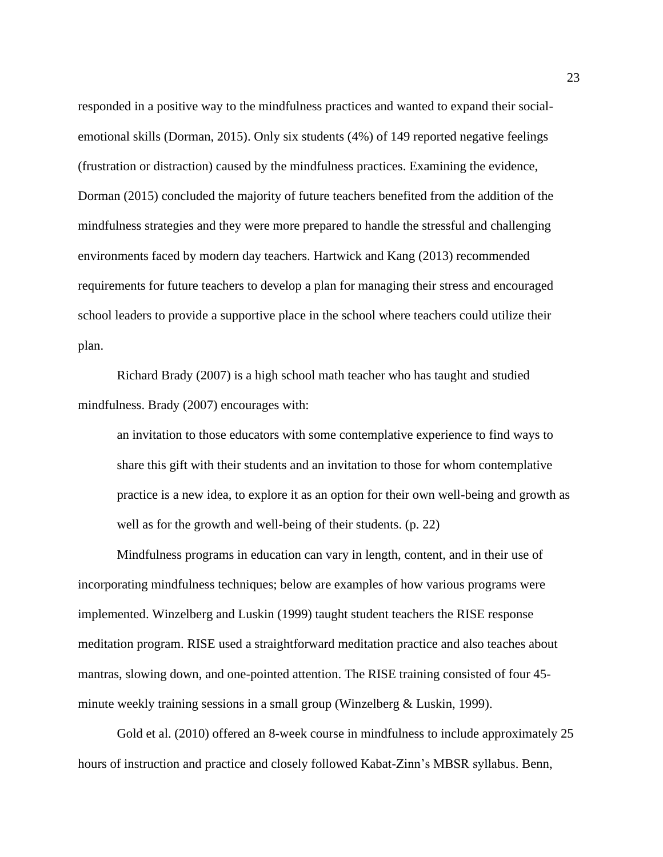responded in a positive way to the mindfulness practices and wanted to expand their socialemotional skills (Dorman, 2015). Only six students (4%) of 149 reported negative feelings (frustration or distraction) caused by the mindfulness practices. Examining the evidence, Dorman (2015) concluded the majority of future teachers benefited from the addition of the mindfulness strategies and they were more prepared to handle the stressful and challenging environments faced by modern day teachers. Hartwick and Kang (2013) recommended requirements for future teachers to develop a plan for managing their stress and encouraged school leaders to provide a supportive place in the school where teachers could utilize their plan.

Richard Brady (2007) is a high school math teacher who has taught and studied mindfulness. Brady (2007) encourages with:

an invitation to those educators with some contemplative experience to find ways to share this gift with their students and an invitation to those for whom contemplative practice is a new idea, to explore it as an option for their own well-being and growth as well as for the growth and well-being of their students. (p. 22)

Mindfulness programs in education can vary in length, content, and in their use of incorporating mindfulness techniques; below are examples of how various programs were implemented. Winzelberg and Luskin (1999) taught student teachers the RISE response meditation program. RISE used a straightforward meditation practice and also teaches about mantras, slowing down, and one-pointed attention. The RISE training consisted of four 45 minute weekly training sessions in a small group (Winzelberg & Luskin, 1999).

Gold et al. (2010) offered an 8-week course in mindfulness to include approximately 25 hours of instruction and practice and closely followed Kabat-Zinn's MBSR syllabus. Benn,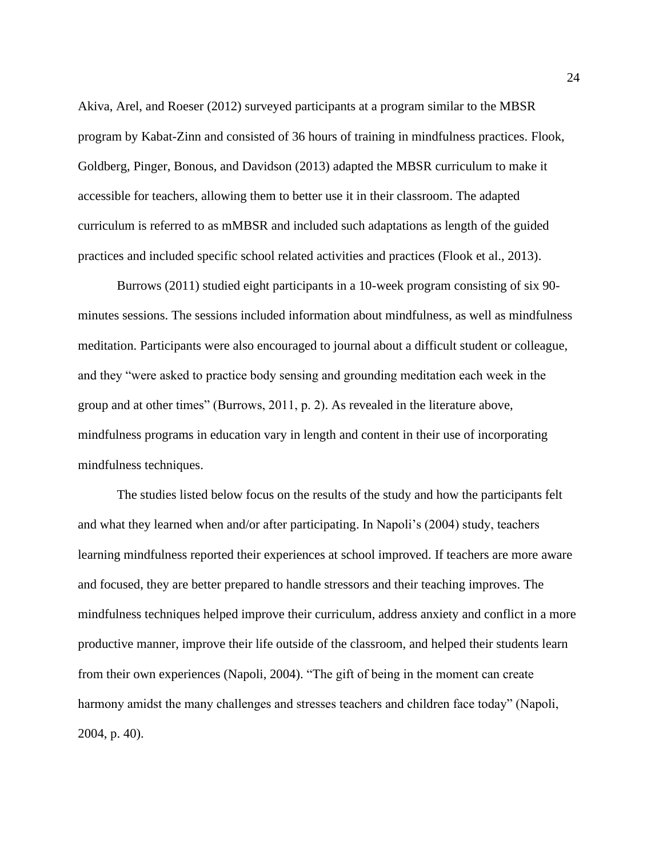Akiva, Arel, and Roeser (2012) surveyed participants at a program similar to the MBSR program by Kabat-Zinn and consisted of 36 hours of training in mindfulness practices. Flook, Goldberg, Pinger, Bonous, and Davidson (2013) adapted the MBSR curriculum to make it accessible for teachers, allowing them to better use it in their classroom. The adapted curriculum is referred to as mMBSR and included such adaptations as length of the guided practices and included specific school related activities and practices (Flook et al., 2013).

Burrows (2011) studied eight participants in a 10-week program consisting of six 90 minutes sessions. The sessions included information about mindfulness, as well as mindfulness meditation. Participants were also encouraged to journal about a difficult student or colleague, and they "were asked to practice body sensing and grounding meditation each week in the group and at other times" (Burrows, 2011, p. 2). As revealed in the literature above, mindfulness programs in education vary in length and content in their use of incorporating mindfulness techniques.

The studies listed below focus on the results of the study and how the participants felt and what they learned when and/or after participating. In Napoli's (2004) study, teachers learning mindfulness reported their experiences at school improved. If teachers are more aware and focused, they are better prepared to handle stressors and their teaching improves. The mindfulness techniques helped improve their curriculum, address anxiety and conflict in a more productive manner, improve their life outside of the classroom, and helped their students learn from their own experiences (Napoli, 2004). "The gift of being in the moment can create harmony amidst the many challenges and stresses teachers and children face today" (Napoli, 2004, p. 40).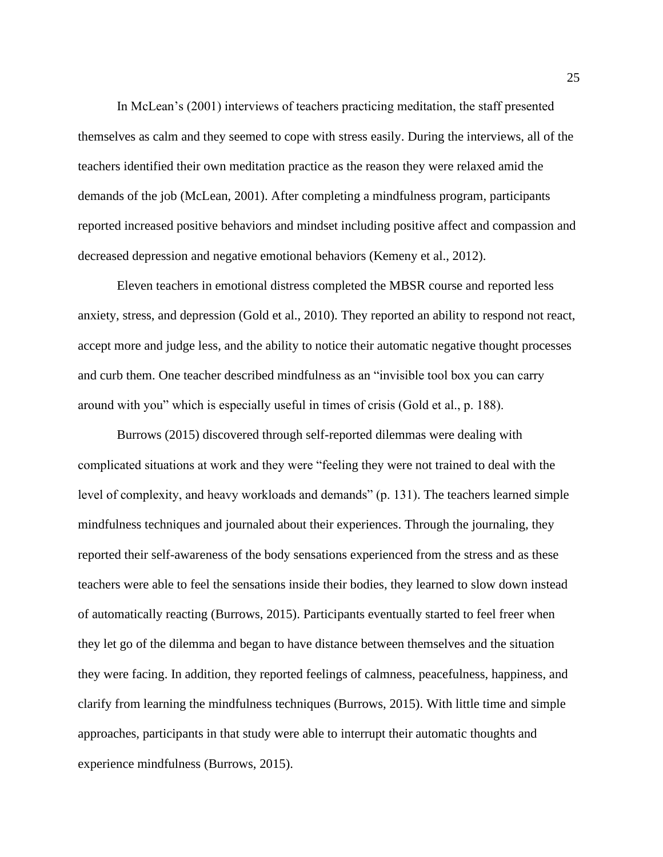In McLean's (2001) interviews of teachers practicing meditation, the staff presented themselves as calm and they seemed to cope with stress easily. During the interviews, all of the teachers identified their own meditation practice as the reason they were relaxed amid the demands of the job (McLean, 2001). After completing a mindfulness program, participants reported increased positive behaviors and mindset including positive affect and compassion and decreased depression and negative emotional behaviors (Kemeny et al., 2012).

Eleven teachers in emotional distress completed the MBSR course and reported less anxiety, stress, and depression (Gold et al., 2010). They reported an ability to respond not react, accept more and judge less, and the ability to notice their automatic negative thought processes and curb them. One teacher described mindfulness as an "invisible tool box you can carry around with you" which is especially useful in times of crisis (Gold et al., p. 188).

Burrows (2015) discovered through self-reported dilemmas were dealing with complicated situations at work and they were "feeling they were not trained to deal with the level of complexity, and heavy workloads and demands" (p. 131). The teachers learned simple mindfulness techniques and journaled about their experiences. Through the journaling, they reported their self-awareness of the body sensations experienced from the stress and as these teachers were able to feel the sensations inside their bodies, they learned to slow down instead of automatically reacting (Burrows, 2015). Participants eventually started to feel freer when they let go of the dilemma and began to have distance between themselves and the situation they were facing. In addition, they reported feelings of calmness, peacefulness, happiness, and clarify from learning the mindfulness techniques (Burrows, 2015). With little time and simple approaches, participants in that study were able to interrupt their automatic thoughts and experience mindfulness (Burrows, 2015).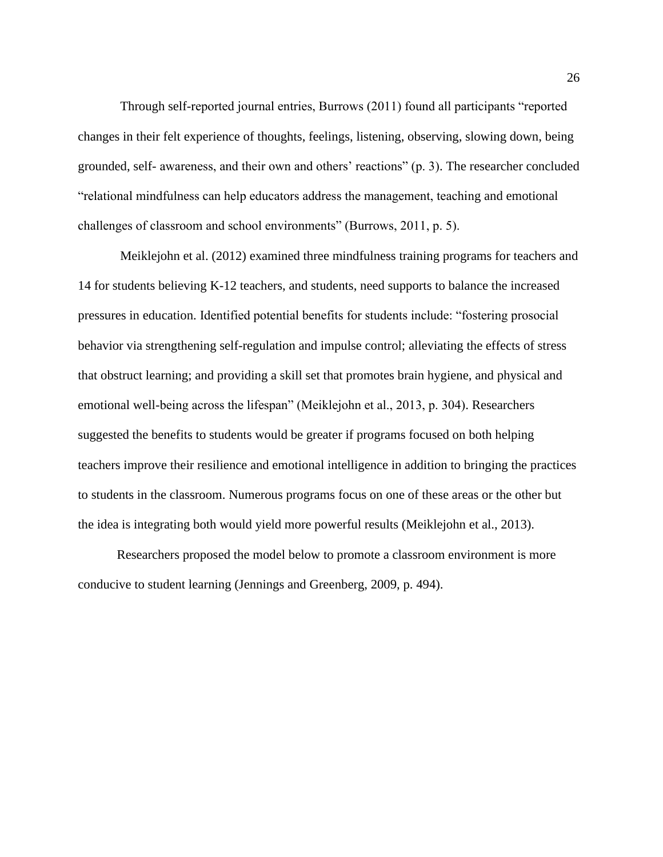Through self-reported journal entries, Burrows (2011) found all participants "reported changes in their felt experience of thoughts, feelings, listening, observing, slowing down, being grounded, self- awareness, and their own and others' reactions" (p. 3). The researcher concluded "relational mindfulness can help educators address the management, teaching and emotional challenges of classroom and school environments" (Burrows, 2011, p. 5).

Meiklejohn et al. (2012) examined three mindfulness training programs for teachers and 14 for students believing K-12 teachers, and students, need supports to balance the increased pressures in education. Identified potential benefits for students include: "fostering prosocial behavior via strengthening self-regulation and impulse control; alleviating the effects of stress that obstruct learning; and providing a skill set that promotes brain hygiene, and physical and emotional well-being across the lifespan" (Meiklejohn et al., 2013, p. 304). Researchers suggested the benefits to students would be greater if programs focused on both helping teachers improve their resilience and emotional intelligence in addition to bringing the practices to students in the classroom. Numerous programs focus on one of these areas or the other but the idea is integrating both would yield more powerful results (Meiklejohn et al., 2013).

Researchers proposed the model below to promote a classroom environment is more conducive to student learning (Jennings and Greenberg, 2009, p. 494).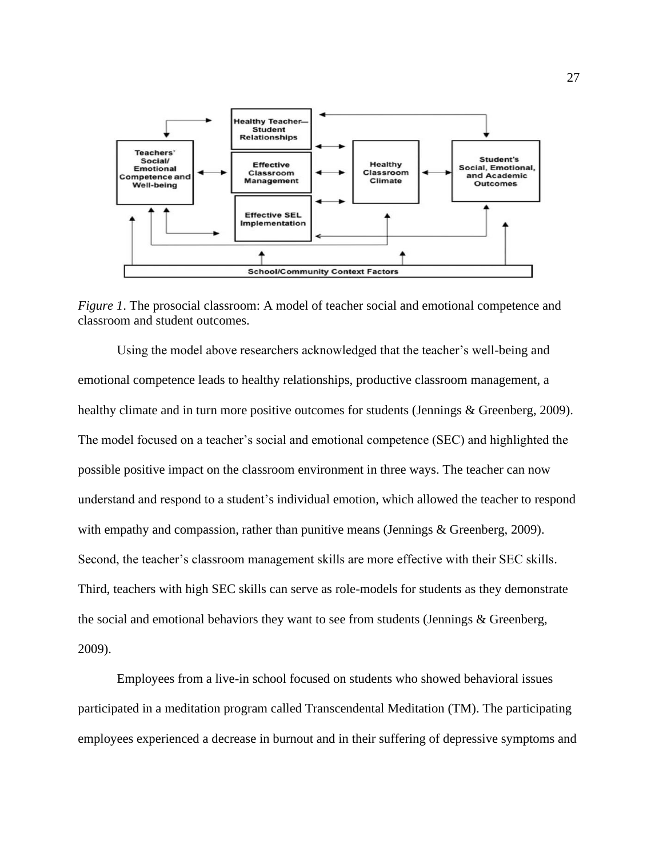

*Figure 1*. The prosocial classroom: A model of teacher social and emotional competence and classroom and student outcomes.

Using the model above researchers acknowledged that the teacher's well-being and emotional competence leads to healthy relationships, productive classroom management, a healthy climate and in turn more positive outcomes for students (Jennings & Greenberg, 2009). The model focused on a teacher's social and emotional competence (SEC) and highlighted the possible positive impact on the classroom environment in three ways. The teacher can now understand and respond to a student's individual emotion, which allowed the teacher to respond with empathy and compassion, rather than punitive means (Jennings & Greenberg, 2009). Second, the teacher's classroom management skills are more effective with their SEC skills. Third, teachers with high SEC skills can serve as role-models for students as they demonstrate the social and emotional behaviors they want to see from students (Jennings & Greenberg, 2009).

Employees from a live-in school focused on students who showed behavioral issues participated in a meditation program called Transcendental Meditation (TM). The participating employees experienced a decrease in burnout and in their suffering of depressive symptoms and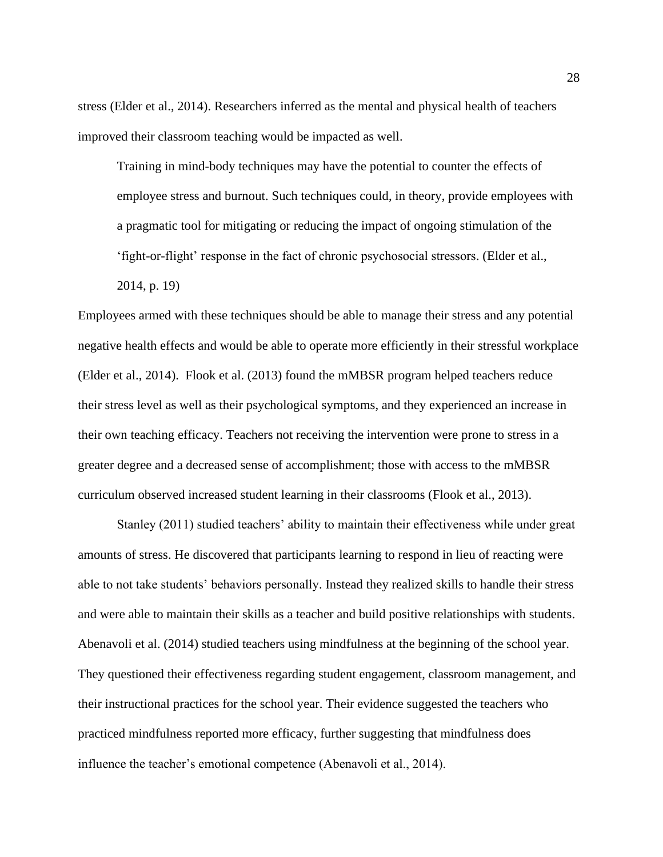stress (Elder et al., 2014). Researchers inferred as the mental and physical health of teachers improved their classroom teaching would be impacted as well.

Training in mind-body techniques may have the potential to counter the effects of employee stress and burnout. Such techniques could, in theory, provide employees with a pragmatic tool for mitigating or reducing the impact of ongoing stimulation of the 'fight-or-flight' response in the fact of chronic psychosocial stressors. (Elder et al., 2014, p. 19)

Employees armed with these techniques should be able to manage their stress and any potential negative health effects and would be able to operate more efficiently in their stressful workplace (Elder et al., 2014). Flook et al. (2013) found the mMBSR program helped teachers reduce their stress level as well as their psychological symptoms, and they experienced an increase in their own teaching efficacy. Teachers not receiving the intervention were prone to stress in a greater degree and a decreased sense of accomplishment; those with access to the mMBSR curriculum observed increased student learning in their classrooms (Flook et al., 2013).

Stanley (2011) studied teachers' ability to maintain their effectiveness while under great amounts of stress. He discovered that participants learning to respond in lieu of reacting were able to not take students' behaviors personally. Instead they realized skills to handle their stress and were able to maintain their skills as a teacher and build positive relationships with students. Abenavoli et al. (2014) studied teachers using mindfulness at the beginning of the school year. They questioned their effectiveness regarding student engagement, classroom management, and their instructional practices for the school year. Their evidence suggested the teachers who practiced mindfulness reported more efficacy, further suggesting that mindfulness does influence the teacher's emotional competence (Abenavoli et al., 2014).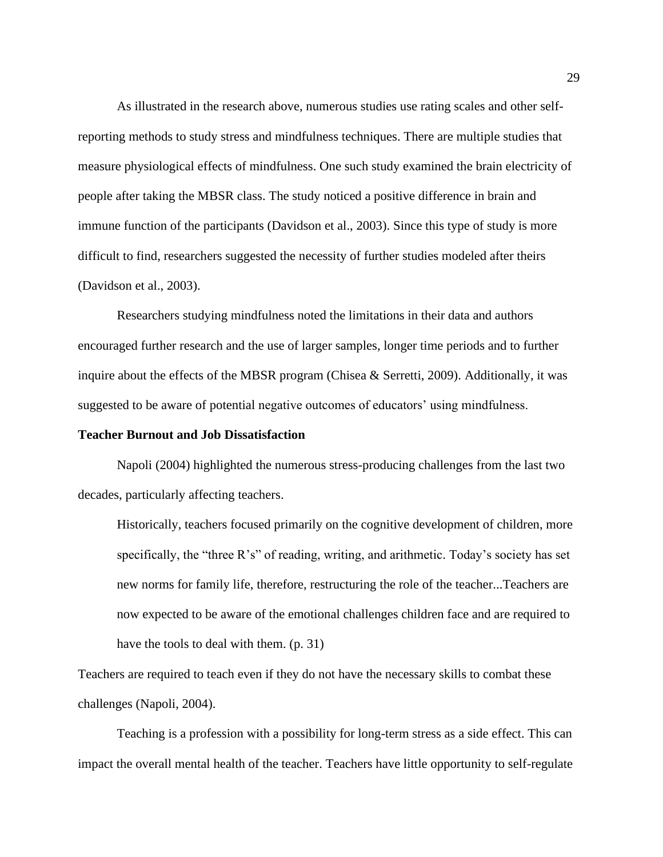As illustrated in the research above, numerous studies use rating scales and other selfreporting methods to study stress and mindfulness techniques. There are multiple studies that measure physiological effects of mindfulness. One such study examined the brain electricity of people after taking the MBSR class. The study noticed a positive difference in brain and immune function of the participants (Davidson et al., 2003). Since this type of study is more difficult to find, researchers suggested the necessity of further studies modeled after theirs (Davidson et al., 2003).

Researchers studying mindfulness noted the limitations in their data and authors encouraged further research and the use of larger samples, longer time periods and to further inquire about the effects of the MBSR program (Chisea & Serretti, 2009). Additionally, it was suggested to be aware of potential negative outcomes of educators' using mindfulness.

## **Teacher Burnout and Job Dissatisfaction**

Napoli (2004) highlighted the numerous stress-producing challenges from the last two decades, particularly affecting teachers.

Historically, teachers focused primarily on the cognitive development of children, more specifically, the "three R's" of reading, writing, and arithmetic. Today's society has set new norms for family life, therefore, restructuring the role of the teacher...Teachers are now expected to be aware of the emotional challenges children face and are required to have the tools to deal with them. (p. 31)

Teachers are required to teach even if they do not have the necessary skills to combat these challenges (Napoli, 2004).

Teaching is a profession with a possibility for long-term stress as a side effect. This can impact the overall mental health of the teacher. Teachers have little opportunity to self-regulate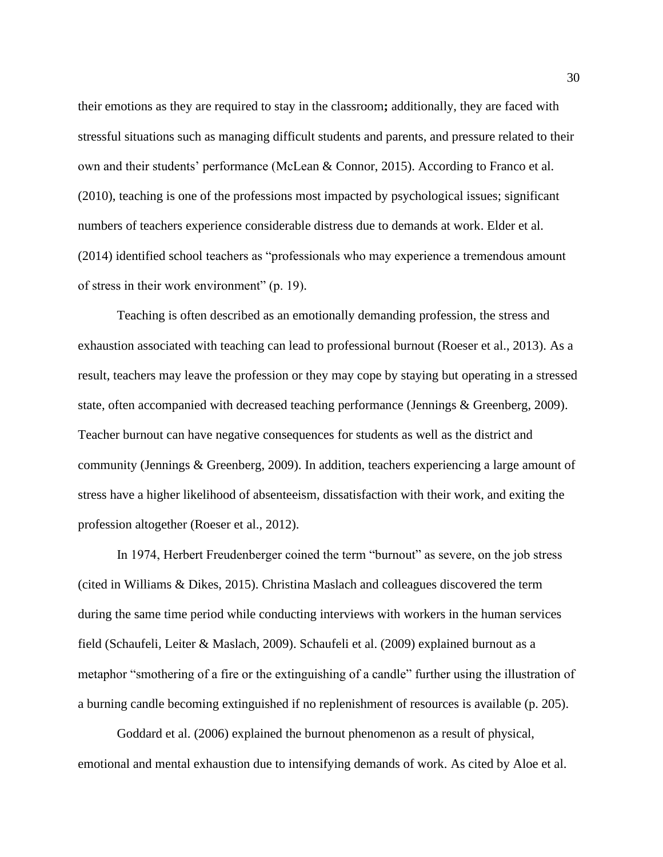their emotions as they are required to stay in the classroom**;** additionally, they are faced with stressful situations such as managing difficult students and parents, and pressure related to their own and their students' performance (McLean & Connor, 2015). According to Franco et al. (2010), teaching is one of the professions most impacted by psychological issues; significant numbers of teachers experience considerable distress due to demands at work. Elder et al. (2014) identified school teachers as "professionals who may experience a tremendous amount of stress in their work environment" (p. 19).

Teaching is often described as an emotionally demanding profession, the stress and exhaustion associated with teaching can lead to professional burnout (Roeser et al., 2013). As a result, teachers may leave the profession or they may cope by staying but operating in a stressed state, often accompanied with decreased teaching performance (Jennings & Greenberg, 2009). Teacher burnout can have negative consequences for students as well as the district and community (Jennings & Greenberg, 2009). In addition, teachers experiencing a large amount of stress have a higher likelihood of absenteeism, dissatisfaction with their work, and exiting the profession altogether (Roeser et al., 2012).

In 1974, Herbert Freudenberger coined the term "burnout" as severe, on the job stress (cited in Williams & Dikes, 2015). Christina Maslach and colleagues discovered the term during the same time period while conducting interviews with workers in the human services field (Schaufeli, Leiter & Maslach, 2009). Schaufeli et al. (2009) explained burnout as a metaphor "smothering of a fire or the extinguishing of a candle" further using the illustration of a burning candle becoming extinguished if no replenishment of resources is available (p. 205).

Goddard et al. (2006) explained the burnout phenomenon as a result of physical, emotional and mental exhaustion due to intensifying demands of work. As cited by Aloe et al.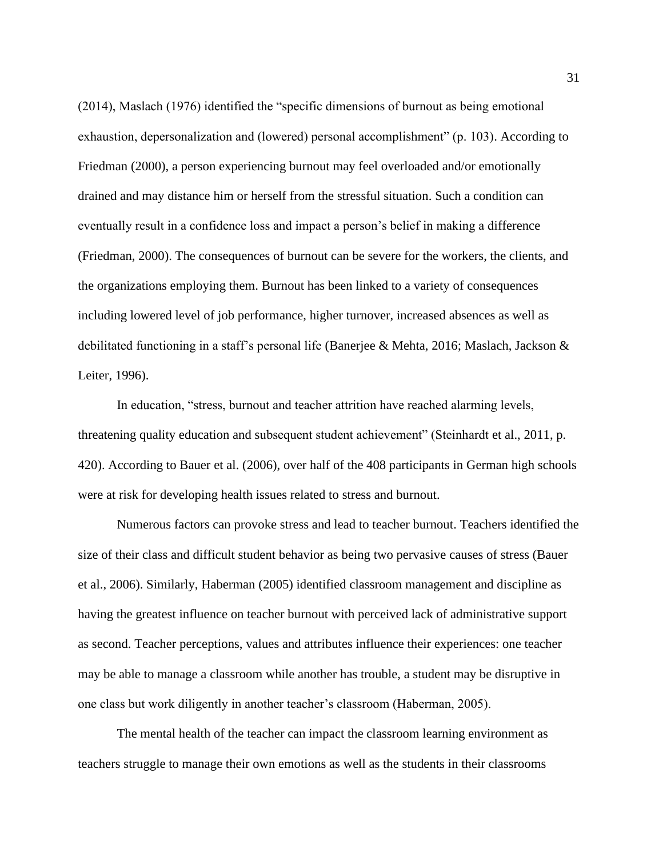(2014), Maslach (1976) identified the "specific dimensions of burnout as being emotional exhaustion, depersonalization and (lowered) personal accomplishment" (p. 103). According to Friedman (2000), a person experiencing burnout may feel overloaded and/or emotionally drained and may distance him or herself from the stressful situation. Such a condition can eventually result in a confidence loss and impact a person's belief in making a difference (Friedman, 2000). The consequences of burnout can be severe for the workers, the clients, and the organizations employing them. Burnout has been linked to a variety of consequences including lowered level of job performance, higher turnover, increased absences as well as debilitated functioning in a staff's personal life (Banerjee & Mehta, 2016; Maslach, Jackson & Leiter, 1996).

In education, "stress, burnout and teacher attrition have reached alarming levels, threatening quality education and subsequent student achievement" (Steinhardt et al., 2011, p. 420). According to Bauer et al. (2006), over half of the 408 participants in German high schools were at risk for developing health issues related to stress and burnout.

Numerous factors can provoke stress and lead to teacher burnout. Teachers identified the size of their class and difficult student behavior as being two pervasive causes of stress (Bauer et al., 2006). Similarly, Haberman (2005) identified classroom management and discipline as having the greatest influence on teacher burnout with perceived lack of administrative support as second. Teacher perceptions, values and attributes influence their experiences: one teacher may be able to manage a classroom while another has trouble, a student may be disruptive in one class but work diligently in another teacher's classroom (Haberman, 2005).

The mental health of the teacher can impact the classroom learning environment as teachers struggle to manage their own emotions as well as the students in their classrooms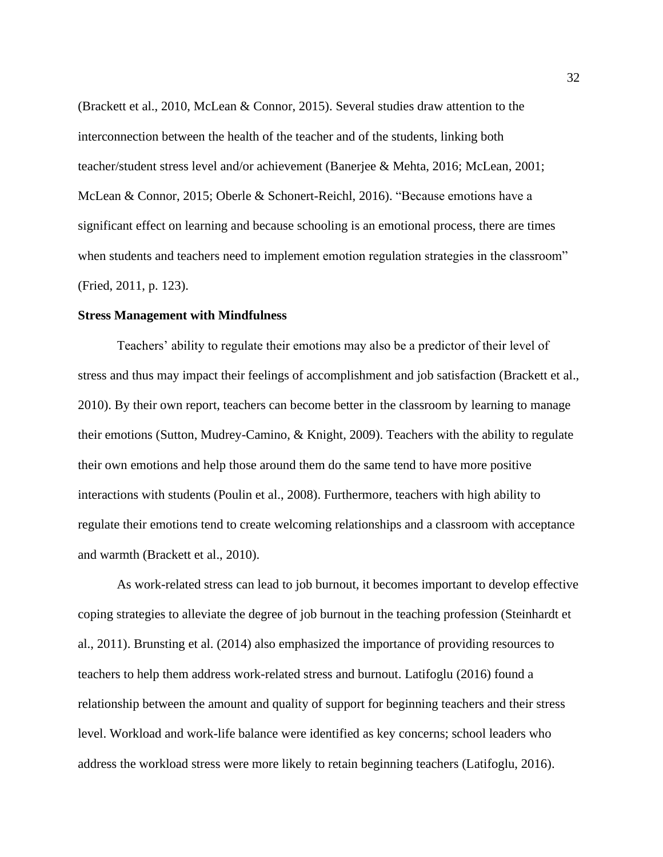(Brackett et al., 2010, McLean & Connor, 2015). Several studies draw attention to the interconnection between the health of the teacher and of the students, linking both teacher/student stress level and/or achievement (Banerjee & Mehta, 2016; McLean, 2001; McLean & Connor, 2015; Oberle & Schonert-Reichl, 2016). "Because emotions have a significant effect on learning and because schooling is an emotional process, there are times when students and teachers need to implement emotion regulation strategies in the classroom" (Fried, 2011, p. 123).

#### **Stress Management with Mindfulness**

Teachers' ability to regulate their emotions may also be a predictor of their level of stress and thus may impact their feelings of accomplishment and job satisfaction (Brackett et al., 2010). By their own report, teachers can become better in the classroom by learning to manage their emotions (Sutton, Mudrey-Camino, & Knight, 2009). Teachers with the ability to regulate their own emotions and help those around them do the same tend to have more positive interactions with students (Poulin et al., 2008). Furthermore, teachers with high ability to regulate their emotions tend to create welcoming relationships and a classroom with acceptance and warmth (Brackett et al., 2010).

As work-related stress can lead to job burnout, it becomes important to develop effective coping strategies to alleviate the degree of job burnout in the teaching profession (Steinhardt et al., 2011). Brunsting et al. (2014) also emphasized the importance of providing resources to teachers to help them address work-related stress and burnout. Latifoglu (2016) found a relationship between the amount and quality of support for beginning teachers and their stress level. Workload and work-life balance were identified as key concerns; school leaders who address the workload stress were more likely to retain beginning teachers (Latifoglu, 2016).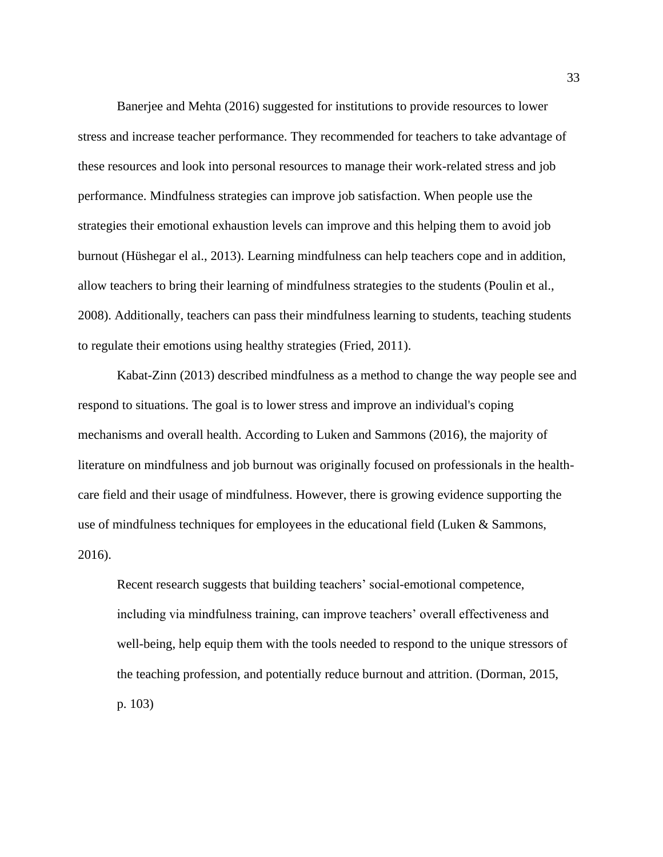Banerjee and Mehta (2016) suggested for institutions to provide resources to lower stress and increase teacher performance. They recommended for teachers to take advantage of these resources and look into personal resources to manage their work-related stress and job performance. Mindfulness strategies can improve job satisfaction. When people use the strategies their emotional exhaustion levels can improve and this helping them to avoid job burnout (Hüshegar el al., 2013). Learning mindfulness can help teachers cope and in addition, allow teachers to bring their learning of mindfulness strategies to the students (Poulin et al., 2008). Additionally, teachers can pass their mindfulness learning to students, teaching students to regulate their emotions using healthy strategies (Fried, 2011).

Kabat-Zinn (2013) described mindfulness as a method to change the way people see and respond to situations. The goal is to lower stress and improve an individual's coping mechanisms and overall health. According to Luken and Sammons (2016), the majority of literature on mindfulness and job burnout was originally focused on professionals in the healthcare field and their usage of mindfulness. However, there is growing evidence supporting the use of mindfulness techniques for employees in the educational field (Luken & Sammons, 2016).

Recent research suggests that building teachers' social-emotional competence, including via mindfulness training, can improve teachers' overall effectiveness and well-being, help equip them with the tools needed to respond to the unique stressors of the teaching profession, and potentially reduce burnout and attrition. (Dorman, 2015, p. 103)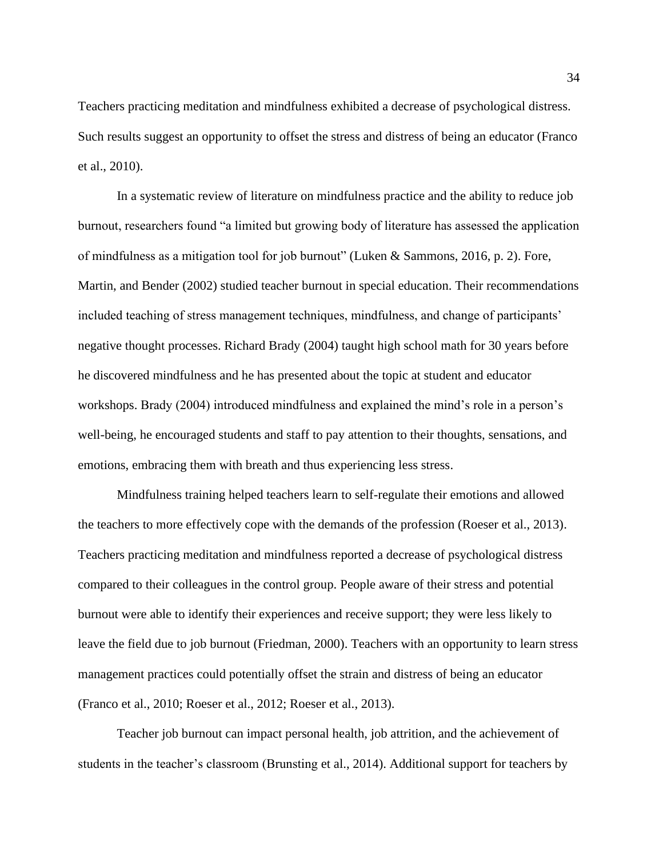Teachers practicing meditation and mindfulness exhibited a decrease of psychological distress. Such results suggest an opportunity to offset the stress and distress of being an educator (Franco et al., 2010).

In a systematic review of literature on mindfulness practice and the ability to reduce job burnout, researchers found "a limited but growing body of literature has assessed the application of mindfulness as a mitigation tool for job burnout" (Luken & Sammons, 2016, p. 2). Fore, Martin, and Bender (2002) studied teacher burnout in special education. Their recommendations included teaching of stress management techniques, mindfulness, and change of participants' negative thought processes. Richard Brady (2004) taught high school math for 30 years before he discovered mindfulness and he has presented about the topic at student and educator workshops. Brady (2004) introduced mindfulness and explained the mind's role in a person's well-being, he encouraged students and staff to pay attention to their thoughts, sensations, and emotions, embracing them with breath and thus experiencing less stress.

Mindfulness training helped teachers learn to self-regulate their emotions and allowed the teachers to more effectively cope with the demands of the profession (Roeser et al., 2013). Teachers practicing meditation and mindfulness reported a decrease of psychological distress compared to their colleagues in the control group. People aware of their stress and potential burnout were able to identify their experiences and receive support; they were less likely to leave the field due to job burnout (Friedman, 2000). Teachers with an opportunity to learn stress management practices could potentially offset the strain and distress of being an educator (Franco et al., 2010; Roeser et al., 2012; Roeser et al., 2013).

Teacher job burnout can impact personal health, job attrition, and the achievement of students in the teacher's classroom (Brunsting et al., 2014). Additional support for teachers by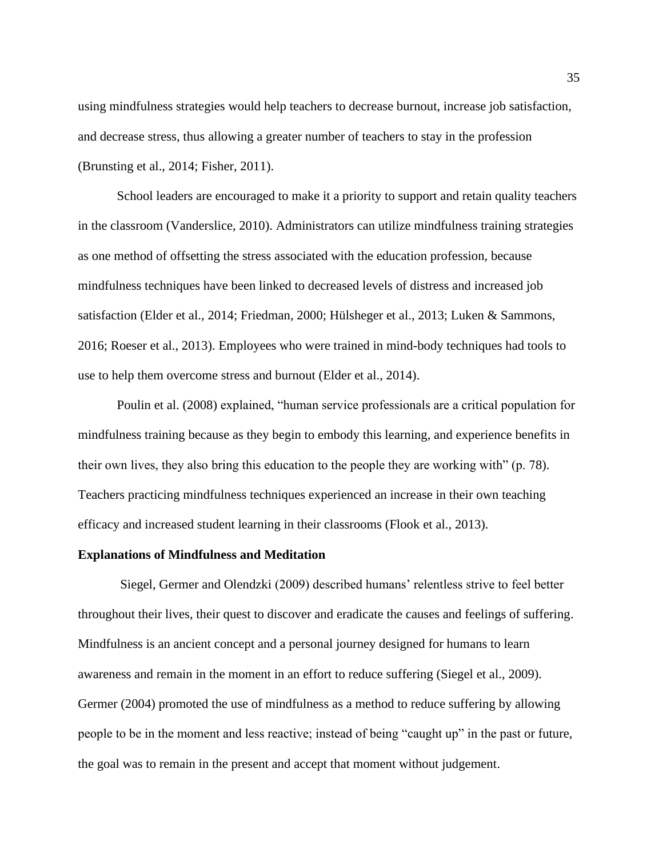using mindfulness strategies would help teachers to decrease burnout, increase job satisfaction, and decrease stress, thus allowing a greater number of teachers to stay in the profession (Brunsting et al., 2014; Fisher, 2011).

School leaders are encouraged to make it a priority to support and retain quality teachers in the classroom (Vanderslice, 2010). Administrators can utilize mindfulness training strategies as one method of offsetting the stress associated with the education profession, because mindfulness techniques have been linked to decreased levels of distress and increased job satisfaction (Elder et al., 2014; Friedman, 2000; Hülsheger et al., 2013; Luken & Sammons, 2016; Roeser et al., 2013). Employees who were trained in mind-body techniques had tools to use to help them overcome stress and burnout (Elder et al., 2014).

Poulin et al. (2008) explained, "human service professionals are a critical population for mindfulness training because as they begin to embody this learning, and experience benefits in their own lives, they also bring this education to the people they are working with" (p. 78). Teachers practicing mindfulness techniques experienced an increase in their own teaching efficacy and increased student learning in their classrooms (Flook et al., 2013).

#### **Explanations of Mindfulness and Meditation**

Siegel, Germer and Olendzki (2009) described humans' relentless strive to feel better throughout their lives, their quest to discover and eradicate the causes and feelings of suffering. Mindfulness is an ancient concept and a personal journey designed for humans to learn awareness and remain in the moment in an effort to reduce suffering (Siegel et al., 2009). Germer (2004) promoted the use of mindfulness as a method to reduce suffering by allowing people to be in the moment and less reactive; instead of being "caught up" in the past or future, the goal was to remain in the present and accept that moment without judgement.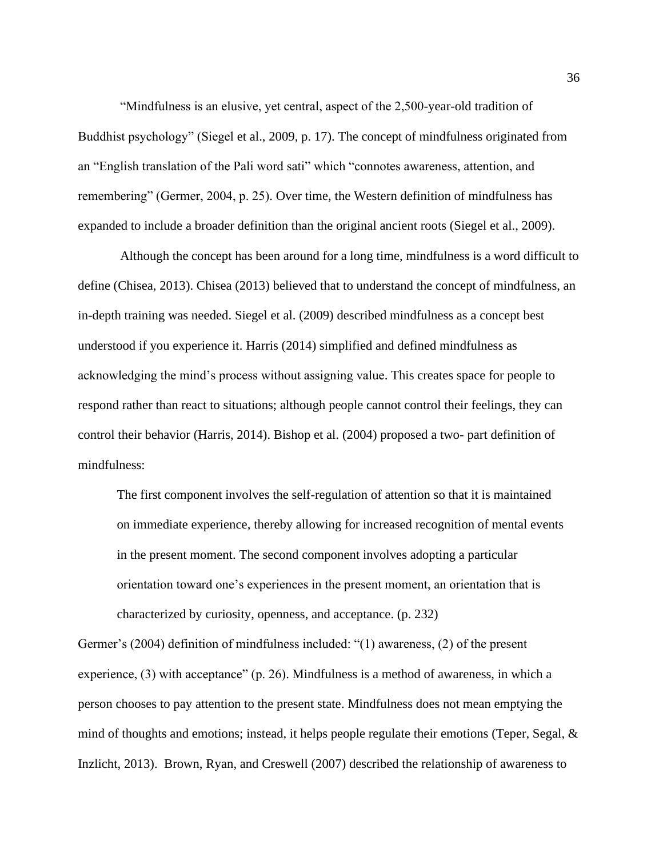"Mindfulness is an elusive, yet central, aspect of the 2,500-year-old tradition of Buddhist psychology" (Siegel et al., 2009, p. 17). The concept of mindfulness originated from an "English translation of the Pali word sati" which "connotes awareness, attention, and remembering" (Germer, 2004, p. 25). Over time, the Western definition of mindfulness has expanded to include a broader definition than the original ancient roots (Siegel et al., 2009).

Although the concept has been around for a long time, mindfulness is a word difficult to define (Chisea, 2013). Chisea (2013) believed that to understand the concept of mindfulness, an in-depth training was needed. Siegel et al. (2009) described mindfulness as a concept best understood if you experience it. Harris (2014) simplified and defined mindfulness as acknowledging the mind's process without assigning value. This creates space for people to respond rather than react to situations; although people cannot control their feelings, they can control their behavior (Harris, 2014). Bishop et al. (2004) proposed a two- part definition of mindfulness:

The first component involves the self-regulation of attention so that it is maintained on immediate experience, thereby allowing for increased recognition of mental events in the present moment. The second component involves adopting a particular orientation toward one's experiences in the present moment, an orientation that is characterized by curiosity, openness, and acceptance. (p. 232)

Germer's (2004) definition of mindfulness included: "(1) awareness, (2) of the present experience, (3) with acceptance" (p. 26). Mindfulness is a method of awareness, in which a person chooses to pay attention to the present state. Mindfulness does not mean emptying the mind of thoughts and emotions; instead, it helps people regulate their emotions (Teper, Segal, & Inzlicht, 2013). Brown, Ryan, and Creswell (2007) described the relationship of awareness to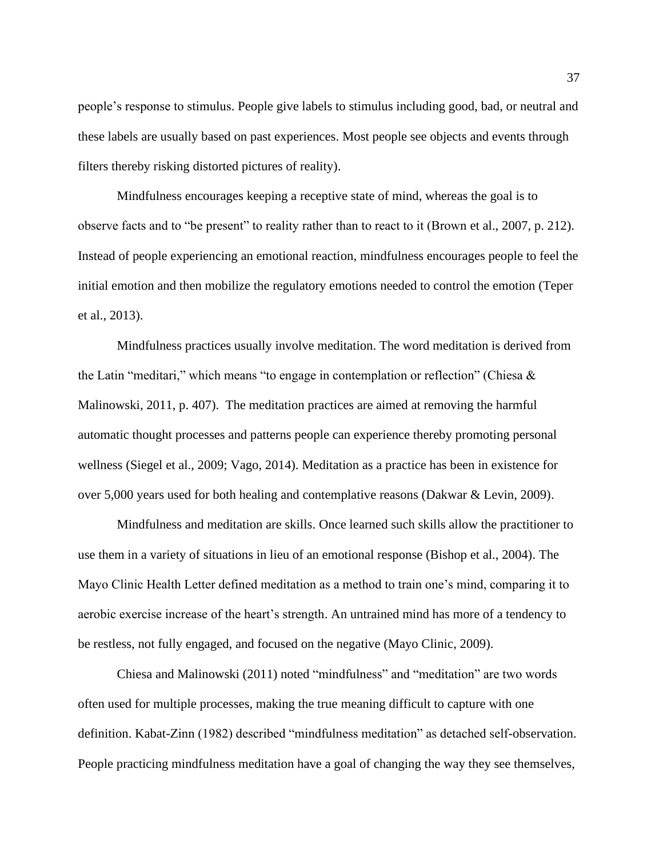people's response to stimulus. People give labels to stimulus including good, bad, or neutral and these labels are usually based on past experiences. Most people see objects and events through filters thereby risking distorted pictures of reality).

Mindfulness encourages keeping a receptive state of mind, whereas the goal is to observe facts and to "be present" to reality rather than to react to it (Brown et al., 2007, p. 212). Instead of people experiencing an emotional reaction, mindfulness encourages people to feel the initial emotion and then mobilize the regulatory emotions needed to control the emotion (Teper et al., 2013).

Mindfulness practices usually involve meditation. The word meditation is derived from the Latin "meditari," which means "to engage in contemplation or reflection" (Chiesa & Malinowski, 2011, p. 407). The meditation practices are aimed at removing the harmful automatic thought processes and patterns people can experience thereby promoting personal wellness (Siegel et al., 2009; Vago, 2014). Meditation as a practice has been in existence for over 5,000 years used for both healing and contemplative reasons (Dakwar & Levin, 2009).

Mindfulness and meditation are skills. Once learned such skills allow the practitioner to use them in a variety of situations in lieu of an emotional response (Bishop et al., 2004). The Mayo Clinic Health Letter defined meditation as a method to train one's mind, comparing it to aerobic exercise increase of the heart's strength. An untrained mind has more of a tendency to be restless, not fully engaged, and focused on the negative (Mayo Clinic, 2009).

Chiesa and Malinowski (2011) noted "mindfulness" and "meditation" are two words often used for multiple processes, making the true meaning difficult to capture with one definition. Kabat-Zinn (1982) described "mindfulness meditation" as detached self-observation. People practicing mindfulness meditation have a goal of changing the way they see themselves,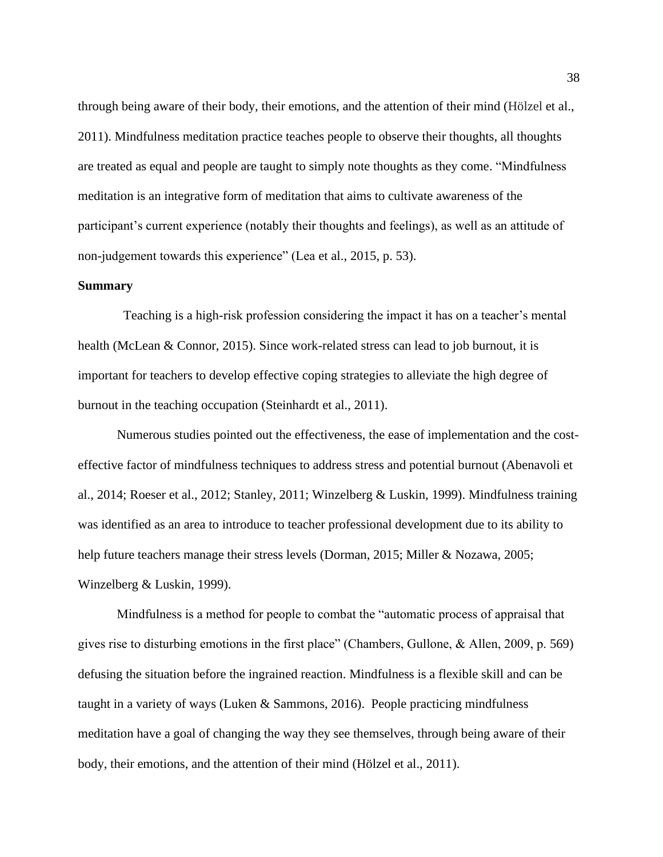through being aware of their body, their emotions, and the attention of their mind (Hölzel et al., 2011). Mindfulness meditation practice teaches people to observe their thoughts, all thoughts are treated as equal and people are taught to simply note thoughts as they come. "Mindfulness meditation is an integrative form of meditation that aims to cultivate awareness of the participant's current experience (notably their thoughts and feelings), as well as an attitude of non-judgement towards this experience" (Lea et al., 2015, p. 53).

#### **Summary**

 Teaching is a high-risk profession considering the impact it has on a teacher's mental health (McLean & Connor, 2015). Since work-related stress can lead to job burnout, it is important for teachers to develop effective coping strategies to alleviate the high degree of burnout in the teaching occupation (Steinhardt et al., 2011).

Numerous studies pointed out the effectiveness, the ease of implementation and the costeffective factor of mindfulness techniques to address stress and potential burnout (Abenavoli et al., 2014; Roeser et al., 2012; Stanley, 2011; Winzelberg & Luskin, 1999). Mindfulness training was identified as an area to introduce to teacher professional development due to its ability to help future teachers manage their stress levels (Dorman, 2015; Miller & Nozawa, 2005; Winzelberg & Luskin, 1999).

Mindfulness is a method for people to combat the "automatic process of appraisal that gives rise to disturbing emotions in the first place" (Chambers, Gullone, & Allen, 2009, p. 569) defusing the situation before the ingrained reaction. Mindfulness is a flexible skill and can be taught in a variety of ways (Luken & Sammons, 2016). People practicing mindfulness meditation have a goal of changing the way they see themselves, through being aware of their body, their emotions, and the attention of their mind (Hölzel et al., 2011).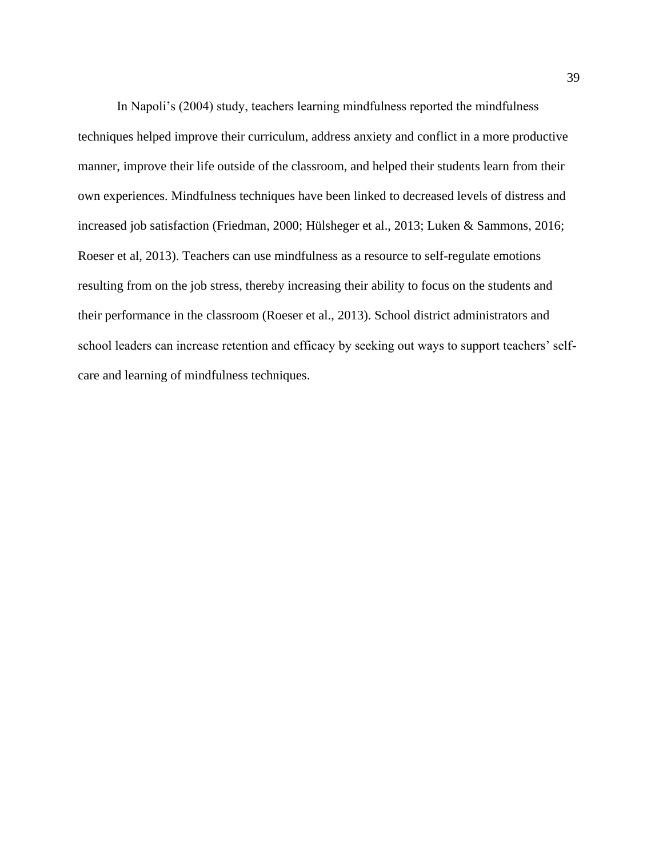In Napoli's (2004) study, teachers learning mindfulness reported the mindfulness techniques helped improve their curriculum, address anxiety and conflict in a more productive manner, improve their life outside of the classroom, and helped their students learn from their own experiences. Mindfulness techniques have been linked to decreased levels of distress and increased job satisfaction (Friedman, 2000; Hülsheger et al., 2013; Luken & Sammons, 2016; Roeser et al, 2013). Teachers can use mindfulness as a resource to self-regulate emotions resulting from on the job stress, thereby increasing their ability to focus on the students and their performance in the classroom (Roeser et al., 2013). School district administrators and school leaders can increase retention and efficacy by seeking out ways to support teachers' selfcare and learning of mindfulness techniques.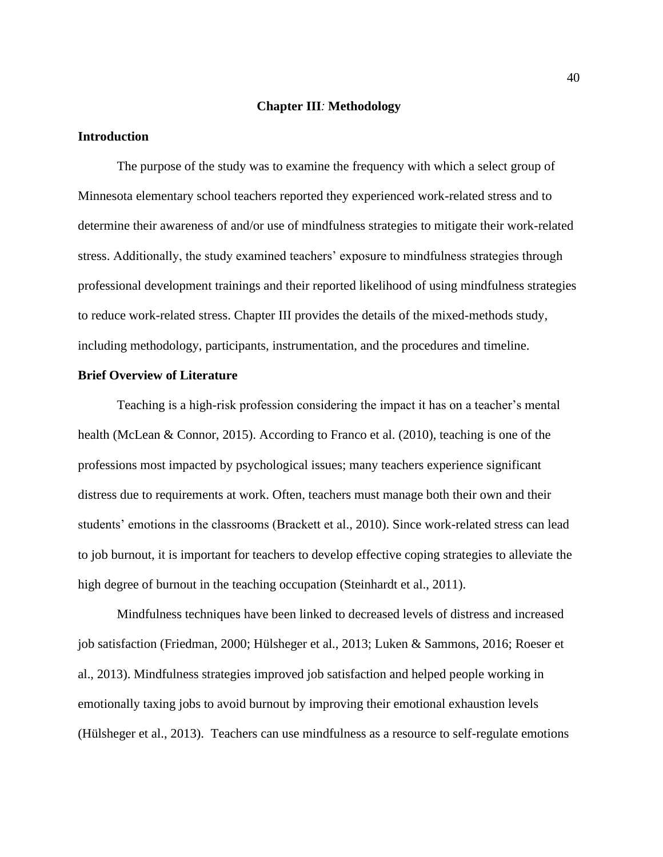#### **Chapter III***:* **Methodology**

#### **Introduction**

The purpose of the study was to examine the frequency with which a select group of Minnesota elementary school teachers reported they experienced work-related stress and to determine their awareness of and/or use of mindfulness strategies to mitigate their work-related stress. Additionally, the study examined teachers' exposure to mindfulness strategies through professional development trainings and their reported likelihood of using mindfulness strategies to reduce work-related stress. Chapter III provides the details of the mixed-methods study, including methodology, participants, instrumentation, and the procedures and timeline.

#### **Brief Overview of Literature**

Teaching is a high-risk profession considering the impact it has on a teacher's mental health (McLean & Connor, 2015). According to Franco et al. (2010), teaching is one of the professions most impacted by psychological issues; many teachers experience significant distress due to requirements at work. Often, teachers must manage both their own and their students' emotions in the classrooms (Brackett et al., 2010). Since work-related stress can lead to job burnout, it is important for teachers to develop effective coping strategies to alleviate the high degree of burnout in the teaching occupation (Steinhardt et al., 2011).

Mindfulness techniques have been linked to decreased levels of distress and increased job satisfaction (Friedman, 2000; Hülsheger et al., 2013; Luken & Sammons, 2016; Roeser et al., 2013). Mindfulness strategies improved job satisfaction and helped people working in emotionally taxing jobs to avoid burnout by improving their emotional exhaustion levels (Hülsheger et al., 2013). Teachers can use mindfulness as a resource to self-regulate emotions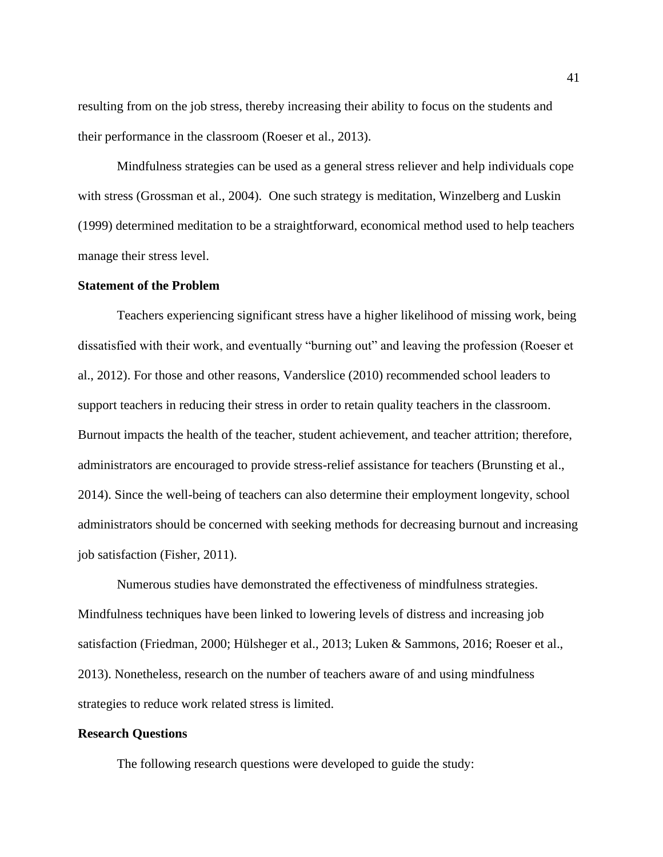resulting from on the job stress, thereby increasing their ability to focus on the students and their performance in the classroom (Roeser et al., 2013).

Mindfulness strategies can be used as a general stress reliever and help individuals cope with stress (Grossman et al., 2004). One such strategy is meditation, Winzelberg and Luskin (1999) determined meditation to be a straightforward, economical method used to help teachers manage their stress level.

## **Statement of the Problem**

Teachers experiencing significant stress have a higher likelihood of missing work, being dissatisfied with their work, and eventually "burning out" and leaving the profession (Roeser et al., 2012). For those and other reasons, Vanderslice (2010) recommended school leaders to support teachers in reducing their stress in order to retain quality teachers in the classroom. Burnout impacts the health of the teacher, student achievement, and teacher attrition; therefore, administrators are encouraged to provide stress-relief assistance for teachers (Brunsting et al., 2014). Since the well-being of teachers can also determine their employment longevity, school administrators should be concerned with seeking methods for decreasing burnout and increasing job satisfaction (Fisher, 2011).

Numerous studies have demonstrated the effectiveness of mindfulness strategies. Mindfulness techniques have been linked to lowering levels of distress and increasing job satisfaction (Friedman, 2000; Hülsheger et al., 2013; Luken & Sammons, 2016; Roeser et al., 2013). Nonetheless, research on the number of teachers aware of and using mindfulness strategies to reduce work related stress is limited.

#### **Research Questions**

The following research questions were developed to guide the study: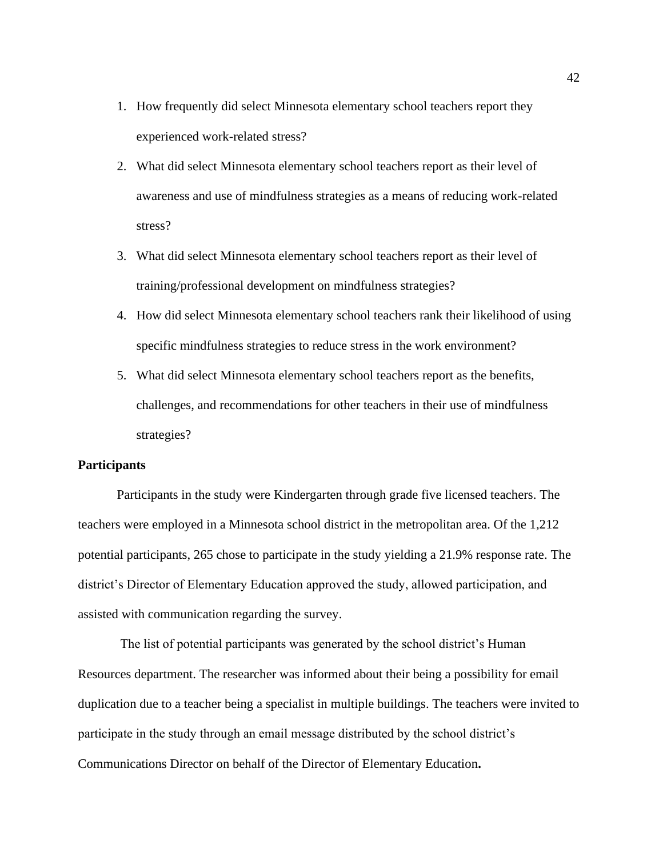- 1. How frequently did select Minnesota elementary school teachers report they experienced work-related stress?
- 2. What did select Minnesota elementary school teachers report as their level of awareness and use of mindfulness strategies as a means of reducing work-related stress?
- 3. What did select Minnesota elementary school teachers report as their level of training/professional development on mindfulness strategies?
- 4. How did select Minnesota elementary school teachers rank their likelihood of using specific mindfulness strategies to reduce stress in the work environment?
- 5. What did select Minnesota elementary school teachers report as the benefits, challenges, and recommendations for other teachers in their use of mindfulness strategies?

# **Participants**

Participants in the study were Kindergarten through grade five licensed teachers. The teachers were employed in a Minnesota school district in the metropolitan area. Of the 1,212 potential participants, 265 chose to participate in the study yielding a 21.9% response rate. The district's Director of Elementary Education approved the study, allowed participation, and assisted with communication regarding the survey.

The list of potential participants was generated by the school district's Human Resources department. The researcher was informed about their being a possibility for email duplication due to a teacher being a specialist in multiple buildings. The teachers were invited to participate in the study through an email message distributed by the school district's Communications Director on behalf of the Director of Elementary Education**.**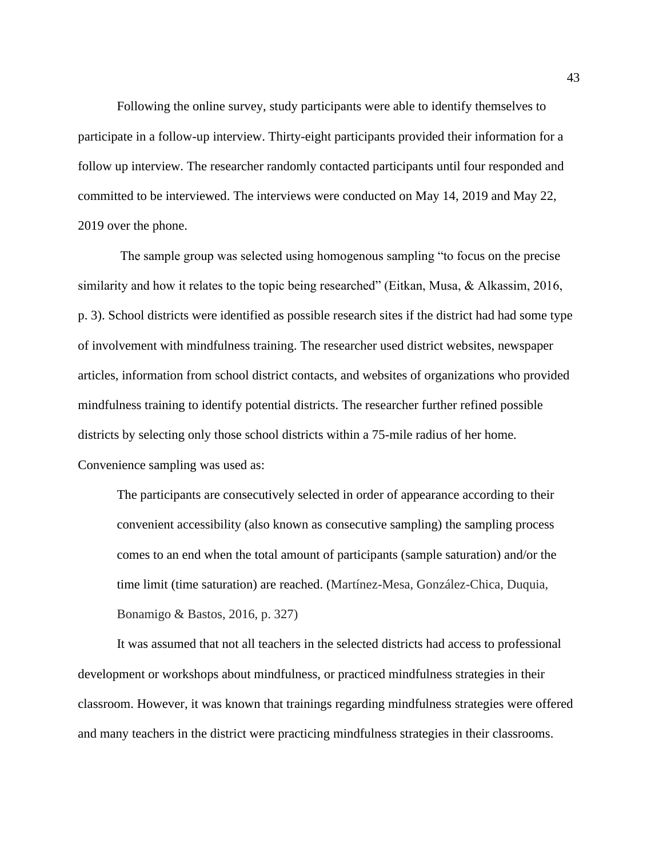Following the online survey, study participants were able to identify themselves to participate in a follow-up interview. Thirty-eight participants provided their information for a follow up interview. The researcher randomly contacted participants until four responded and committed to be interviewed. The interviews were conducted on May 14, 2019 and May 22, 2019 over the phone.

The sample group was selected using homogenous sampling "to focus on the precise similarity and how it relates to the topic being researched" (Eitkan, Musa, & Alkassim, 2016, p. 3). School districts were identified as possible research sites if the district had had some type of involvement with mindfulness training. The researcher used district websites, newspaper articles, information from school district contacts, and websites of organizations who provided mindfulness training to identify potential districts. The researcher further refined possible districts by selecting only those school districts within a 75-mile radius of her home. Convenience sampling was used as:

The participants are consecutively selected in order of appearance according to their convenient accessibility (also known as consecutive sampling) the sampling process comes to an end when the total amount of participants (sample saturation) and/or the time limit (time saturation) are reached. (Martínez-Mesa, González-Chica, Duquia, Bonamigo & Bastos, 2016, p. 327)

It was assumed that not all teachers in the selected districts had access to professional development or workshops about mindfulness, or practiced mindfulness strategies in their classroom. However, it was known that trainings regarding mindfulness strategies were offered and many teachers in the district were practicing mindfulness strategies in their classrooms.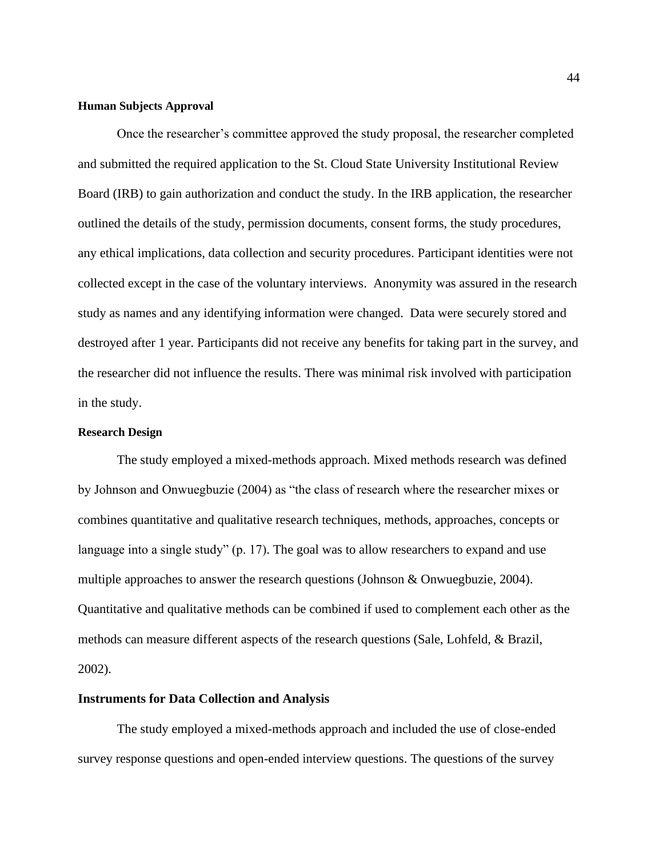#### **Human Subjects Approval**

Once the researcher's committee approved the study proposal, the researcher completed and submitted the required application to the St. Cloud State University Institutional Review Board (IRB) to gain authorization and conduct the study. In the IRB application, the researcher outlined the details of the study, permission documents, consent forms, the study procedures, any ethical implications, data collection and security procedures. Participant identities were not collected except in the case of the voluntary interviews. Anonymity was assured in the research study as names and any identifying information were changed. Data were securely stored and destroyed after 1 year. Participants did not receive any benefits for taking part in the survey, and the researcher did not influence the results. There was minimal risk involved with participation in the study.

#### **Research Design**

The study employed a mixed-methods approach. Mixed methods research was defined by Johnson and Onwuegbuzie (2004) as "the class of research where the researcher mixes or combines quantitative and qualitative research techniques, methods, approaches, concepts or language into a single study" (p. 17). The goal was to allow researchers to expand and use multiple approaches to answer the research questions (Johnson & Onwuegbuzie, 2004). Quantitative and qualitative methods can be combined if used to complement each other as the methods can measure different aspects of the research questions (Sale, Lohfeld, & Brazil, 2002).

#### **Instruments for Data Collection and Analysis**

The study employed a mixed-methods approach and included the use of close-ended survey response questions and open-ended interview questions. The questions of the survey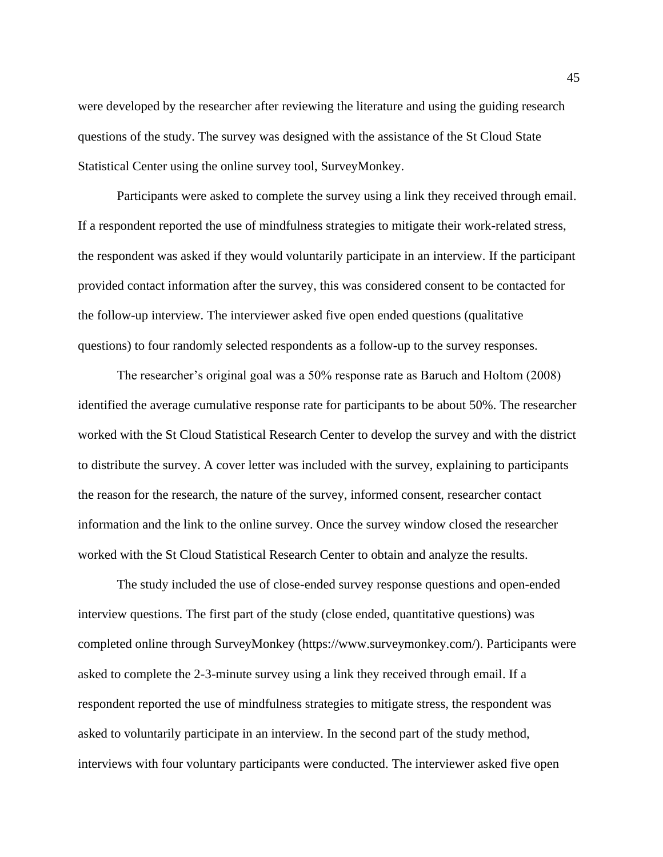were developed by the researcher after reviewing the literature and using the guiding research questions of the study. The survey was designed with the assistance of the St Cloud State Statistical Center using the online survey tool, SurveyMonkey.

Participants were asked to complete the survey using a link they received through email. If a respondent reported the use of mindfulness strategies to mitigate their work-related stress, the respondent was asked if they would voluntarily participate in an interview. If the participant provided contact information after the survey, this was considered consent to be contacted for the follow-up interview. The interviewer asked five open ended questions (qualitative questions) to four randomly selected respondents as a follow-up to the survey responses.

The researcher's original goal was a 50% response rate as Baruch and Holtom (2008) identified the average cumulative response rate for participants to be about 50%. The researcher worked with the St Cloud Statistical Research Center to develop the survey and with the district to distribute the survey. A cover letter was included with the survey, explaining to participants the reason for the research, the nature of the survey, informed consent, researcher contact information and the link to the online survey. Once the survey window closed the researcher worked with the St Cloud Statistical Research Center to obtain and analyze the results.

The study included the use of close-ended survey response questions and open-ended interview questions. The first part of the study (close ended, quantitative questions) was completed online through SurveyMonkey (https://www.surveymonkey.com/). Participants were asked to complete the 2-3-minute survey using a link they received through email. If a respondent reported the use of mindfulness strategies to mitigate stress, the respondent was asked to voluntarily participate in an interview. In the second part of the study method, interviews with four voluntary participants were conducted. The interviewer asked five open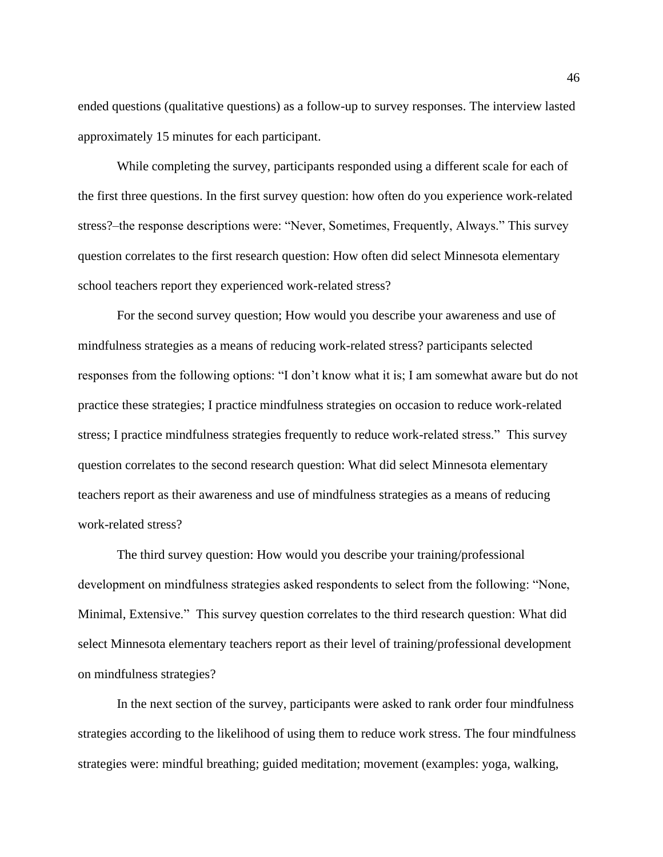ended questions (qualitative questions) as a follow-up to survey responses. The interview lasted approximately 15 minutes for each participant.

While completing the survey, participants responded using a different scale for each of the first three questions. In the first survey question: how often do you experience work-related stress?–the response descriptions were: "Never, Sometimes, Frequently, Always." This survey question correlates to the first research question: How often did select Minnesota elementary school teachers report they experienced work-related stress?

For the second survey question; How would you describe your awareness and use of mindfulness strategies as a means of reducing work-related stress? participants selected responses from the following options: "I don't know what it is; I am somewhat aware but do not practice these strategies; I practice mindfulness strategies on occasion to reduce work-related stress; I practice mindfulness strategies frequently to reduce work-related stress." This survey question correlates to the second research question: What did select Minnesota elementary teachers report as their awareness and use of mindfulness strategies as a means of reducing work-related stress?

The third survey question: How would you describe your training/professional development on mindfulness strategies asked respondents to select from the following: "None, Minimal, Extensive." This survey question correlates to the third research question: What did select Minnesota elementary teachers report as their level of training/professional development on mindfulness strategies?

In the next section of the survey, participants were asked to rank order four mindfulness strategies according to the likelihood of using them to reduce work stress. The four mindfulness strategies were: mindful breathing; guided meditation; movement (examples: yoga, walking,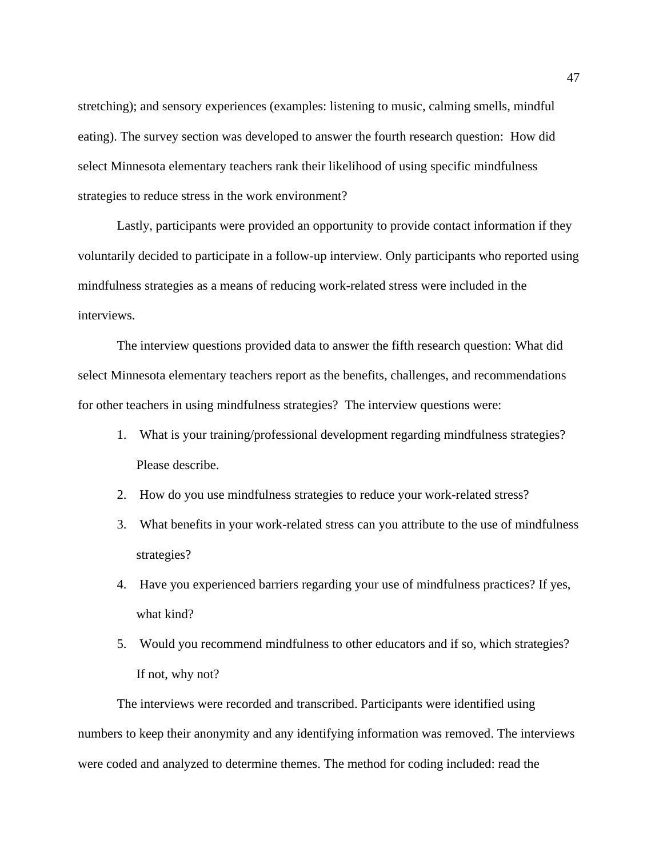stretching); and sensory experiences (examples: listening to music, calming smells, mindful eating). The survey section was developed to answer the fourth research question: How did select Minnesota elementary teachers rank their likelihood of using specific mindfulness strategies to reduce stress in the work environment?

Lastly, participants were provided an opportunity to provide contact information if they voluntarily decided to participate in a follow-up interview. Only participants who reported using mindfulness strategies as a means of reducing work-related stress were included in the interviews.

The interview questions provided data to answer the fifth research question: What did select Minnesota elementary teachers report as the benefits, challenges, and recommendations for other teachers in using mindfulness strategies? The interview questions were:

- 1. What is your training/professional development regarding mindfulness strategies? Please describe.
- 2. How do you use mindfulness strategies to reduce your work-related stress?
- 3. What benefits in your work-related stress can you attribute to the use of mindfulness strategies?
- 4. Have you experienced barriers regarding your use of mindfulness practices? If yes, what kind?
- 5. Would you recommend mindfulness to other educators and if so, which strategies? If not, why not?

The interviews were recorded and transcribed. Participants were identified using numbers to keep their anonymity and any identifying information was removed. The interviews were coded and analyzed to determine themes. The method for coding included: read the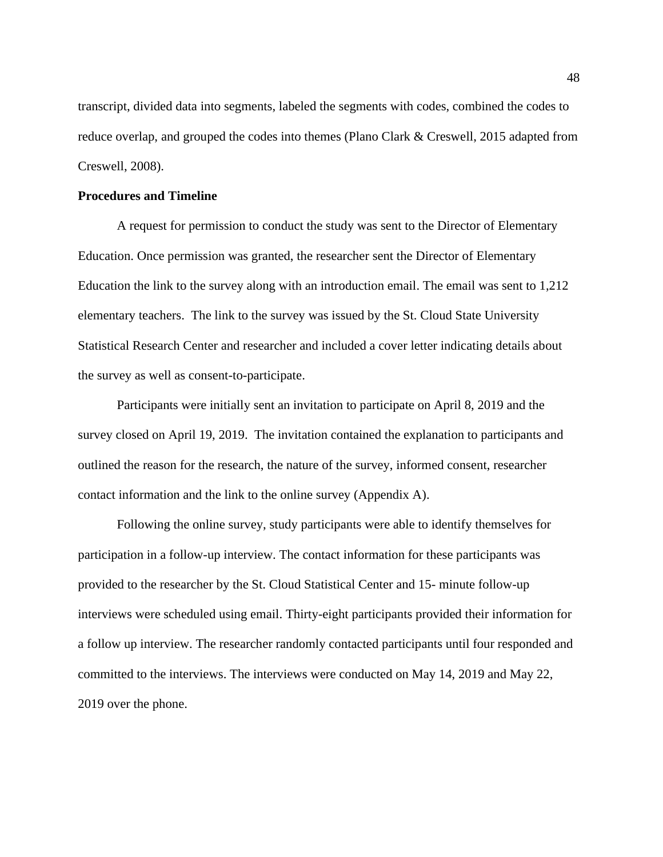transcript, divided data into segments, labeled the segments with codes, combined the codes to reduce overlap, and grouped the codes into themes (Plano Clark & Creswell, 2015 adapted from Creswell, 2008).

## **Procedures and Timeline**

A request for permission to conduct the study was sent to the Director of Elementary Education. Once permission was granted, the researcher sent the Director of Elementary Education the link to the survey along with an introduction email. The email was sent to 1,212 elementary teachers. The link to the survey was issued by the St. Cloud State University Statistical Research Center and researcher and included a cover letter indicating details about the survey as well as consent-to-participate.

Participants were initially sent an invitation to participate on April 8, 2019 and the survey closed on April 19, 2019. The invitation contained the explanation to participants and outlined the reason for the research, the nature of the survey, informed consent, researcher contact information and the link to the online survey (Appendix A).

Following the online survey, study participants were able to identify themselves for participation in a follow-up interview. The contact information for these participants was provided to the researcher by the St. Cloud Statistical Center and 15- minute follow-up interviews were scheduled using email. Thirty-eight participants provided their information for a follow up interview. The researcher randomly contacted participants until four responded and committed to the interviews. The interviews were conducted on May 14, 2019 and May 22, 2019 over the phone.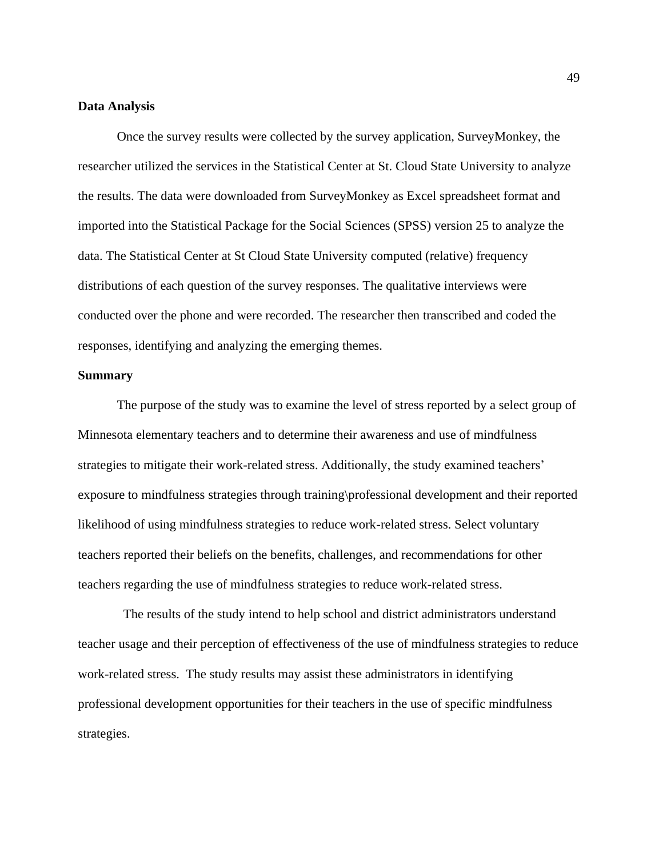#### **Data Analysis**

Once the survey results were collected by the survey application, SurveyMonkey, the researcher utilized the services in the Statistical Center at St. Cloud State University to analyze the results. The data were downloaded from SurveyMonkey as Excel spreadsheet format and imported into the Statistical Package for the Social Sciences (SPSS) version 25 to analyze the data. The Statistical Center at St Cloud State University computed (relative) frequency distributions of each question of the survey responses. The qualitative interviews were conducted over the phone and were recorded. The researcher then transcribed and coded the responses, identifying and analyzing the emerging themes.

## **Summary**

The purpose of the study was to examine the level of stress reported by a select group of Minnesota elementary teachers and to determine their awareness and use of mindfulness strategies to mitigate their work-related stress. Additionally, the study examined teachers' exposure to mindfulness strategies through training\professional development and their reported likelihood of using mindfulness strategies to reduce work-related stress. Select voluntary teachers reported their beliefs on the benefits, challenges, and recommendations for other teachers regarding the use of mindfulness strategies to reduce work-related stress.

 The results of the study intend to help school and district administrators understand teacher usage and their perception of effectiveness of the use of mindfulness strategies to reduce work-related stress. The study results may assist these administrators in identifying professional development opportunities for their teachers in the use of specific mindfulness strategies.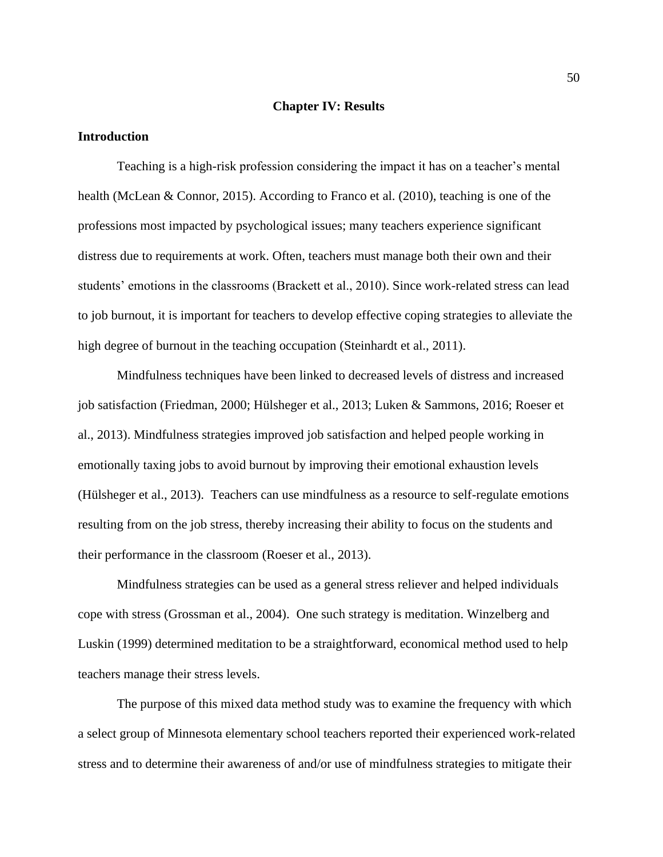#### **Chapter IV: Results**

#### **Introduction**

Teaching is a high-risk profession considering the impact it has on a teacher's mental health (McLean & Connor, 2015). According to Franco et al. (2010), teaching is one of the professions most impacted by psychological issues; many teachers experience significant distress due to requirements at work. Often, teachers must manage both their own and their students' emotions in the classrooms (Brackett et al., 2010). Since work-related stress can lead to job burnout, it is important for teachers to develop effective coping strategies to alleviate the high degree of burnout in the teaching occupation (Steinhardt et al., 2011).

Mindfulness techniques have been linked to decreased levels of distress and increased job satisfaction (Friedman, 2000; Hülsheger et al., 2013; Luken & Sammons, 2016; Roeser et al., 2013). Mindfulness strategies improved job satisfaction and helped people working in emotionally taxing jobs to avoid burnout by improving their emotional exhaustion levels (Hülsheger et al., 2013). Teachers can use mindfulness as a resource to self-regulate emotions resulting from on the job stress, thereby increasing their ability to focus on the students and their performance in the classroom (Roeser et al., 2013).

Mindfulness strategies can be used as a general stress reliever and helped individuals cope with stress (Grossman et al., 2004). One such strategy is meditation. Winzelberg and Luskin (1999) determined meditation to be a straightforward, economical method used to help teachers manage their stress levels.

The purpose of this mixed data method study was to examine the frequency with which a select group of Minnesota elementary school teachers reported their experienced work-related stress and to determine their awareness of and/or use of mindfulness strategies to mitigate their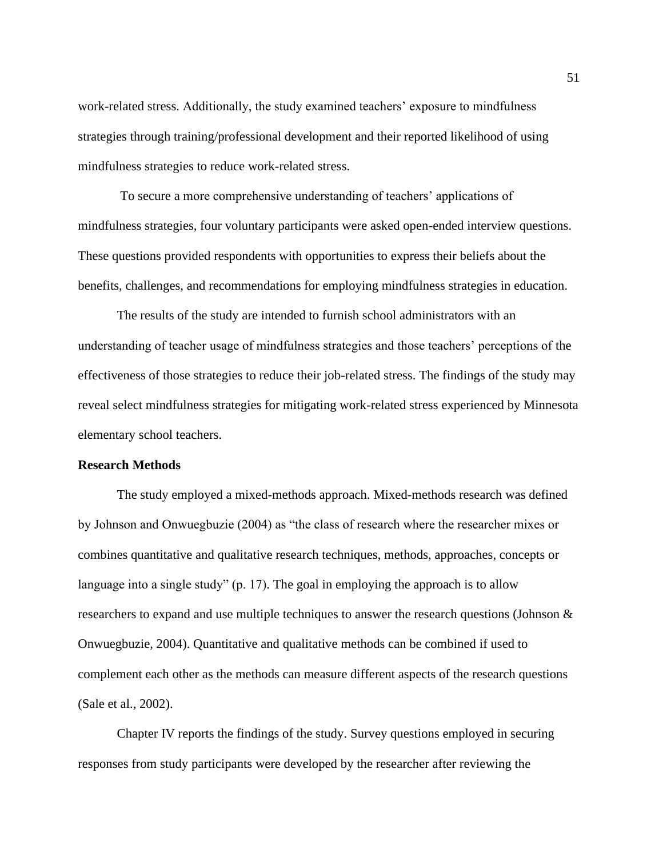work-related stress. Additionally, the study examined teachers' exposure to mindfulness strategies through training/professional development and their reported likelihood of using mindfulness strategies to reduce work-related stress.

To secure a more comprehensive understanding of teachers' applications of mindfulness strategies, four voluntary participants were asked open-ended interview questions. These questions provided respondents with opportunities to express their beliefs about the benefits, challenges, and recommendations for employing mindfulness strategies in education.

The results of the study are intended to furnish school administrators with an understanding of teacher usage of mindfulness strategies and those teachers' perceptions of the effectiveness of those strategies to reduce their job-related stress. The findings of the study may reveal select mindfulness strategies for mitigating work-related stress experienced by Minnesota elementary school teachers.

# **Research Methods**

The study employed a mixed-methods approach. Mixed-methods research was defined by Johnson and Onwuegbuzie (2004) as "the class of research where the researcher mixes or combines quantitative and qualitative research techniques, methods, approaches, concepts or language into a single study" (p. 17). The goal in employing the approach is to allow researchers to expand and use multiple techniques to answer the research questions (Johnson & Onwuegbuzie, 2004). Quantitative and qualitative methods can be combined if used to complement each other as the methods can measure different aspects of the research questions (Sale et al., 2002).

Chapter IV reports the findings of the study. Survey questions employed in securing responses from study participants were developed by the researcher after reviewing the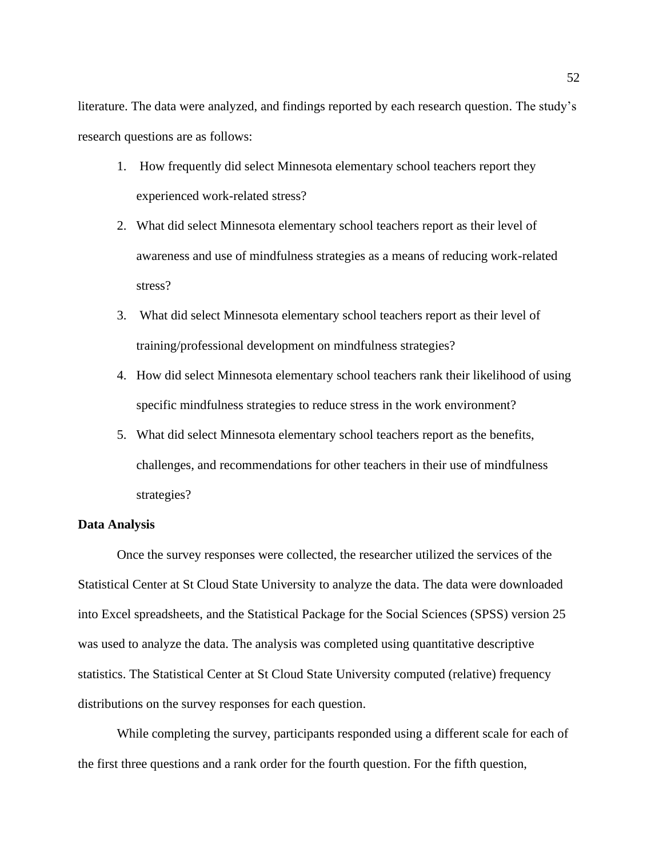literature. The data were analyzed, and findings reported by each research question. The study's research questions are as follows:

- 1. How frequently did select Minnesota elementary school teachers report they experienced work-related stress?
- 2. What did select Minnesota elementary school teachers report as their level of awareness and use of mindfulness strategies as a means of reducing work-related stress?
- 3. What did select Minnesota elementary school teachers report as their level of training/professional development on mindfulness strategies?
- 4. How did select Minnesota elementary school teachers rank their likelihood of using specific mindfulness strategies to reduce stress in the work environment?
- 5. What did select Minnesota elementary school teachers report as the benefits, challenges, and recommendations for other teachers in their use of mindfulness strategies?

## **Data Analysis**

Once the survey responses were collected, the researcher utilized the services of the Statistical Center at St Cloud State University to analyze the data. The data were downloaded into Excel spreadsheets, and the Statistical Package for the Social Sciences (SPSS) version 25 was used to analyze the data. The analysis was completed using quantitative descriptive statistics. The Statistical Center at St Cloud State University computed (relative) frequency distributions on the survey responses for each question.

While completing the survey, participants responded using a different scale for each of the first three questions and a rank order for the fourth question. For the fifth question,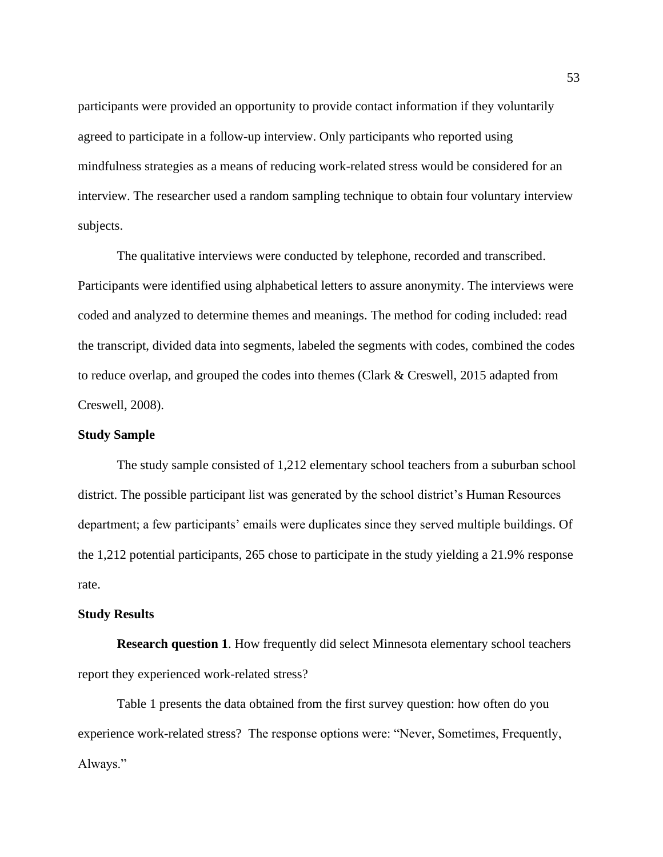participants were provided an opportunity to provide contact information if they voluntarily agreed to participate in a follow-up interview. Only participants who reported using mindfulness strategies as a means of reducing work-related stress would be considered for an interview. The researcher used a random sampling technique to obtain four voluntary interview subjects.

The qualitative interviews were conducted by telephone, recorded and transcribed. Participants were identified using alphabetical letters to assure anonymity. The interviews were coded and analyzed to determine themes and meanings. The method for coding included: read the transcript, divided data into segments, labeled the segments with codes, combined the codes to reduce overlap, and grouped the codes into themes (Clark & Creswell, 2015 adapted from Creswell, 2008).

#### **Study Sample**

The study sample consisted of 1,212 elementary school teachers from a suburban school district. The possible participant list was generated by the school district's Human Resources department; a few participants' emails were duplicates since they served multiple buildings. Of the 1,212 potential participants, 265 chose to participate in the study yielding a 21.9% response rate.

#### **Study Results**

**Research question 1**. How frequently did select Minnesota elementary school teachers report they experienced work-related stress?

Table 1 presents the data obtained from the first survey question: how often do you experience work-related stress? The response options were: "Never, Sometimes, Frequently, Always."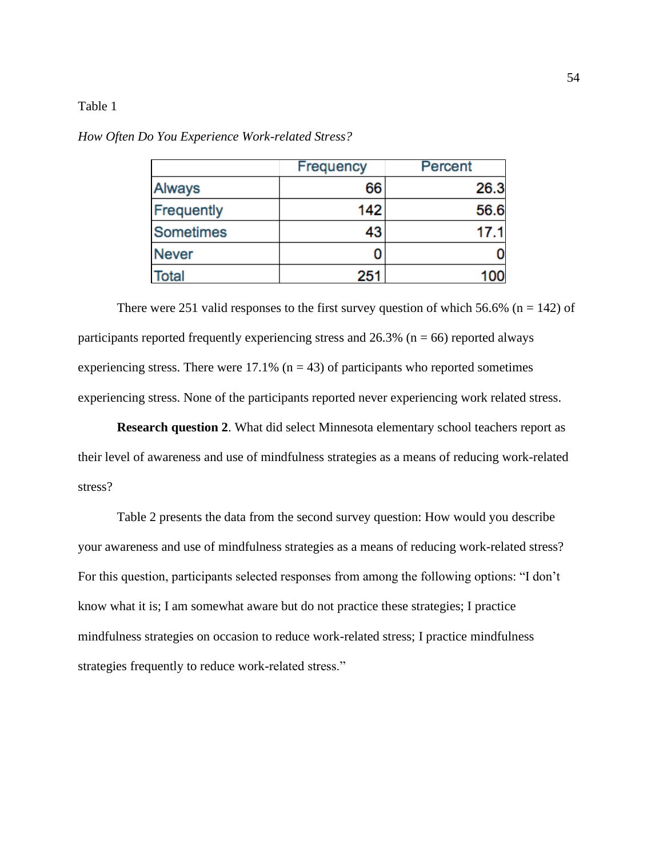|                   | <b>Frequency</b> | Percent |
|-------------------|------------------|---------|
| <b>Always</b>     | 66               | 26.3    |
| <b>Frequently</b> | 142              | 56.6    |
| <b>Sometimes</b>  | 43               | 17.1    |
| <b>Never</b>      |                  |         |
| <b>Total</b>      | 251              | 100     |

*How Often Do You Experience Work-related Stress?*

There were 251 valid responses to the first survey question of which 56.6% ( $n = 142$ ) of participants reported frequently experiencing stress and  $26.3\%$  (n = 66) reported always experiencing stress. There were  $17.1\%$  (n = 43) of participants who reported sometimes experiencing stress. None of the participants reported never experiencing work related stress.

**Research question 2**. What did select Minnesota elementary school teachers report as their level of awareness and use of mindfulness strategies as a means of reducing work-related stress?

Table 2 presents the data from the second survey question: How would you describe your awareness and use of mindfulness strategies as a means of reducing work-related stress? For this question, participants selected responses from among the following options: "I don't know what it is; I am somewhat aware but do not practice these strategies; I practice mindfulness strategies on occasion to reduce work-related stress; I practice mindfulness strategies frequently to reduce work-related stress."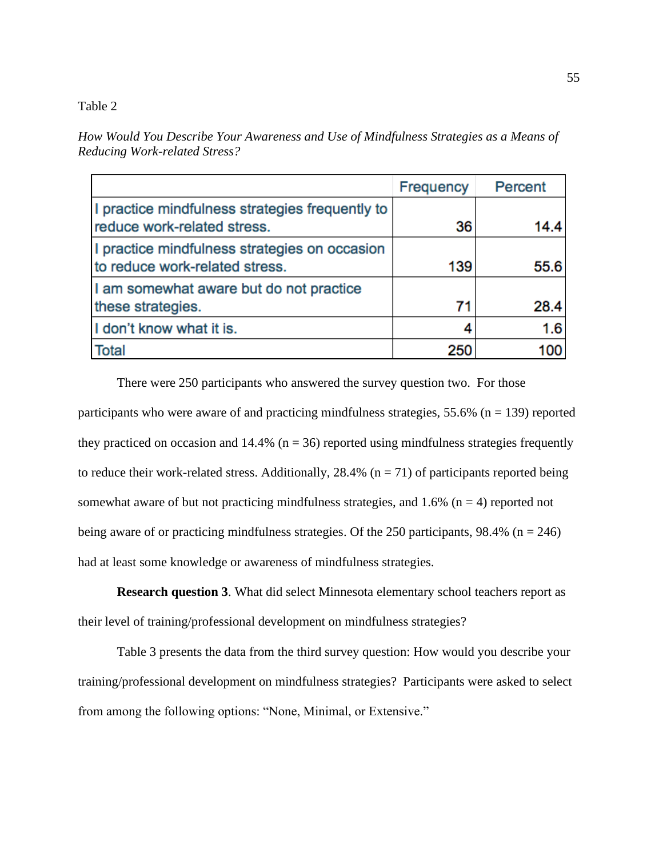*How Would You Describe Your Awareness and Use of Mindfulness Strategies as a Means of Reducing Work-related Stress?*

|                                                                                 | <b>Frequency</b> | Percent |
|---------------------------------------------------------------------------------|------------------|---------|
| I practice mindfulness strategies frequently to<br>reduce work-related stress.  | 36               | 14.4    |
| I practice mindfulness strategies on occasion<br>to reduce work-related stress. | 139              | 55.6    |
| I am somewhat aware but do not practice<br>these strategies.                    | 71               | 28.4    |
| I don't know what it is.                                                        |                  | 1.6     |
| <b>Total</b>                                                                    | 250              | 100     |

There were 250 participants who answered the survey question two. For those participants who were aware of and practicing mindfulness strategies,  $55.6\%$  (n = 139) reported they practiced on occasion and 14.4% ( $n = 36$ ) reported using mindfulness strategies frequently to reduce their work-related stress. Additionally, 28.4% ( $n = 71$ ) of participants reported being somewhat aware of but not practicing mindfulness strategies, and 1.6% ( $n = 4$ ) reported not being aware of or practicing mindfulness strategies. Of the 250 participants,  $98.4\%$  (n = 246) had at least some knowledge or awareness of mindfulness strategies.

**Research question 3**. What did select Minnesota elementary school teachers report as their level of training/professional development on mindfulness strategies?

Table 3 presents the data from the third survey question: How would you describe your training/professional development on mindfulness strategies? Participants were asked to select from among the following options: "None, Minimal, or Extensive."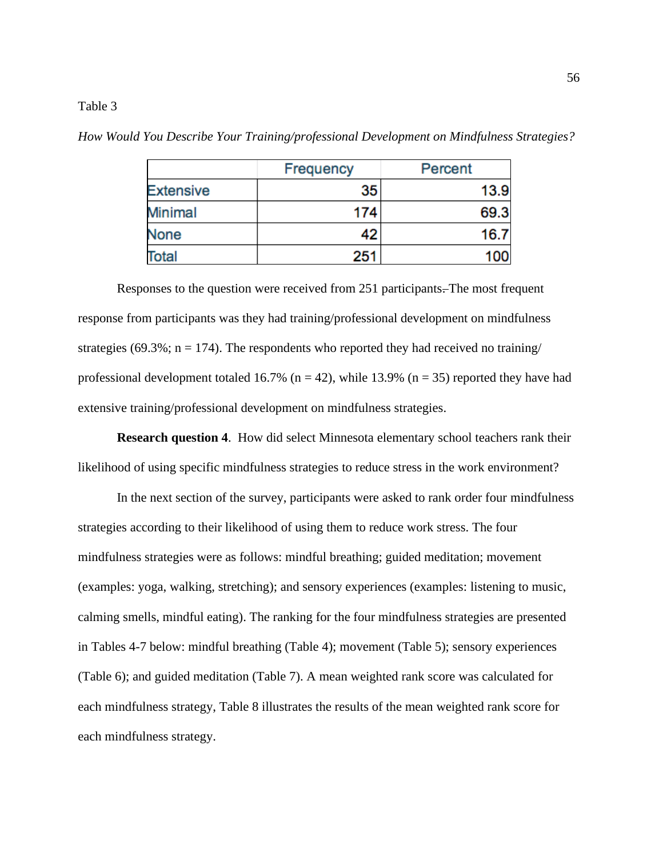|                  | Frequency | Percent |  |
|------------------|-----------|---------|--|
| <b>Extensive</b> | 35        | 13.9    |  |
| Minimal          | 174       | 69.3    |  |
| <b>None</b>      | 42        | 16.7    |  |
| <b>Total</b>     | 251       | 100     |  |

*How Would You Describe Your Training/professional Development on Mindfulness Strategies?*

Responses to the question were received from 251 participants. The most frequent response from participants was they had training/professional development on mindfulness strategies (69.3%;  $n = 174$ ). The respondents who reported they had received no training/ professional development totaled 16.7% ( $n = 42$ ), while 13.9% ( $n = 35$ ) reported they have had extensive training/professional development on mindfulness strategies.

**Research question 4**.How did select Minnesota elementary school teachers rank their likelihood of using specific mindfulness strategies to reduce stress in the work environment?

In the next section of the survey, participants were asked to rank order four mindfulness strategies according to their likelihood of using them to reduce work stress. The four mindfulness strategies were as follows: mindful breathing; guided meditation; movement (examples: yoga, walking, stretching); and sensory experiences (examples: listening to music, calming smells, mindful eating). The ranking for the four mindfulness strategies are presented in Tables 4-7 below: mindful breathing (Table 4); movement (Table 5); sensory experiences (Table 6); and guided meditation (Table 7). A mean weighted rank score was calculated for each mindfulness strategy, Table 8 illustrates the results of the mean weighted rank score for each mindfulness strategy.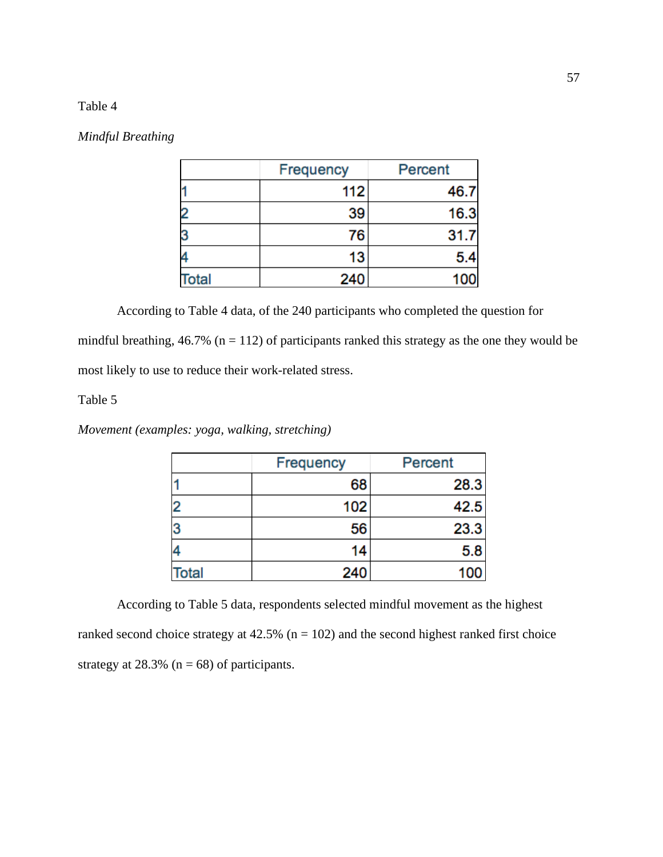#### *Mindful Breathing*

|              | <b>Frequency</b> | Percent |
|--------------|------------------|---------|
|              | 112              | 46.7    |
|              | 39               | 16.3    |
|              | 76               | 31.7    |
|              | 13               | 5.4     |
| <b>Total</b> | 240              | 100     |

According to Table 4 data, of the 240 participants who completed the question for mindful breathing,  $46.7\%$  (n = 112) of participants ranked this strategy as the one they would be most likely to use to reduce their work-related stress.

# Table 5

*Movement (examples: yoga, walking, stretching)*

|              | Frequency | Percent |  |
|--------------|-----------|---------|--|
|              | 68        | 28.3    |  |
|              | 102       | 42.5    |  |
|              | 56        | 23.3    |  |
|              | 14        | 5.8     |  |
| <b>Total</b> | 240       | 100     |  |

According to Table 5 data, respondents selected mindful movement as the highest ranked second choice strategy at  $42.5\%$  (n = 102) and the second highest ranked first choice strategy at 28.3% ( $n = 68$ ) of participants.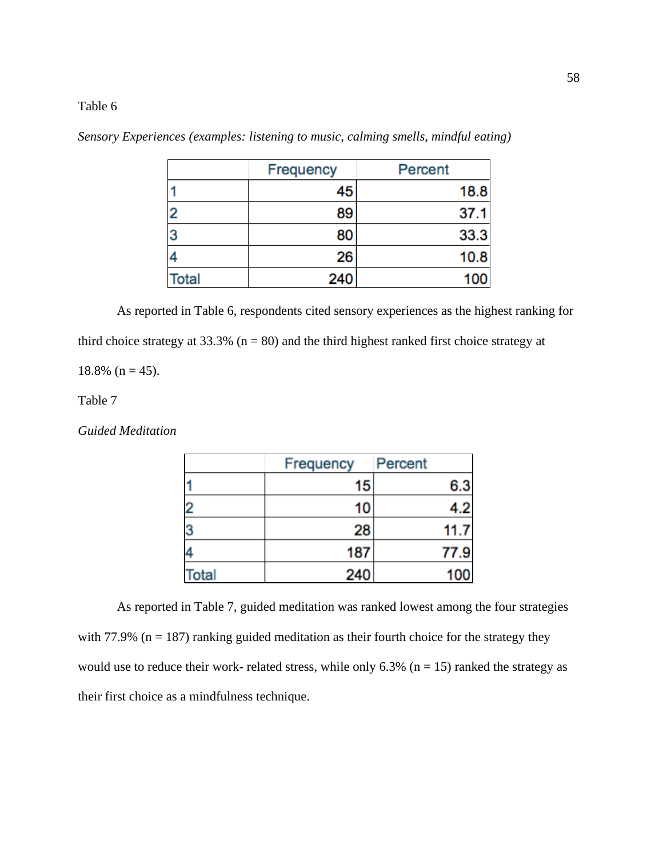|              | <b>Frequency</b> | Percent |
|--------------|------------------|---------|
|              | 45               | 18.8    |
| $\mathbf{2}$ | 89               | 37.1    |
| 3            | 80               | 33.3    |
|              | 26               | 10.8    |
| <b>Total</b> | 240              | 100     |

*Sensory Experiences (examples: listening to music, calming smells, mindful eating)*

As reported in Table 6, respondents cited sensory experiences as the highest ranking for third choice strategy at  $33.3\%$  (n = 80) and the third highest ranked first choice strategy at

 $18.8\%$  (n = 45).

Table 7

*Guided Meditation*

|      | Frequency | Percent |
|------|-----------|---------|
|      | 15        | 6.3     |
| 2    | 10        | 4.2     |
| 3    | 28        | 11.7    |
|      | 187       | 77.9    |
| otal | 240       | 100     |

As reported in Table 7, guided meditation was ranked lowest among the four strategies with 77.9% ( $n = 187$ ) ranking guided meditation as their fourth choice for the strategy they would use to reduce their work- related stress, while only  $6.3\%$  (n = 15) ranked the strategy as their first choice as a mindfulness technique.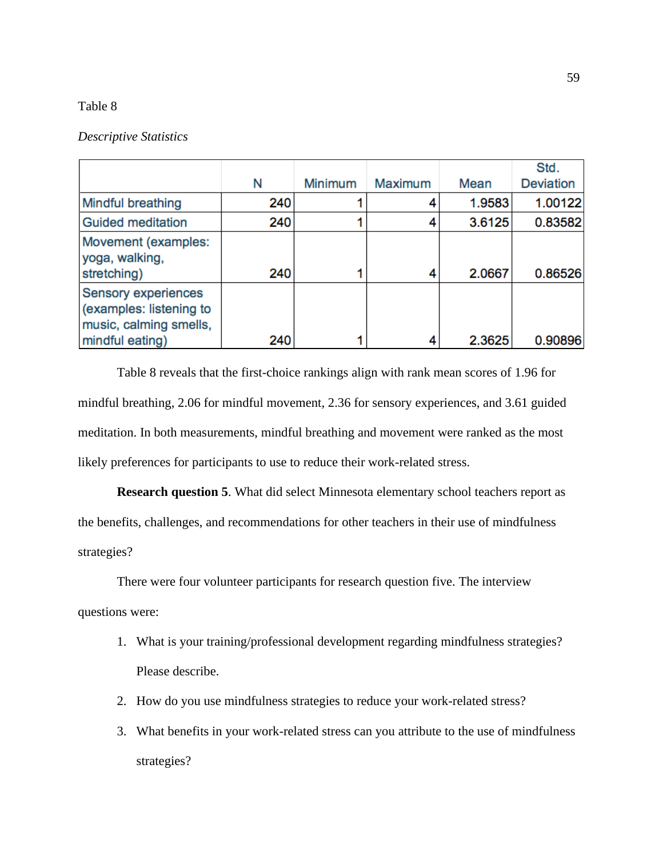#### *Descriptive Statistics*

|                                                                                                    |     |                |                |        | Std.             |
|----------------------------------------------------------------------------------------------------|-----|----------------|----------------|--------|------------------|
|                                                                                                    | Ν   | <b>Minimum</b> | <b>Maximum</b> | Mean   | <b>Deviation</b> |
| <b>Mindful breathing</b>                                                                           | 240 |                | 4              | 1.9583 | 1.00122          |
| <b>Guided meditation</b>                                                                           | 240 |                |                | 3.6125 | 0.83582          |
| Movement (examples:<br>yoga, walking,<br>stretching)                                               | 240 |                | 4              | 2.0667 | 0.86526          |
| <b>Sensory experiences</b><br>(examples: listening to<br>music, calming smells,<br>mindful eating) | 240 |                | 4              | 2.3625 | 0.90896          |

Table 8 reveals that the first-choice rankings align with rank mean scores of 1.96 for mindful breathing, 2.06 for mindful movement, 2.36 for sensory experiences, and 3.61 guided meditation. In both measurements, mindful breathing and movement were ranked as the most likely preferences for participants to use to reduce their work-related stress.

**Research question 5**. What did select Minnesota elementary school teachers report as the benefits, challenges, and recommendations for other teachers in their use of mindfulness strategies?

There were four volunteer participants for research question five. The interview questions were:

- 1. What is your training/professional development regarding mindfulness strategies? Please describe.
- 2. How do you use mindfulness strategies to reduce your work-related stress?
- 3. What benefits in your work-related stress can you attribute to the use of mindfulness strategies?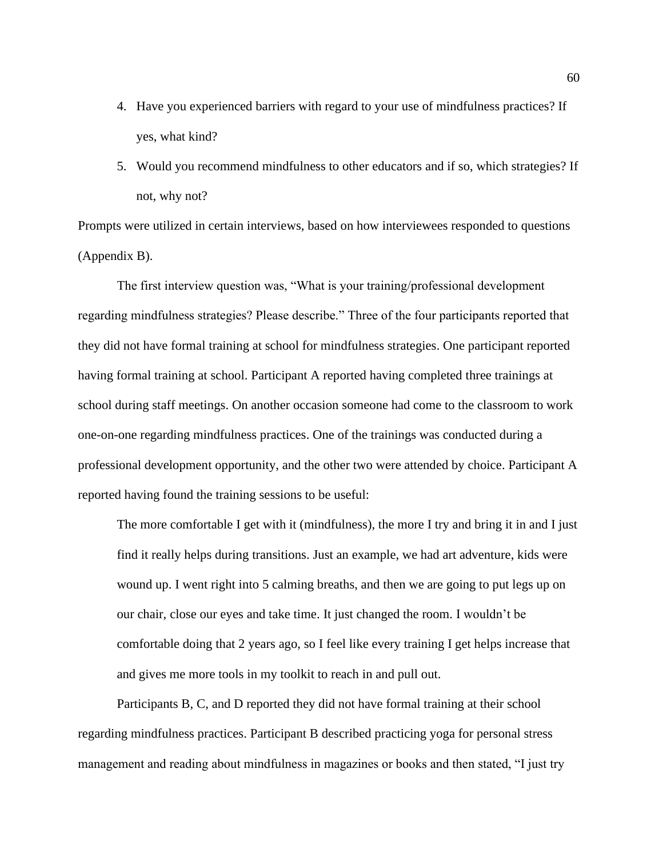- 4. Have you experienced barriers with regard to your use of mindfulness practices? If yes, what kind?
- 5. Would you recommend mindfulness to other educators and if so, which strategies? If not, why not?

Prompts were utilized in certain interviews, based on how interviewees responded to questions (Appendix B).

The first interview question was, "What is your training/professional development regarding mindfulness strategies? Please describe." Three of the four participants reported that they did not have formal training at school for mindfulness strategies. One participant reported having formal training at school. Participant A reported having completed three trainings at school during staff meetings. On another occasion someone had come to the classroom to work one-on-one regarding mindfulness practices. One of the trainings was conducted during a professional development opportunity, and the other two were attended by choice. Participant A reported having found the training sessions to be useful:

The more comfortable I get with it (mindfulness), the more I try and bring it in and I just find it really helps during transitions. Just an example, we had art adventure, kids were wound up. I went right into 5 calming breaths, and then we are going to put legs up on our chair, close our eyes and take time. It just changed the room. I wouldn't be comfortable doing that 2 years ago, so I feel like every training I get helps increase that and gives me more tools in my toolkit to reach in and pull out.

Participants B, C, and D reported they did not have formal training at their school regarding mindfulness practices. Participant B described practicing yoga for personal stress management and reading about mindfulness in magazines or books and then stated, "I just try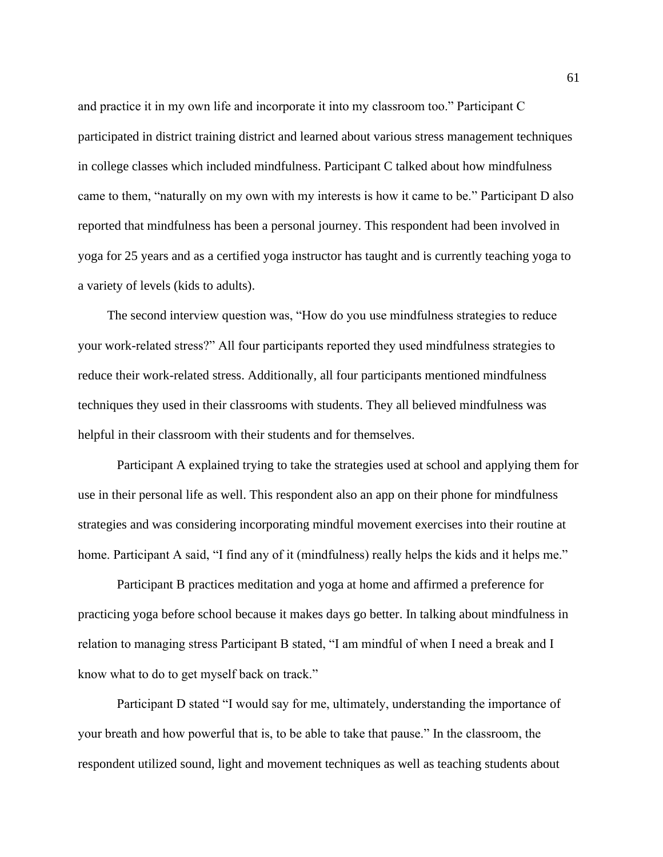and practice it in my own life and incorporate it into my classroom too." Participant C participated in district training district and learned about various stress management techniques in college classes which included mindfulness. Participant C talked about how mindfulness came to them, "naturally on my own with my interests is how it came to be." Participant D also reported that mindfulness has been a personal journey. This respondent had been involved in yoga for 25 years and as a certified yoga instructor has taught and is currently teaching yoga to a variety of levels (kids to adults).

The second interview question was, "How do you use mindfulness strategies to reduce your work-related stress?" All four participants reported they used mindfulness strategies to reduce their work-related stress. Additionally, all four participants mentioned mindfulness techniques they used in their classrooms with students. They all believed mindfulness was helpful in their classroom with their students and for themselves.

Participant A explained trying to take the strategies used at school and applying them for use in their personal life as well. This respondent also an app on their phone for mindfulness strategies and was considering incorporating mindful movement exercises into their routine at home. Participant A said, "I find any of it (mindfulness) really helps the kids and it helps me."

Participant B practices meditation and yoga at home and affirmed a preference for practicing yoga before school because it makes days go better. In talking about mindfulness in relation to managing stress Participant B stated, "I am mindful of when I need a break and I know what to do to get myself back on track."

Participant D stated "I would say for me, ultimately, understanding the importance of your breath and how powerful that is, to be able to take that pause." In the classroom, the respondent utilized sound, light and movement techniques as well as teaching students about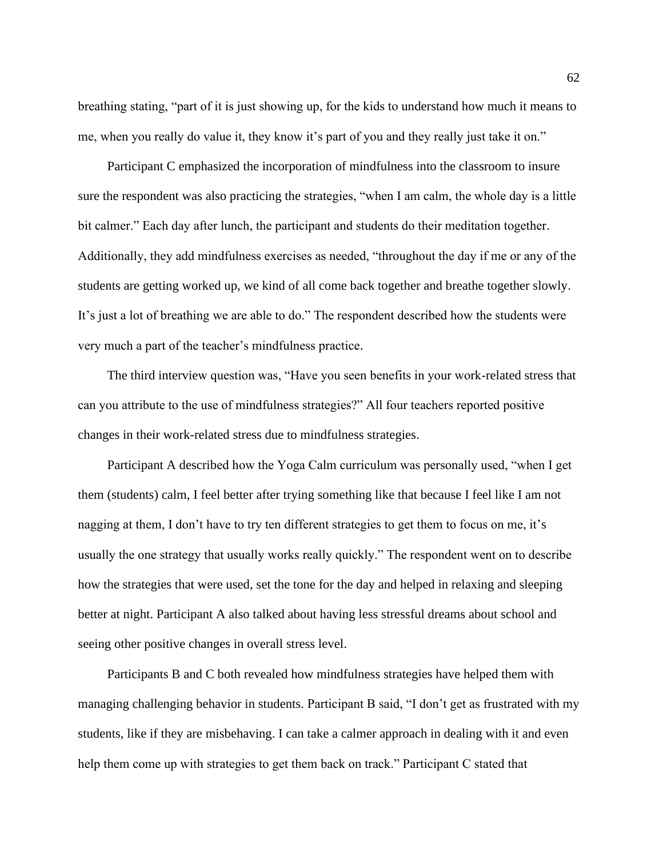breathing stating, "part of it is just showing up, for the kids to understand how much it means to me, when you really do value it, they know it's part of you and they really just take it on."

Participant C emphasized the incorporation of mindfulness into the classroom to insure sure the respondent was also practicing the strategies, "when I am calm, the whole day is a little bit calmer." Each day after lunch, the participant and students do their meditation together. Additionally, they add mindfulness exercises as needed, "throughout the day if me or any of the students are getting worked up, we kind of all come back together and breathe together slowly. It's just a lot of breathing we are able to do." The respondent described how the students were very much a part of the teacher's mindfulness practice.

The third interview question was, "Have you seen benefits in your work-related stress that can you attribute to the use of mindfulness strategies?" All four teachers reported positive changes in their work-related stress due to mindfulness strategies.

Participant A described how the Yoga Calm curriculum was personally used, "when I get them (students) calm, I feel better after trying something like that because I feel like I am not nagging at them, I don't have to try ten different strategies to get them to focus on me, it's usually the one strategy that usually works really quickly." The respondent went on to describe how the strategies that were used, set the tone for the day and helped in relaxing and sleeping better at night. Participant A also talked about having less stressful dreams about school and seeing other positive changes in overall stress level.

Participants B and C both revealed how mindfulness strategies have helped them with managing challenging behavior in students. Participant B said, "I don't get as frustrated with my students, like if they are misbehaving. I can take a calmer approach in dealing with it and even help them come up with strategies to get them back on track." Participant C stated that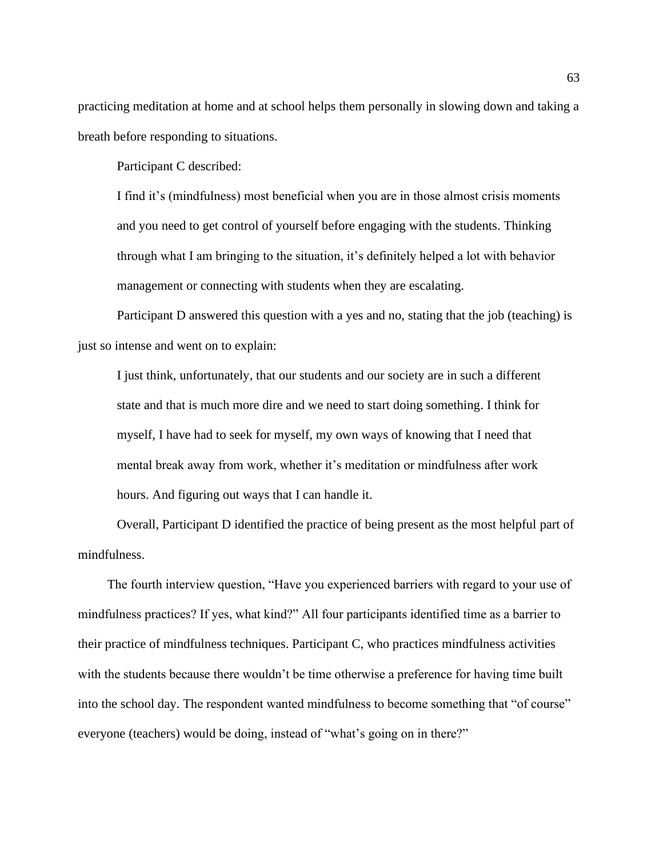practicing meditation at home and at school helps them personally in slowing down and taking a breath before responding to situations.

Participant C described:

I find it's (mindfulness) most beneficial when you are in those almost crisis moments and you need to get control of yourself before engaging with the students. Thinking through what I am bringing to the situation, it's definitely helped a lot with behavior management or connecting with students when they are escalating.

Participant D answered this question with a yes and no, stating that the job (teaching) is just so intense and went on to explain:

I just think, unfortunately, that our students and our society are in such a different state and that is much more dire and we need to start doing something. I think for myself, I have had to seek for myself, my own ways of knowing that I need that mental break away from work, whether it's meditation or mindfulness after work hours. And figuring out ways that I can handle it.

Overall, Participant D identified the practice of being present as the most helpful part of mindfulness.

The fourth interview question, "Have you experienced barriers with regard to your use of mindfulness practices? If yes, what kind?" All four participants identified time as a barrier to their practice of mindfulness techniques. Participant C, who practices mindfulness activities with the students because there wouldn't be time otherwise a preference for having time built into the school day. The respondent wanted mindfulness to become something that "of course" everyone (teachers) would be doing, instead of "what's going on in there?"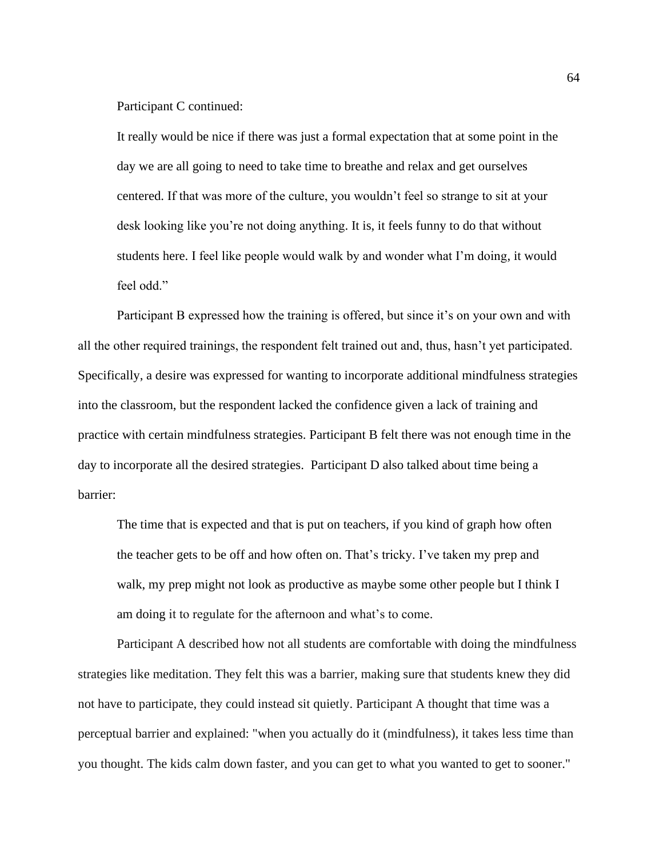Participant C continued:

It really would be nice if there was just a formal expectation that at some point in the day we are all going to need to take time to breathe and relax and get ourselves centered. If that was more of the culture, you wouldn't feel so strange to sit at your desk looking like you're not doing anything. It is, it feels funny to do that without students here. I feel like people would walk by and wonder what I'm doing, it would feel odd."

Participant B expressed how the training is offered, but since it's on your own and with all the other required trainings, the respondent felt trained out and, thus, hasn't yet participated. Specifically, a desire was expressed for wanting to incorporate additional mindfulness strategies into the classroom, but the respondent lacked the confidence given a lack of training and practice with certain mindfulness strategies. Participant B felt there was not enough time in the day to incorporate all the desired strategies. Participant D also talked about time being a barrier:

The time that is expected and that is put on teachers, if you kind of graph how often the teacher gets to be off and how often on. That's tricky. I've taken my prep and walk, my prep might not look as productive as maybe some other people but I think I am doing it to regulate for the afternoon and what's to come.

Participant A described how not all students are comfortable with doing the mindfulness strategies like meditation. They felt this was a barrier, making sure that students knew they did not have to participate, they could instead sit quietly. Participant A thought that time was a perceptual barrier and explained: "when you actually do it (mindfulness), it takes less time than you thought. The kids calm down faster, and you can get to what you wanted to get to sooner."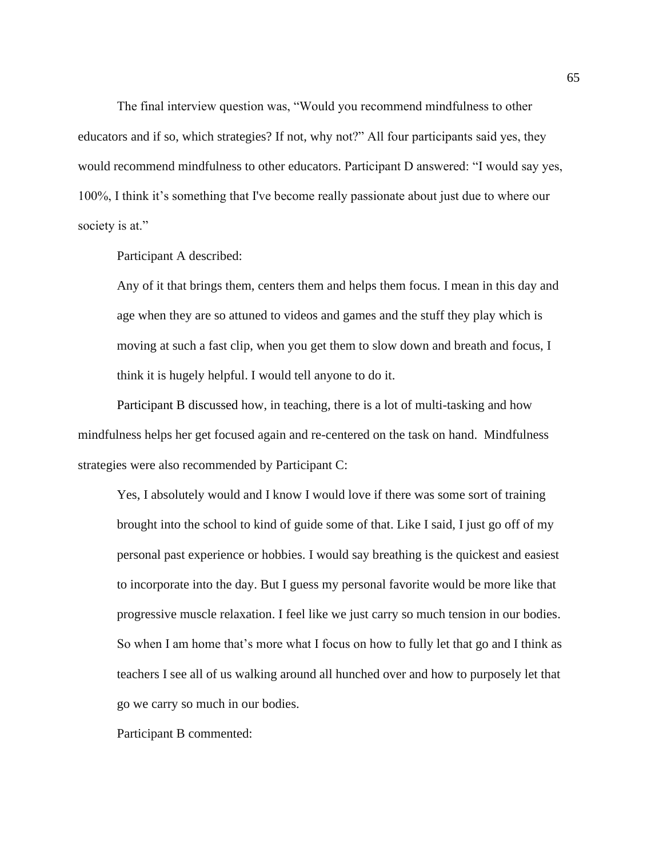The final interview question was, "Would you recommend mindfulness to other educators and if so, which strategies? If not, why not?" All four participants said yes, they would recommend mindfulness to other educators. Participant D answered: "I would say yes, 100%, I think it's something that I've become really passionate about just due to where our society is at."

Participant A described:

Any of it that brings them, centers them and helps them focus. I mean in this day and age when they are so attuned to videos and games and the stuff they play which is moving at such a fast clip, when you get them to slow down and breath and focus, I think it is hugely helpful. I would tell anyone to do it.

Participant B discussed how, in teaching, there is a lot of multi-tasking and how mindfulness helps her get focused again and re-centered on the task on hand. Mindfulness strategies were also recommended by Participant C:

Yes, I absolutely would and I know I would love if there was some sort of training brought into the school to kind of guide some of that. Like I said, I just go off of my personal past experience or hobbies. I would say breathing is the quickest and easiest to incorporate into the day. But I guess my personal favorite would be more like that progressive muscle relaxation. I feel like we just carry so much tension in our bodies. So when I am home that's more what I focus on how to fully let that go and I think as teachers I see all of us walking around all hunched over and how to purposely let that go we carry so much in our bodies.

Participant B commented: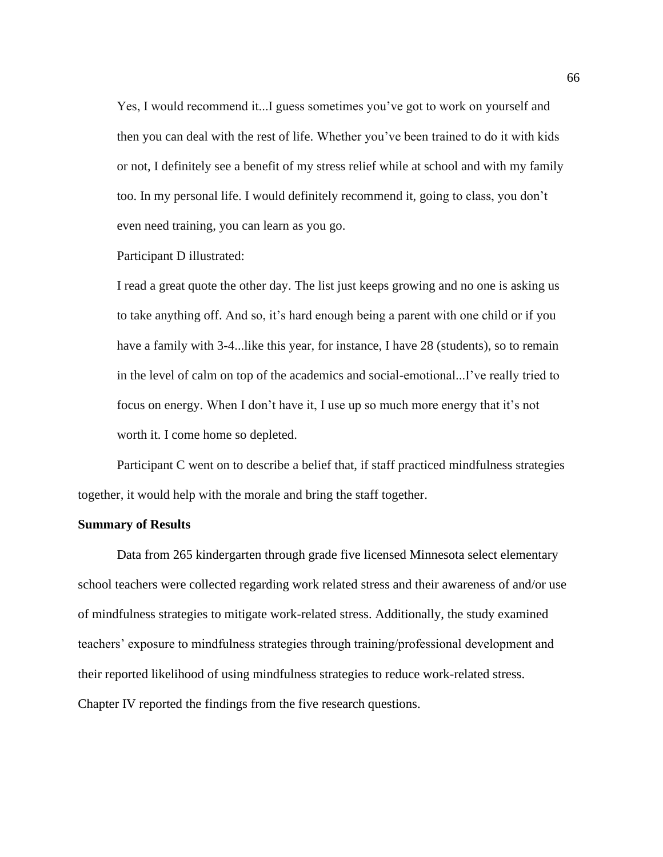Yes, I would recommend it...I guess sometimes you've got to work on yourself and then you can deal with the rest of life. Whether you've been trained to do it with kids or not, I definitely see a benefit of my stress relief while at school and with my family too. In my personal life. I would definitely recommend it, going to class, you don't even need training, you can learn as you go.

Participant D illustrated:

I read a great quote the other day. The list just keeps growing and no one is asking us to take anything off. And so, it's hard enough being a parent with one child or if you have a family with 3-4... like this year, for instance, I have 28 (students), so to remain in the level of calm on top of the academics and social-emotional...I've really tried to focus on energy. When I don't have it, I use up so much more energy that it's not worth it. I come home so depleted.

Participant C went on to describe a belief that, if staff practiced mindfulness strategies together, it would help with the morale and bring the staff together.

#### **Summary of Results**

Data from 265 kindergarten through grade five licensed Minnesota select elementary school teachers were collected regarding work related stress and their awareness of and/or use of mindfulness strategies to mitigate work-related stress. Additionally, the study examined teachers' exposure to mindfulness strategies through training/professional development and their reported likelihood of using mindfulness strategies to reduce work-related stress. Chapter IV reported the findings from the five research questions.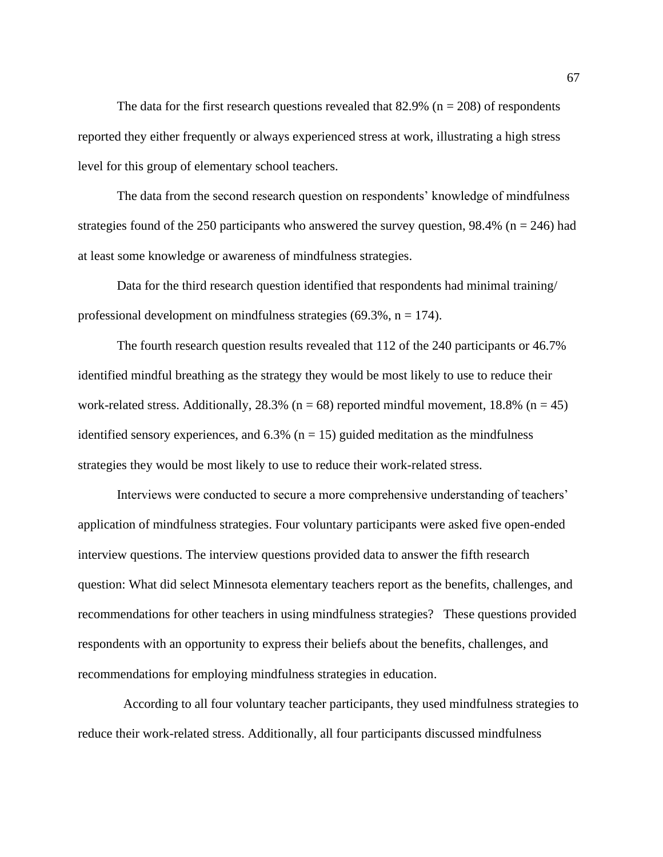The data for the first research questions revealed that 82.9% ( $n = 208$ ) of respondents reported they either frequently or always experienced stress at work, illustrating a high stress level for this group of elementary school teachers.

The data from the second research question on respondents' knowledge of mindfulness strategies found of the 250 participants who answered the survey question,  $98.4\%$  (n = 246) had at least some knowledge or awareness of mindfulness strategies.

Data for the third research question identified that respondents had minimal training/ professional development on mindfulness strategies  $(69.3\%, n = 174)$ .

The fourth research question results revealed that 112 of the 240 participants or 46.7% identified mindful breathing as the strategy they would be most likely to use to reduce their work-related stress. Additionally,  $28.3\%$  (n = 68) reported mindful movement, 18.8% (n = 45) identified sensory experiences, and  $6.3\%$  (n = 15) guided meditation as the mindfulness strategies they would be most likely to use to reduce their work-related stress.

Interviews were conducted to secure a more comprehensive understanding of teachers' application of mindfulness strategies. Four voluntary participants were asked five open-ended interview questions. The interview questions provided data to answer the fifth research question: What did select Minnesota elementary teachers report as the benefits, challenges, and recommendations for other teachers in using mindfulness strategies? These questions provided respondents with an opportunity to express their beliefs about the benefits, challenges, and recommendations for employing mindfulness strategies in education.

 According to all four voluntary teacher participants, they used mindfulness strategies to reduce their work-related stress. Additionally, all four participants discussed mindfulness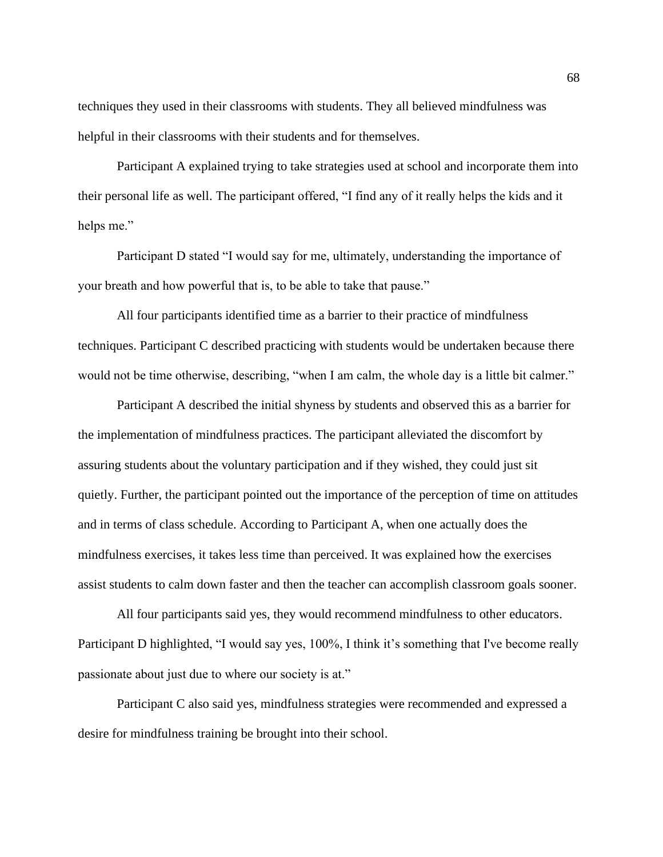techniques they used in their classrooms with students. They all believed mindfulness was helpful in their classrooms with their students and for themselves.

Participant A explained trying to take strategies used at school and incorporate them into their personal life as well. The participant offered, "I find any of it really helps the kids and it helps me."

Participant D stated "I would say for me, ultimately, understanding the importance of your breath and how powerful that is, to be able to take that pause."

All four participants identified time as a barrier to their practice of mindfulness techniques. Participant C described practicing with students would be undertaken because there would not be time otherwise, describing, "when I am calm, the whole day is a little bit calmer."

Participant A described the initial shyness by students and observed this as a barrier for the implementation of mindfulness practices. The participant alleviated the discomfort by assuring students about the voluntary participation and if they wished, they could just sit quietly. Further, the participant pointed out the importance of the perception of time on attitudes and in terms of class schedule. According to Participant A, when one actually does the mindfulness exercises, it takes less time than perceived. It was explained how the exercises assist students to calm down faster and then the teacher can accomplish classroom goals sooner.

All four participants said yes, they would recommend mindfulness to other educators. Participant D highlighted, "I would say yes, 100%, I think it's something that I've become really passionate about just due to where our society is at."

Participant C also said yes, mindfulness strategies were recommended and expressed a desire for mindfulness training be brought into their school.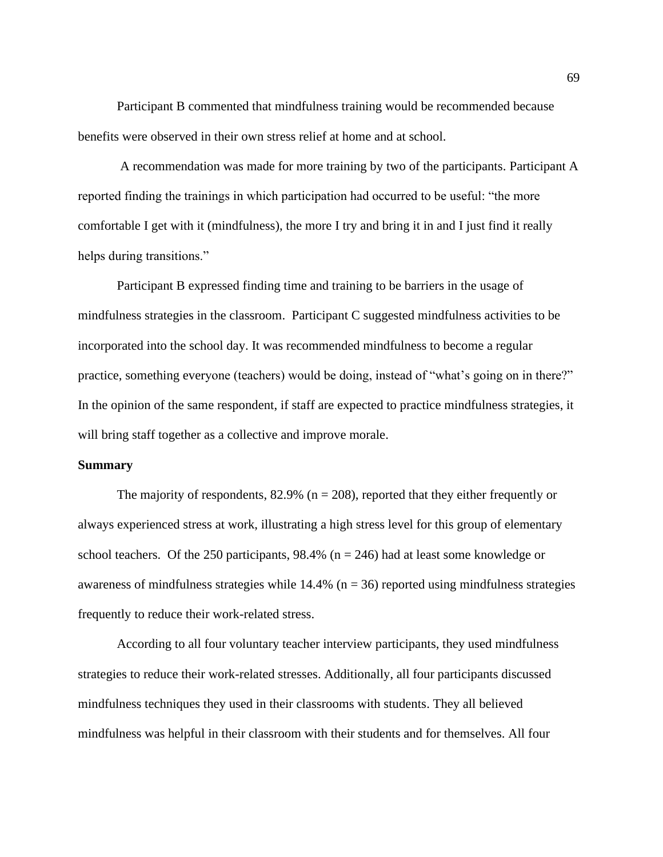Participant B commented that mindfulness training would be recommended because benefits were observed in their own stress relief at home and at school.

A recommendation was made for more training by two of the participants. Participant A reported finding the trainings in which participation had occurred to be useful: "the more comfortable I get with it (mindfulness), the more I try and bring it in and I just find it really helps during transitions."

Participant B expressed finding time and training to be barriers in the usage of mindfulness strategies in the classroom. Participant C suggested mindfulness activities to be incorporated into the school day. It was recommended mindfulness to become a regular practice, something everyone (teachers) would be doing, instead of "what's going on in there?" In the opinion of the same respondent, if staff are expected to practice mindfulness strategies, it will bring staff together as a collective and improve morale.

#### **Summary**

The majority of respondents,  $82.9\%$  (n = 208), reported that they either frequently or always experienced stress at work, illustrating a high stress level for this group of elementary school teachers. Of the 250 participants,  $98.4\%$  (n = 246) had at least some knowledge or awareness of mindfulness strategies while  $14.4\%$  (n = 36) reported using mindfulness strategies frequently to reduce their work-related stress.

According to all four voluntary teacher interview participants, they used mindfulness strategies to reduce their work-related stresses. Additionally, all four participants discussed mindfulness techniques they used in their classrooms with students. They all believed mindfulness was helpful in their classroom with their students and for themselves. All four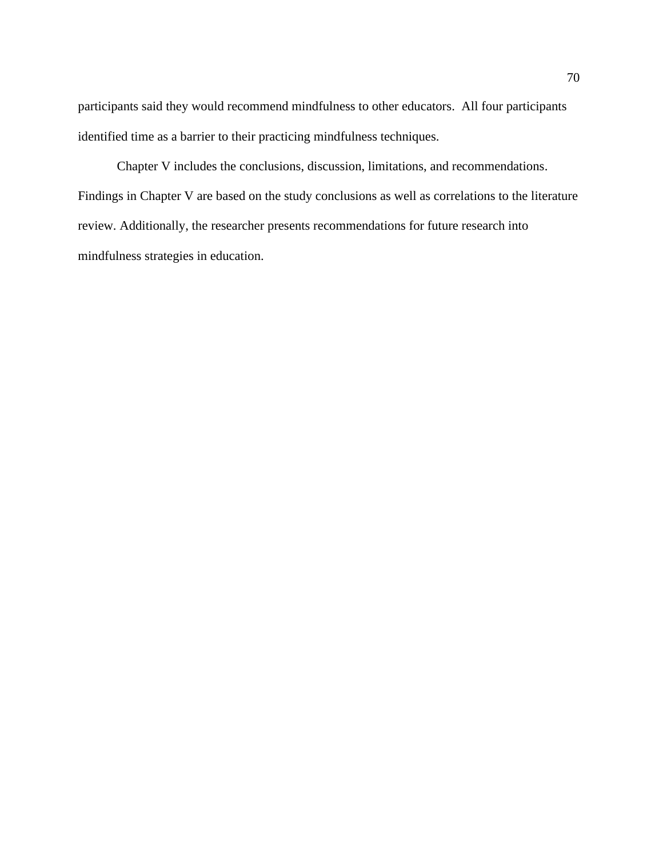participants said they would recommend mindfulness to other educators. All four participants identified time as a barrier to their practicing mindfulness techniques.

Chapter V includes the conclusions, discussion, limitations, and recommendations. Findings in Chapter V are based on the study conclusions as well as correlations to the literature review. Additionally, the researcher presents recommendations for future research into mindfulness strategies in education.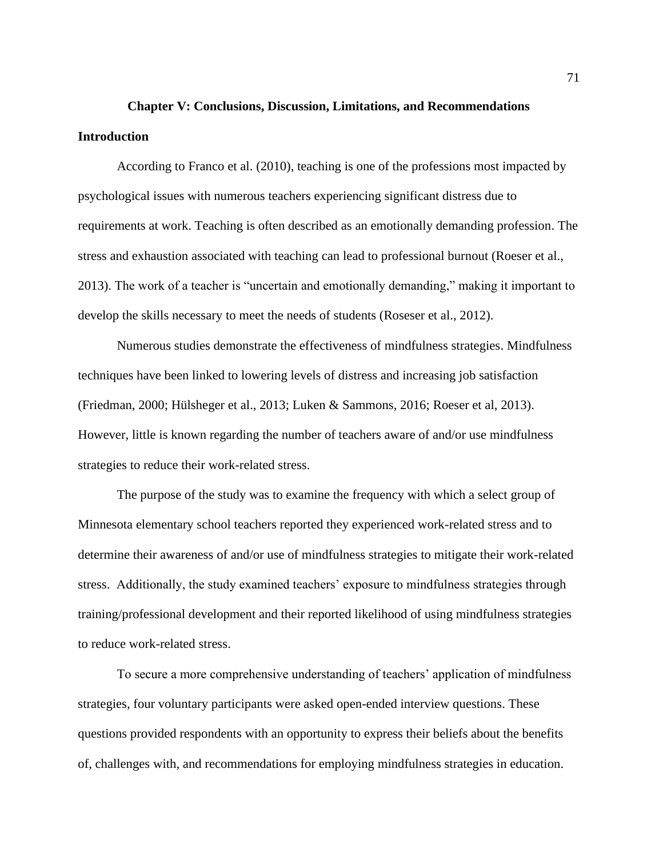# **Chapter V: Conclusions, Discussion, Limitations, and Recommendations Introduction**

According to Franco et al. (2010), teaching is one of the professions most impacted by psychological issues with numerous teachers experiencing significant distress due to requirements at work. Teaching is often described as an emotionally demanding profession. The stress and exhaustion associated with teaching can lead to professional burnout (Roeser et al., 2013). The work of a teacher is "uncertain and emotionally demanding," making it important to develop the skills necessary to meet the needs of students (Roseser et al., 2012).

Numerous studies demonstrate the effectiveness of mindfulness strategies. Mindfulness techniques have been linked to lowering levels of distress and increasing job satisfaction (Friedman, 2000; Hülsheger et al., 2013; Luken & Sammons, 2016; Roeser et al, 2013). However, little is known regarding the number of teachers aware of and/or use mindfulness strategies to reduce their work-related stress.

The purpose of the study was to examine the frequency with which a select group of Minnesota elementary school teachers reported they experienced work-related stress and to determine their awareness of and/or use of mindfulness strategies to mitigate their work-related stress. Additionally, the study examined teachers' exposure to mindfulness strategies through training/professional development and their reported likelihood of using mindfulness strategies to reduce work-related stress.

To secure a more comprehensive understanding of teachers' application of mindfulness strategies, four voluntary participants were asked open-ended interview questions. These questions provided respondents with an opportunity to express their beliefs about the benefits of, challenges with, and recommendations for employing mindfulness strategies in education.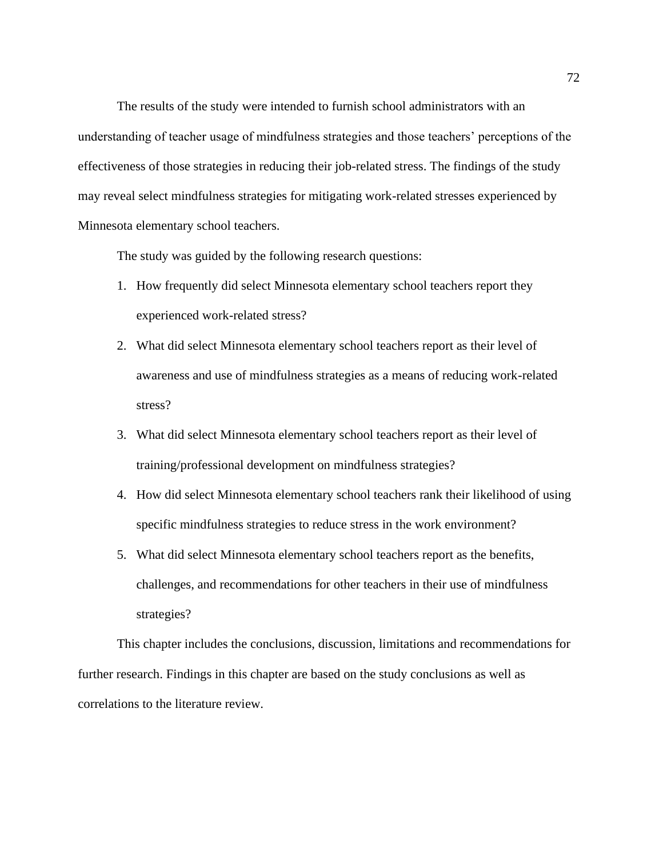The results of the study were intended to furnish school administrators with an understanding of teacher usage of mindfulness strategies and those teachers' perceptions of the effectiveness of those strategies in reducing their job-related stress. The findings of the study may reveal select mindfulness strategies for mitigating work-related stresses experienced by Minnesota elementary school teachers.

The study was guided by the following research questions:

- 1. How frequently did select Minnesota elementary school teachers report they experienced work-related stress?
- 2. What did select Minnesota elementary school teachers report as their level of awareness and use of mindfulness strategies as a means of reducing work-related stress?
- 3. What did select Minnesota elementary school teachers report as their level of training/professional development on mindfulness strategies?
- 4. How did select Minnesota elementary school teachers rank their likelihood of using specific mindfulness strategies to reduce stress in the work environment?
- 5. What did select Minnesota elementary school teachers report as the benefits, challenges, and recommendations for other teachers in their use of mindfulness strategies?

This chapter includes the conclusions, discussion, limitations and recommendations for further research. Findings in this chapter are based on the study conclusions as well as correlations to the literature review.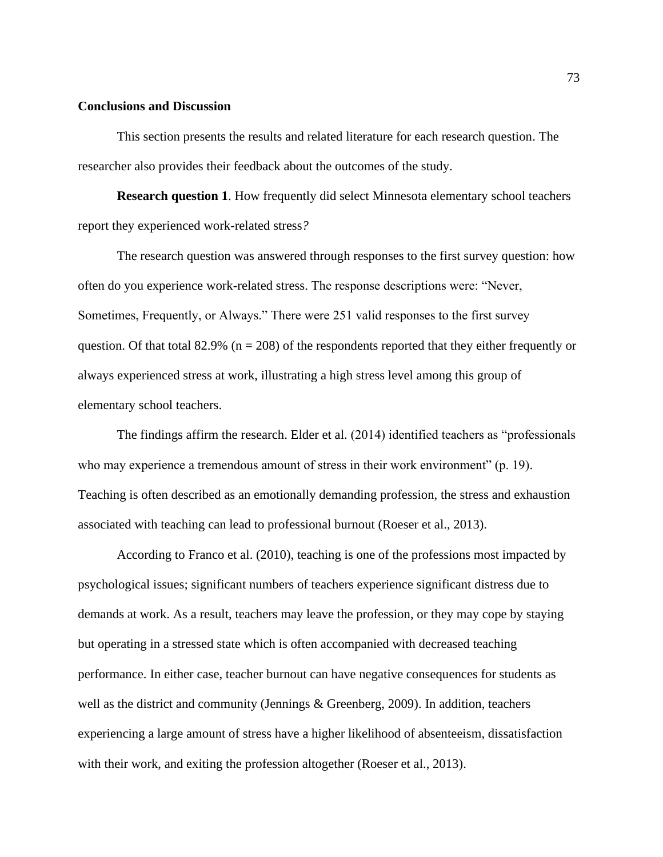### **Conclusions and Discussion**

This section presents the results and related literature for each research question. The researcher also provides their feedback about the outcomes of the study.

**Research question 1**. How frequently did select Minnesota elementary school teachers report they experienced work-related stress*?* 

The research question was answered through responses to the first survey question: how often do you experience work-related stress. The response descriptions were: "Never, Sometimes, Frequently, or Always." There were 251 valid responses to the first survey question. Of that total 82.9% ( $n = 208$ ) of the respondents reported that they either frequently or always experienced stress at work, illustrating a high stress level among this group of elementary school teachers.

The findings affirm the research. Elder et al. (2014) identified teachers as "professionals who may experience a tremendous amount of stress in their work environment" (p. 19). Teaching is often described as an emotionally demanding profession, the stress and exhaustion associated with teaching can lead to professional burnout (Roeser et al., 2013).

According to Franco et al. (2010), teaching is one of the professions most impacted by psychological issues; significant numbers of teachers experience significant distress due to demands at work. As a result, teachers may leave the profession, or they may cope by staying but operating in a stressed state which is often accompanied with decreased teaching performance. In either case, teacher burnout can have negative consequences for students as well as the district and community (Jennings & Greenberg, 2009). In addition, teachers experiencing a large amount of stress have a higher likelihood of absenteeism, dissatisfaction with their work, and exiting the profession altogether (Roeser et al., 2013).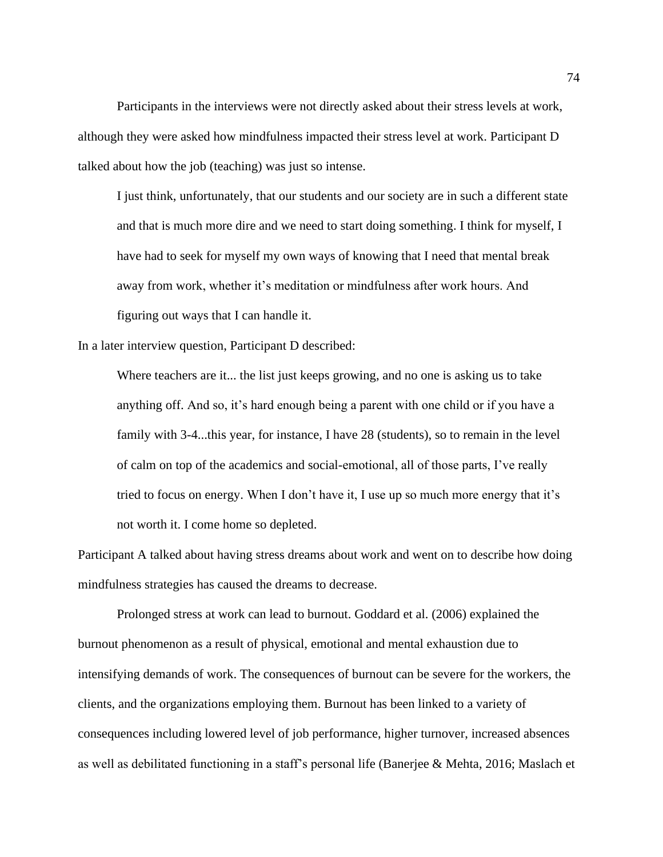Participants in the interviews were not directly asked about their stress levels at work, although they were asked how mindfulness impacted their stress level at work. Participant D talked about how the job (teaching) was just so intense.

I just think, unfortunately, that our students and our society are in such a different state and that is much more dire and we need to start doing something. I think for myself, I have had to seek for myself my own ways of knowing that I need that mental break away from work, whether it's meditation or mindfulness after work hours. And figuring out ways that I can handle it.

In a later interview question, Participant D described:

Where teachers are it... the list just keeps growing, and no one is asking us to take anything off. And so, it's hard enough being a parent with one child or if you have a family with 3-4...this year, for instance, I have 28 (students), so to remain in the level of calm on top of the academics and social-emotional, all of those parts, I've really tried to focus on energy. When I don't have it, I use up so much more energy that it's not worth it. I come home so depleted.

Participant A talked about having stress dreams about work and went on to describe how doing mindfulness strategies has caused the dreams to decrease.

Prolonged stress at work can lead to burnout. Goddard et al. (2006) explained the burnout phenomenon as a result of physical, emotional and mental exhaustion due to intensifying demands of work. The consequences of burnout can be severe for the workers, the clients, and the organizations employing them. Burnout has been linked to a variety of consequences including lowered level of job performance, higher turnover, increased absences as well as debilitated functioning in a staff's personal life (Banerjee & Mehta, 2016; Maslach et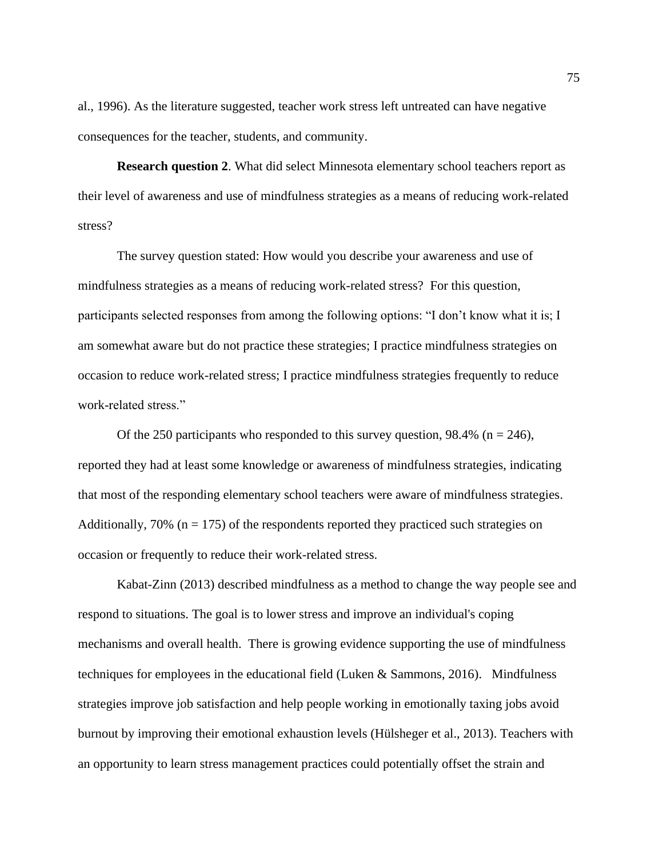al., 1996). As the literature suggested, teacher work stress left untreated can have negative consequences for the teacher, students, and community.

**Research question 2**. What did select Minnesota elementary school teachers report as their level of awareness and use of mindfulness strategies as a means of reducing work-related stress?

The survey question stated: How would you describe your awareness and use of mindfulness strategies as a means of reducing work-related stress? For this question, participants selected responses from among the following options: "I don't know what it is; I am somewhat aware but do not practice these strategies; I practice mindfulness strategies on occasion to reduce work-related stress; I practice mindfulness strategies frequently to reduce work-related stress."

Of the 250 participants who responded to this survey question, 98.4% ( $n = 246$ ), reported they had at least some knowledge or awareness of mindfulness strategies, indicating that most of the responding elementary school teachers were aware of mindfulness strategies. Additionally,  $70\%$  (n = 175) of the respondents reported they practiced such strategies on occasion or frequently to reduce their work-related stress.

Kabat-Zinn (2013) described mindfulness as a method to change the way people see and respond to situations. The goal is to lower stress and improve an individual's coping mechanisms and overall health. There is growing evidence supporting the use of mindfulness techniques for employees in the educational field (Luken & Sammons, 2016). Mindfulness strategies improve job satisfaction and help people working in emotionally taxing jobs avoid burnout by improving their emotional exhaustion levels (Hülsheger et al., 2013). Teachers with an opportunity to learn stress management practices could potentially offset the strain and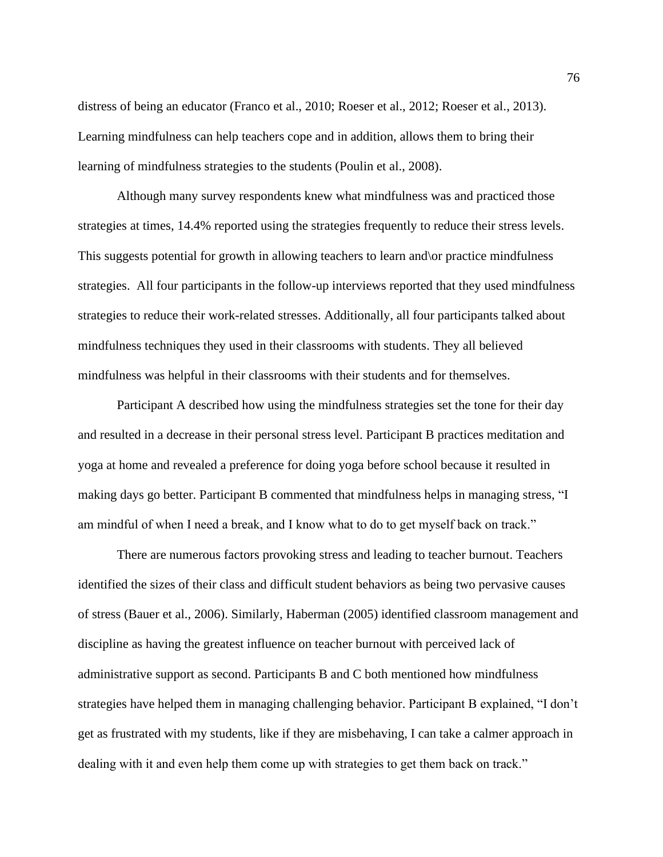distress of being an educator (Franco et al., 2010; Roeser et al., 2012; Roeser et al., 2013). Learning mindfulness can help teachers cope and in addition, allows them to bring their learning of mindfulness strategies to the students (Poulin et al., 2008).

Although many survey respondents knew what mindfulness was and practiced those strategies at times, 14.4% reported using the strategies frequently to reduce their stress levels. This suggests potential for growth in allowing teachers to learn and\or practice mindfulness strategies. All four participants in the follow-up interviews reported that they used mindfulness strategies to reduce their work-related stresses. Additionally, all four participants talked about mindfulness techniques they used in their classrooms with students. They all believed mindfulness was helpful in their classrooms with their students and for themselves.

Participant A described how using the mindfulness strategies set the tone for their day and resulted in a decrease in their personal stress level. Participant B practices meditation and yoga at home and revealed a preference for doing yoga before school because it resulted in making days go better. Participant B commented that mindfulness helps in managing stress, "I am mindful of when I need a break, and I know what to do to get myself back on track."

There are numerous factors provoking stress and leading to teacher burnout. Teachers identified the sizes of their class and difficult student behaviors as being two pervasive causes of stress (Bauer et al., 2006). Similarly, Haberman (2005) identified classroom management and discipline as having the greatest influence on teacher burnout with perceived lack of administrative support as second. Participants B and C both mentioned how mindfulness strategies have helped them in managing challenging behavior. Participant B explained, "I don't get as frustrated with my students, like if they are misbehaving, I can take a calmer approach in dealing with it and even help them come up with strategies to get them back on track."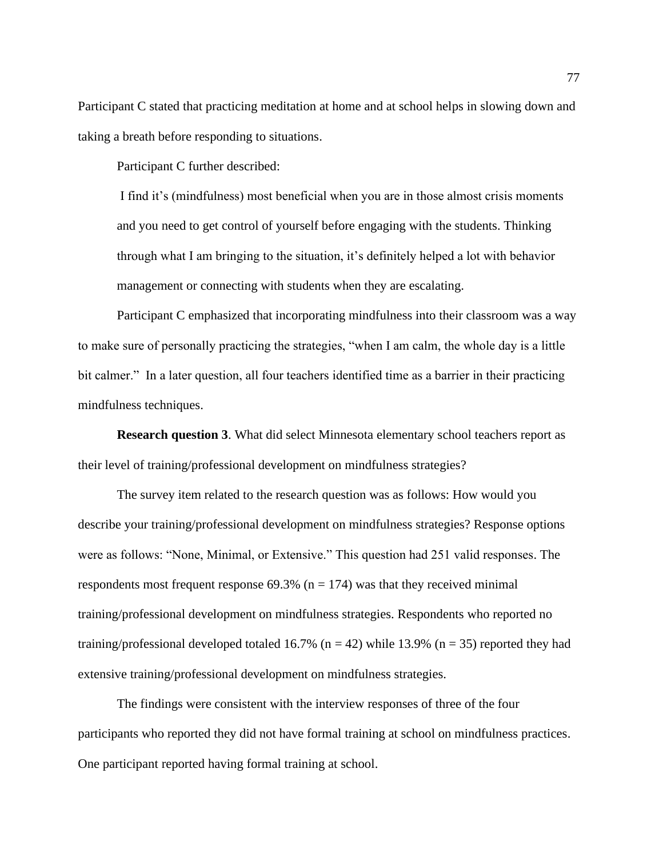Participant C stated that practicing meditation at home and at school helps in slowing down and taking a breath before responding to situations.

Participant C further described:

I find it's (mindfulness) most beneficial when you are in those almost crisis moments and you need to get control of yourself before engaging with the students. Thinking through what I am bringing to the situation, it's definitely helped a lot with behavior management or connecting with students when they are escalating.

Participant C emphasized that incorporating mindfulness into their classroom was a way to make sure of personally practicing the strategies, "when I am calm, the whole day is a little bit calmer." In a later question, all four teachers identified time as a barrier in their practicing mindfulness techniques.

**Research question 3**. What did select Minnesota elementary school teachers report as their level of training/professional development on mindfulness strategies?

The survey item related to the research question was as follows: How would you describe your training/professional development on mindfulness strategies? Response options were as follows: "None, Minimal, or Extensive." This question had 251 valid responses. The respondents most frequent response  $69.3\%$  (n = 174) was that they received minimal training/professional development on mindfulness strategies. Respondents who reported no training/professional developed totaled 16.7% ( $n = 42$ ) while 13.9% ( $n = 35$ ) reported they had extensive training/professional development on mindfulness strategies.

The findings were consistent with the interview responses of three of the four participants who reported they did not have formal training at school on mindfulness practices. One participant reported having formal training at school.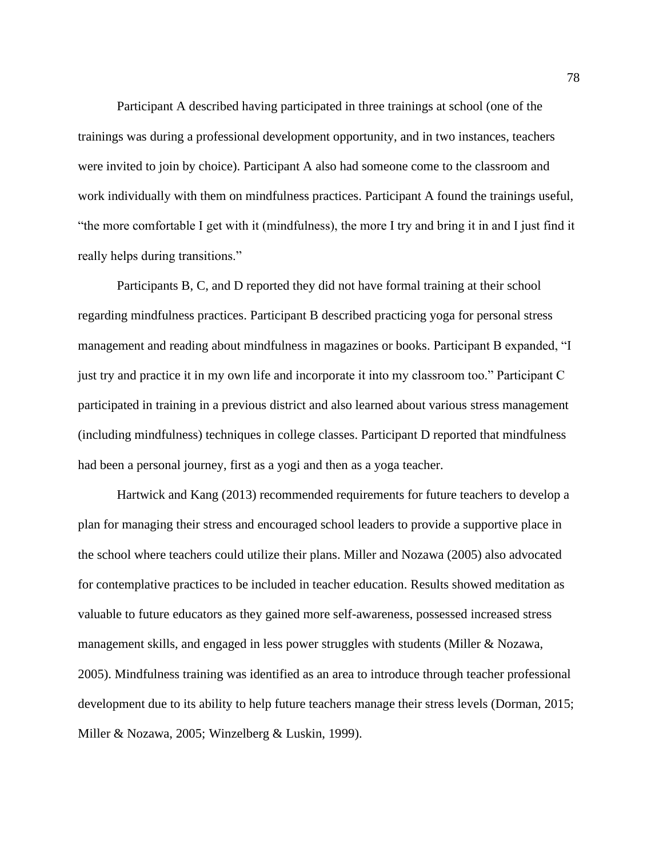Participant A described having participated in three trainings at school (one of the trainings was during a professional development opportunity, and in two instances, teachers were invited to join by choice). Participant A also had someone come to the classroom and work individually with them on mindfulness practices. Participant A found the trainings useful, "the more comfortable I get with it (mindfulness), the more I try and bring it in and I just find it really helps during transitions."

Participants B, C, and D reported they did not have formal training at their school regarding mindfulness practices. Participant B described practicing yoga for personal stress management and reading about mindfulness in magazines or books. Participant B expanded, "I just try and practice it in my own life and incorporate it into my classroom too." Participant C participated in training in a previous district and also learned about various stress management (including mindfulness) techniques in college classes. Participant D reported that mindfulness had been a personal journey, first as a yogi and then as a yoga teacher.

Hartwick and Kang (2013) recommended requirements for future teachers to develop a plan for managing their stress and encouraged school leaders to provide a supportive place in the school where teachers could utilize their plans. Miller and Nozawa (2005) also advocated for contemplative practices to be included in teacher education. Results showed meditation as valuable to future educators as they gained more self-awareness, possessed increased stress management skills, and engaged in less power struggles with students (Miller & Nozawa, 2005). Mindfulness training was identified as an area to introduce through teacher professional development due to its ability to help future teachers manage their stress levels (Dorman, 2015; Miller & Nozawa, 2005; Winzelberg & Luskin, 1999).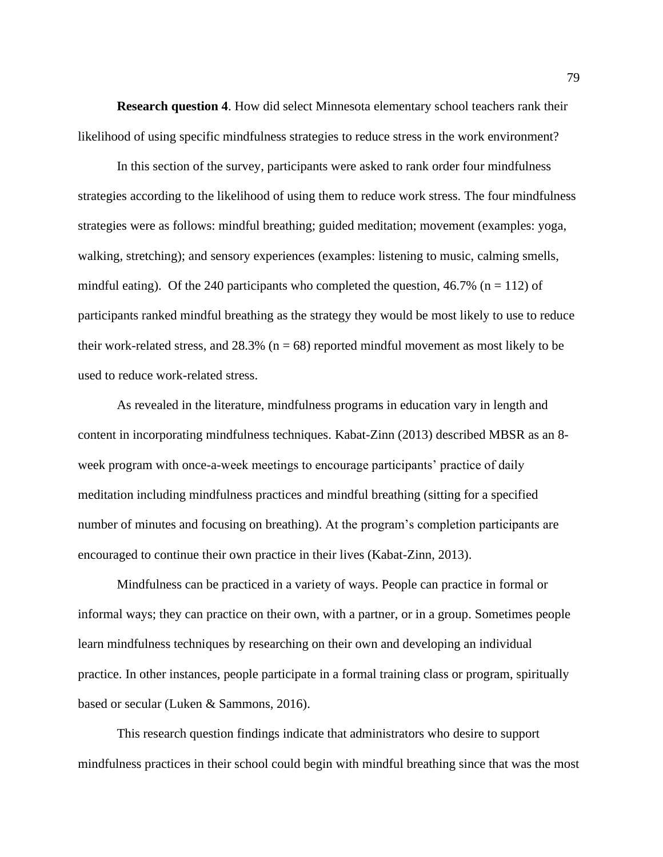**Research question 4**. How did select Minnesota elementary school teachers rank their likelihood of using specific mindfulness strategies to reduce stress in the work environment?

In this section of the survey, participants were asked to rank order four mindfulness strategies according to the likelihood of using them to reduce work stress. The four mindfulness strategies were as follows: mindful breathing; guided meditation; movement (examples: yoga, walking, stretching); and sensory experiences (examples: listening to music, calming smells, mindful eating). Of the 240 participants who completed the question, 46.7% ( $n = 112$ ) of participants ranked mindful breathing as the strategy they would be most likely to use to reduce their work-related stress, and  $28.3\%$  ( $n = 68$ ) reported mindful movement as most likely to be used to reduce work-related stress.

As revealed in the literature, mindfulness programs in education vary in length and content in incorporating mindfulness techniques. Kabat-Zinn (2013) described MBSR as an 8 week program with once-a-week meetings to encourage participants' practice of daily meditation including mindfulness practices and mindful breathing (sitting for a specified number of minutes and focusing on breathing). At the program's completion participants are encouraged to continue their own practice in their lives (Kabat-Zinn, 2013).

Mindfulness can be practiced in a variety of ways. People can practice in formal or informal ways; they can practice on their own, with a partner, or in a group. Sometimes people learn mindfulness techniques by researching on their own and developing an individual practice. In other instances, people participate in a formal training class or program, spiritually based or secular (Luken & Sammons, 2016).

This research question findings indicate that administrators who desire to support mindfulness practices in their school could begin with mindful breathing since that was the most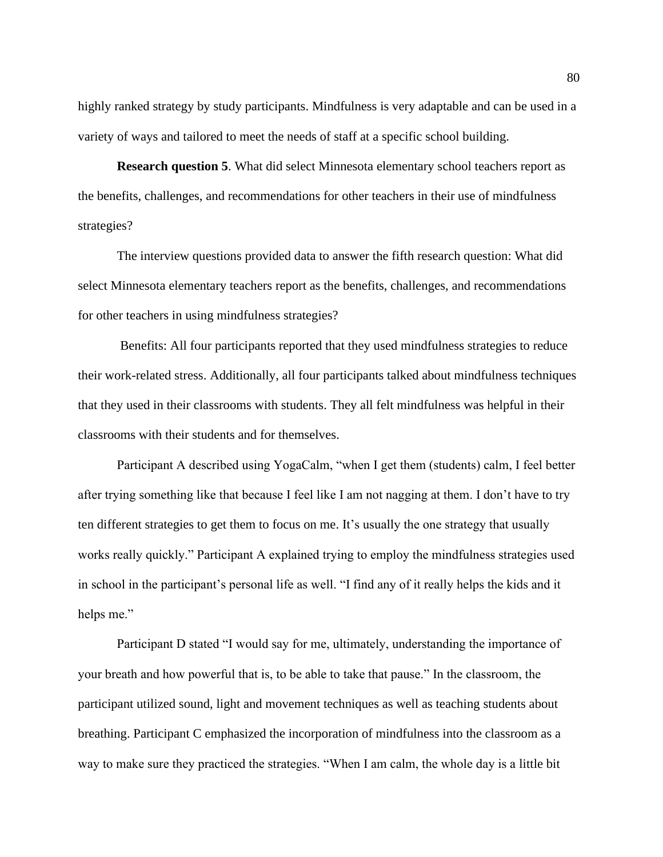highly ranked strategy by study participants. Mindfulness is very adaptable and can be used in a variety of ways and tailored to meet the needs of staff at a specific school building.

**Research question 5**. What did select Minnesota elementary school teachers report as the benefits, challenges, and recommendations for other teachers in their use of mindfulness strategies?

The interview questions provided data to answer the fifth research question: What did select Minnesota elementary teachers report as the benefits, challenges, and recommendations for other teachers in using mindfulness strategies?

Benefits: All four participants reported that they used mindfulness strategies to reduce their work-related stress. Additionally, all four participants talked about mindfulness techniques that they used in their classrooms with students. They all felt mindfulness was helpful in their classrooms with their students and for themselves.

Participant A described using YogaCalm, "when I get them (students) calm, I feel better after trying something like that because I feel like I am not nagging at them. I don't have to try ten different strategies to get them to focus on me. It's usually the one strategy that usually works really quickly." Participant A explained trying to employ the mindfulness strategies used in school in the participant's personal life as well. "I find any of it really helps the kids and it helps me."

Participant D stated "I would say for me, ultimately, understanding the importance of your breath and how powerful that is, to be able to take that pause." In the classroom, the participant utilized sound, light and movement techniques as well as teaching students about breathing. Participant C emphasized the incorporation of mindfulness into the classroom as a way to make sure they practiced the strategies. "When I am calm, the whole day is a little bit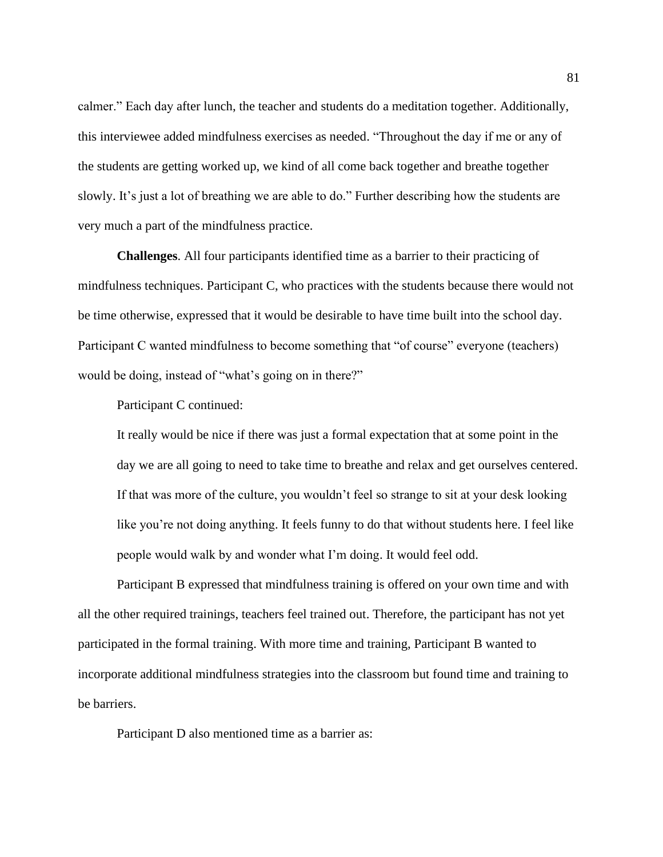calmer." Each day after lunch, the teacher and students do a meditation together. Additionally, this interviewee added mindfulness exercises as needed. "Throughout the day if me or any of the students are getting worked up, we kind of all come back together and breathe together slowly. It's just a lot of breathing we are able to do." Further describing how the students are very much a part of the mindfulness practice.

**Challenges**. All four participants identified time as a barrier to their practicing of mindfulness techniques. Participant C, who practices with the students because there would not be time otherwise, expressed that it would be desirable to have time built into the school day. Participant C wanted mindfulness to become something that "of course" everyone (teachers) would be doing, instead of "what's going on in there?"

Participant C continued:

It really would be nice if there was just a formal expectation that at some point in the day we are all going to need to take time to breathe and relax and get ourselves centered. If that was more of the culture, you wouldn't feel so strange to sit at your desk looking like you're not doing anything. It feels funny to do that without students here. I feel like people would walk by and wonder what I'm doing. It would feel odd.

Participant B expressed that mindfulness training is offered on your own time and with all the other required trainings, teachers feel trained out. Therefore, the participant has not yet participated in the formal training. With more time and training, Participant B wanted to incorporate additional mindfulness strategies into the classroom but found time and training to be barriers.

Participant D also mentioned time as a barrier as: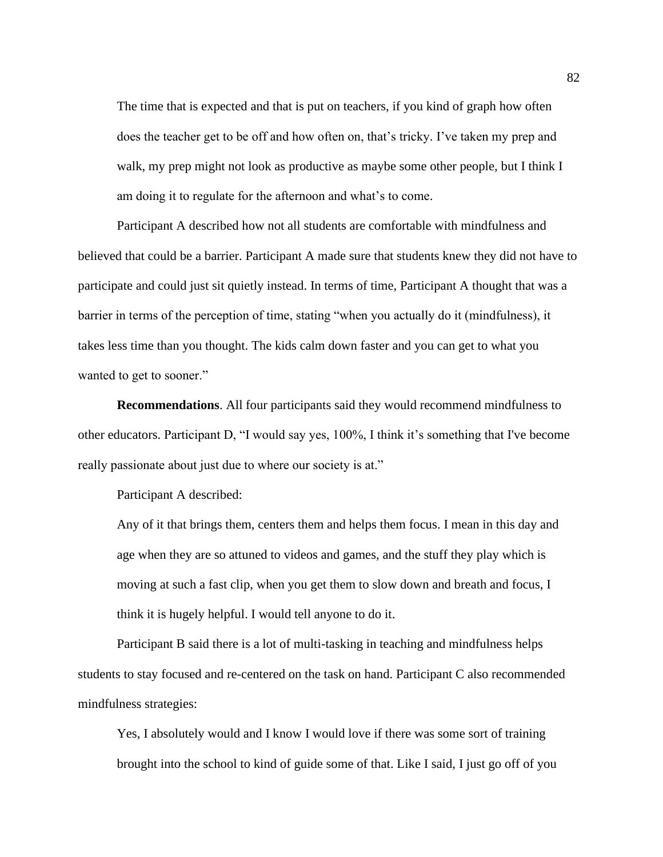The time that is expected and that is put on teachers, if you kind of graph how often does the teacher get to be off and how often on, that's tricky. I've taken my prep and walk, my prep might not look as productive as maybe some other people, but I think I am doing it to regulate for the afternoon and what's to come.

Participant A described how not all students are comfortable with mindfulness and believed that could be a barrier. Participant A made sure that students knew they did not have to participate and could just sit quietly instead. In terms of time, Participant A thought that was a barrier in terms of the perception of time, stating "when you actually do it (mindfulness), it takes less time than you thought. The kids calm down faster and you can get to what you wanted to get to sooner."

**Recommendations**. All four participants said they would recommend mindfulness to other educators. Participant D, "I would say yes, 100%, I think it's something that I've become really passionate about just due to where our society is at."

Participant A described:

Any of it that brings them, centers them and helps them focus. I mean in this day and age when they are so attuned to videos and games, and the stuff they play which is moving at such a fast clip, when you get them to slow down and breath and focus, I think it is hugely helpful. I would tell anyone to do it.

 Participant B said there is a lot of multi-tasking in teaching and mindfulness helps students to stay focused and re-centered on the task on hand. Participant C also recommended mindfulness strategies:

Yes, I absolutely would and I know I would love if there was some sort of training brought into the school to kind of guide some of that. Like I said, I just go off of you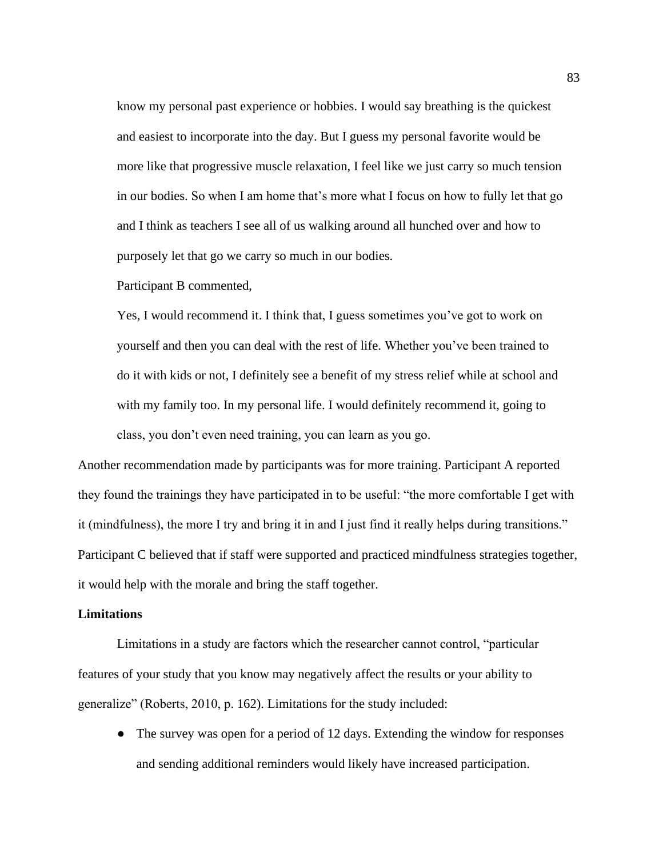know my personal past experience or hobbies. I would say breathing is the quickest and easiest to incorporate into the day. But I guess my personal favorite would be more like that progressive muscle relaxation, I feel like we just carry so much tension in our bodies. So when I am home that's more what I focus on how to fully let that go and I think as teachers I see all of us walking around all hunched over and how to purposely let that go we carry so much in our bodies.

Participant B commented,

Yes, I would recommend it. I think that, I guess sometimes you've got to work on yourself and then you can deal with the rest of life. Whether you've been trained to do it with kids or not, I definitely see a benefit of my stress relief while at school and with my family too. In my personal life. I would definitely recommend it, going to class, you don't even need training, you can learn as you go.

Another recommendation made by participants was for more training. Participant A reported they found the trainings they have participated in to be useful: "the more comfortable I get with it (mindfulness), the more I try and bring it in and I just find it really helps during transitions." Participant C believed that if staff were supported and practiced mindfulness strategies together, it would help with the morale and bring the staff together.

#### **Limitations**

Limitations in a study are factors which the researcher cannot control, "particular features of your study that you know may negatively affect the results or your ability to generalize" (Roberts, 2010, p. 162). Limitations for the study included:

• The survey was open for a period of 12 days. Extending the window for responses and sending additional reminders would likely have increased participation.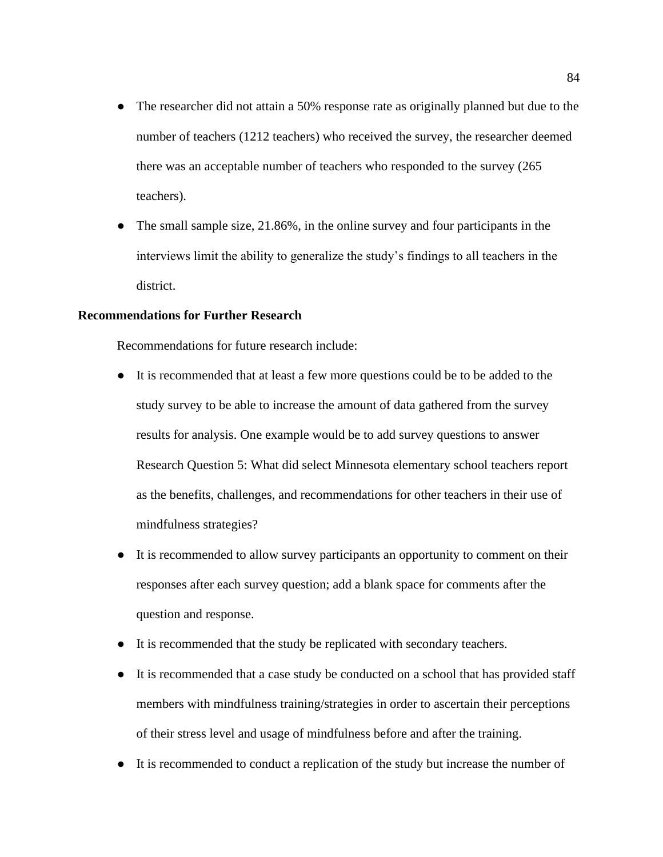- The researcher did not attain a 50% response rate as originally planned but due to the number of teachers (1212 teachers) who received the survey, the researcher deemed there was an acceptable number of teachers who responded to the survey (265 teachers).
- The small sample size, 21.86%, in the online survey and four participants in the interviews limit the ability to generalize the study's findings to all teachers in the district.

#### **Recommendations for Further Research**

Recommendations for future research include:

- It is recommended that at least a few more questions could be to be added to the study survey to be able to increase the amount of data gathered from the survey results for analysis. One example would be to add survey questions to answer Research Question 5: What did select Minnesota elementary school teachers report as the benefits, challenges, and recommendations for other teachers in their use of mindfulness strategies?
- It is recommended to allow survey participants an opportunity to comment on their responses after each survey question; add a blank space for comments after the question and response.
- It is recommended that the study be replicated with secondary teachers.
- It is recommended that a case study be conducted on a school that has provided staff members with mindfulness training/strategies in order to ascertain their perceptions of their stress level and usage of mindfulness before and after the training.
- It is recommended to conduct a replication of the study but increase the number of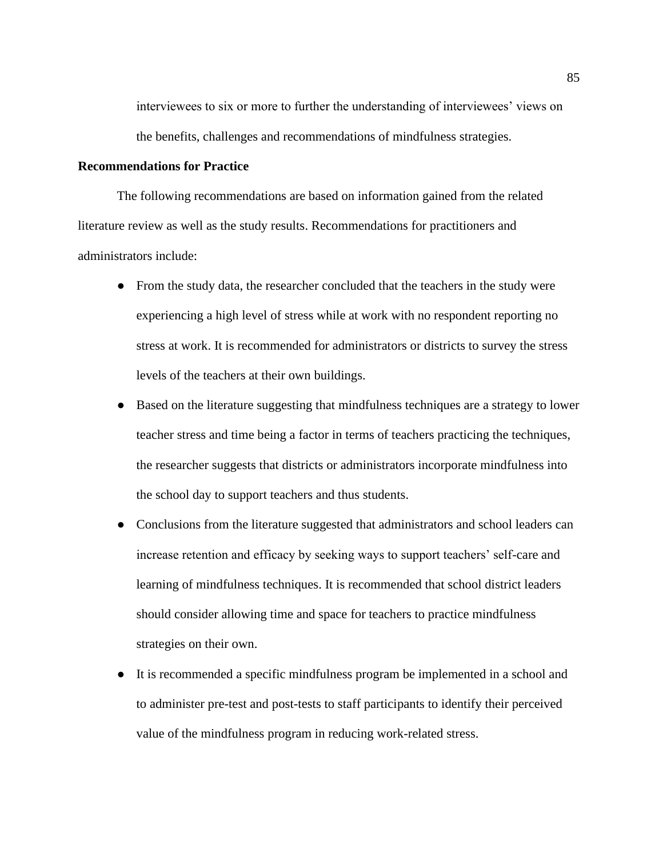interviewees to six or more to further the understanding of interviewees' views on the benefits, challenges and recommendations of mindfulness strategies.

#### **Recommendations for Practice**

The following recommendations are based on information gained from the related literature review as well as the study results. Recommendations for practitioners and administrators include:

- From the study data, the researcher concluded that the teachers in the study were experiencing a high level of stress while at work with no respondent reporting no stress at work. It is recommended for administrators or districts to survey the stress levels of the teachers at their own buildings.
- Based on the literature suggesting that mindfulness techniques are a strategy to lower teacher stress and time being a factor in terms of teachers practicing the techniques, the researcher suggests that districts or administrators incorporate mindfulness into the school day to support teachers and thus students.
- Conclusions from the literature suggested that administrators and school leaders can increase retention and efficacy by seeking ways to support teachers' self-care and learning of mindfulness techniques. It is recommended that school district leaders should consider allowing time and space for teachers to practice mindfulness strategies on their own.
- It is recommended a specific mindfulness program be implemented in a school and to administer pre-test and post-tests to staff participants to identify their perceived value of the mindfulness program in reducing work-related stress.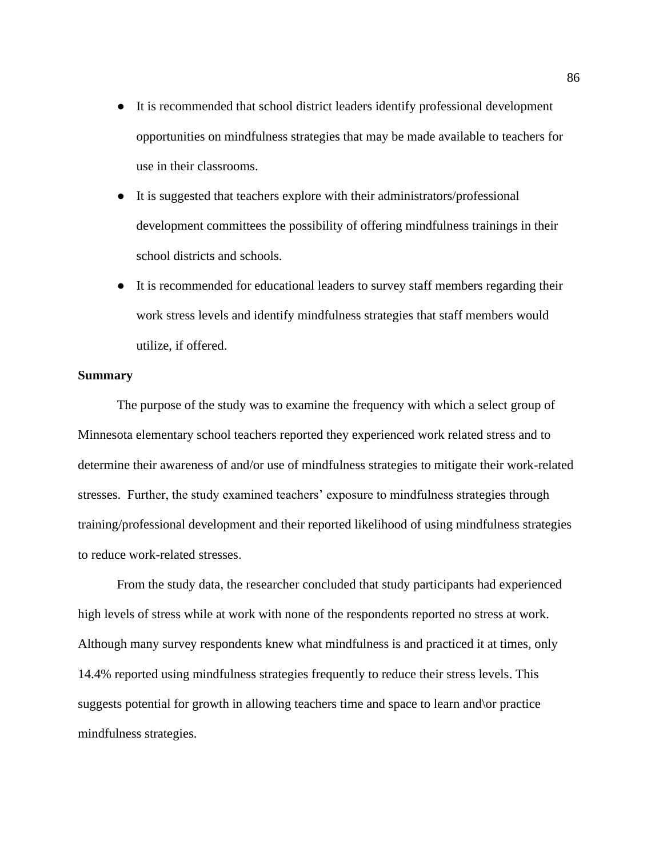- It is recommended that school district leaders identify professional development opportunities on mindfulness strategies that may be made available to teachers for use in their classrooms.
- It is suggested that teachers explore with their administrators/professional development committees the possibility of offering mindfulness trainings in their school districts and schools.
- It is recommended for educational leaders to survey staff members regarding their work stress levels and identify mindfulness strategies that staff members would utilize, if offered.

#### **Summary**

The purpose of the study was to examine the frequency with which a select group of Minnesota elementary school teachers reported they experienced work related stress and to determine their awareness of and/or use of mindfulness strategies to mitigate their work-related stresses. Further, the study examined teachers' exposure to mindfulness strategies through training/professional development and their reported likelihood of using mindfulness strategies to reduce work-related stresses.

From the study data, the researcher concluded that study participants had experienced high levels of stress while at work with none of the respondents reported no stress at work. Although many survey respondents knew what mindfulness is and practiced it at times, only 14.4% reported using mindfulness strategies frequently to reduce their stress levels. This suggests potential for growth in allowing teachers time and space to learn and\or practice mindfulness strategies.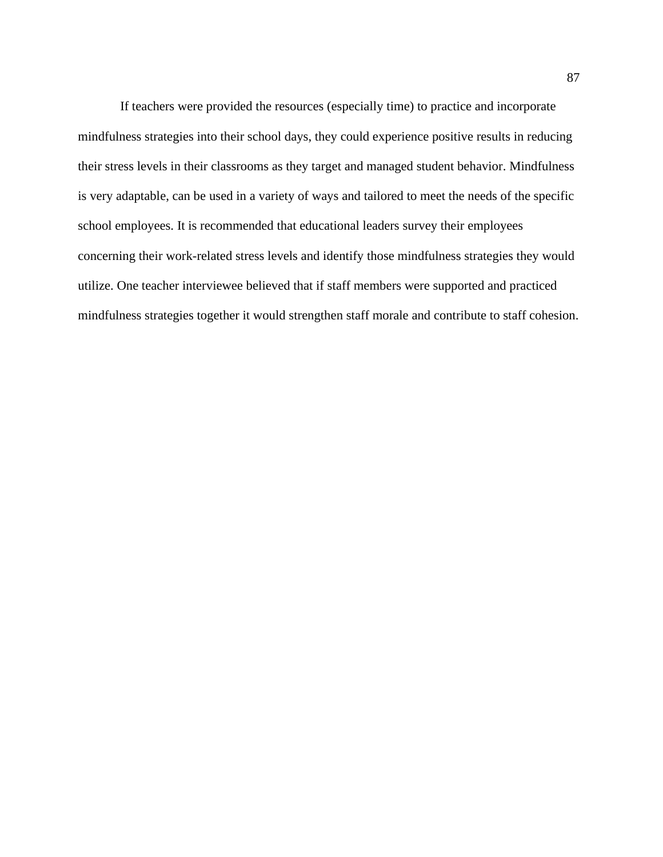If teachers were provided the resources (especially time) to practice and incorporate mindfulness strategies into their school days, they could experience positive results in reducing their stress levels in their classrooms as they target and managed student behavior. Mindfulness is very adaptable, can be used in a variety of ways and tailored to meet the needs of the specific school employees. It is recommended that educational leaders survey their employees concerning their work-related stress levels and identify those mindfulness strategies they would utilize. One teacher interviewee believed that if staff members were supported and practiced mindfulness strategies together it would strengthen staff morale and contribute to staff cohesion.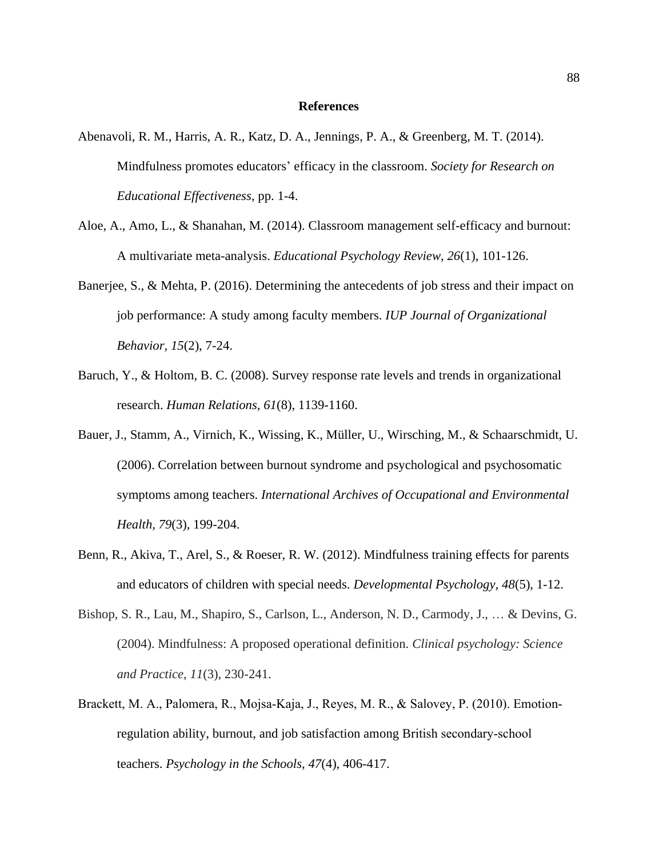#### **References**

- Abenavoli, R. M., Harris, A. R., Katz, D. A., Jennings, P. A., & Greenberg, M. T. (2014). Mindfulness promotes educators' efficacy in the classroom. *Society for Research on Educational Effectiveness,* pp. 1-4.
- Aloe, A., Amo, L., & Shanahan, M. (2014). Classroom management self-efficacy and burnout: A multivariate meta-analysis. *Educational Psychology Review, 26*(1), 101-126.
- Banerjee, S., & Mehta, P. (2016). Determining the antecedents of job stress and their impact on job performance: A study among faculty members. *IUP Journal of Organizational Behavior, 15*(2), 7-24.
- Baruch, Y., & Holtom, B. C. (2008). Survey response rate levels and trends in organizational research. *Human Relations, 61*(8), 1139-1160.
- Bauer, J., Stamm, A., Virnich, K., Wissing, K., Müller, U., Wirsching, M., & Schaarschmidt, U. (2006). Correlation between burnout syndrome and psychological and psychosomatic symptoms among teachers. *International Archives of Occupational and Environmental Health, 79*(3), 199-204.
- Benn, R., Akiva, T., Arel, S., & Roeser, R. W. (2012). Mindfulness training effects for parents and educators of children with special needs. *Developmental Psychology, 48*(5), 1-12.
- Bishop, S. R., Lau, M., Shapiro, S., Carlson, L., Anderson, N. D., Carmody, J., … & Devins, G. (2004). Mindfulness: A proposed operational definition. *Clinical psychology: Science and Practice*, *11*(3), 230-241.
- Brackett, M. A., Palomera, R., Mojsa‐Kaja, J., Reyes, M. R., & Salovey, P. (2010). Emotion‐ regulation ability, burnout, and job satisfaction among British secondary‐school teachers. *Psychology in the Schools, 47*(4), 406-417.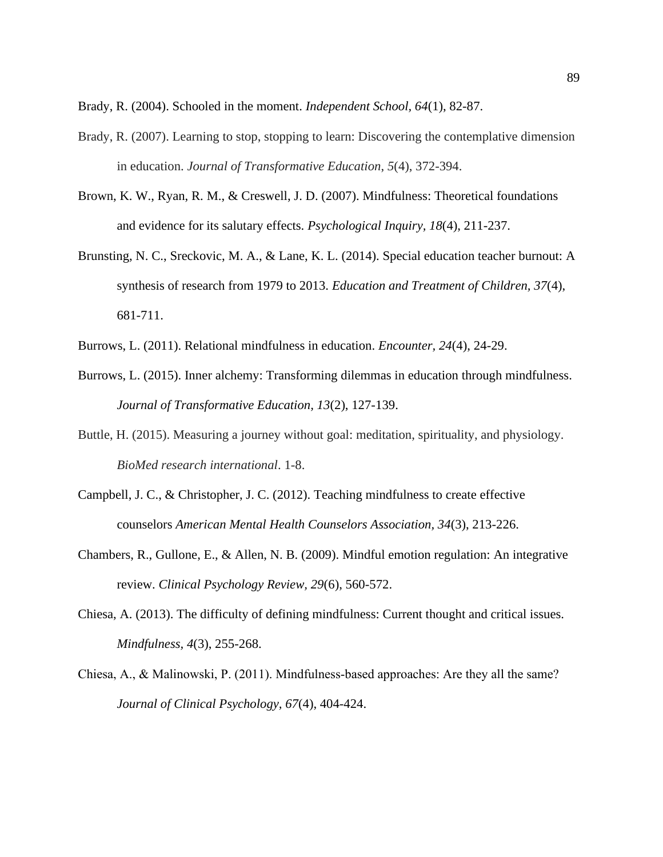Brady, R. (2004). Schooled in the moment. *Independent School, 64*(1), 82-87.

- Brady, R. (2007). Learning to stop, stopping to learn: Discovering the contemplative dimension in education. *Journal of Transformative Education*, *5*(4), 372-394.
- Brown, K. W., Ryan, R. M., & Creswell, J. D. (2007). Mindfulness: Theoretical foundations and evidence for its salutary effects. *Psychological Inquiry, 18*(4), 211-237.
- Brunsting, N. C., Sreckovic, M. A., & Lane, K. L. (2014). Special education teacher burnout: A synthesis of research from 1979 to 2013. *Education and Treatment of Children, 37*(4), 681-711.
- Burrows, L. (2011). Relational mindfulness in education. *Encounter, 24*(4), 24-29.
- Burrows, L. (2015). Inner alchemy: Transforming dilemmas in education through mindfulness. *Journal of Transformative Education, 13*(2), 127-139.
- Buttle, H. (2015). Measuring a journey without goal: meditation, spirituality, and physiology. *BioMed research international*. 1-8.
- Campbell, J. C., & Christopher, J. C. (2012). Teaching mindfulness to create effective counselors *American Mental Health Counselors Association, 34*(3), 213-226.
- Chambers, R., Gullone, E., & Allen, N. B. (2009). Mindful emotion regulation: An integrative review. *Clinical Psychology Review, 29*(6), 560-572.
- Chiesa, A. (2013). The difficulty of defining mindfulness: Current thought and critical issues. *Mindfulness, 4*(3), 255-268.
- Chiesa, A., & Malinowski, P. (2011). Mindfulness‐based approaches: Are they all the same? *Journal of Clinical Psychology, 67*(4), 404-424.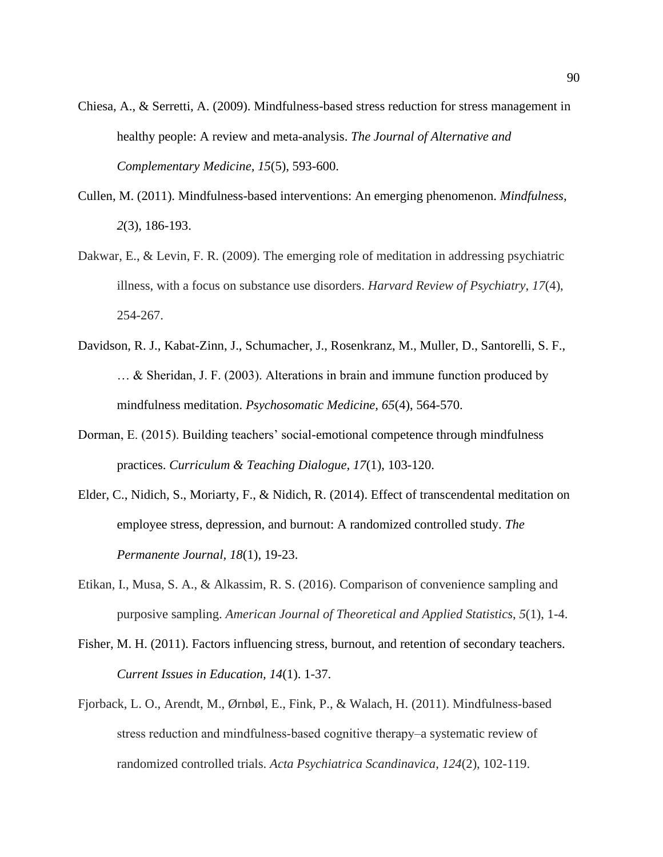- Chiesa, A., & Serretti, A. (2009). Mindfulness-based stress reduction for stress management in healthy people: A review and meta-analysis. *The Journal of Alternative and Complementary Medicine, 15*(5), 593-600.
- Cullen, M. (2011). Mindfulness-based interventions: An emerging phenomenon. *Mindfulness, 2*(3), 186-193.
- Dakwar, E., & Levin, F. R. (2009). The emerging role of meditation in addressing psychiatric illness, with a focus on substance use disorders. *Harvard Review of Psychiatry*, *17*(4), 254-267.
- Davidson, R. J., Kabat-Zinn, J., Schumacher, J., Rosenkranz, M., Muller, D., Santorelli, S. F., … & Sheridan, J. F. (2003). Alterations in brain and immune function produced by mindfulness meditation. *Psychosomatic Medicine, 65*(4), 564-570.
- Dorman, E. (2015). Building teachers' social-emotional competence through mindfulness practices. *Curriculum & Teaching Dialogue, 17*(1), 103-120.
- Elder, C., Nidich, S., Moriarty, F., & Nidich, R. (2014). Effect of transcendental meditation on employee stress, depression, and burnout: A randomized controlled study. *The Permanente Journal, 18*(1), 19-23.
- Etikan, I., Musa, S. A., & Alkassim, R. S. (2016). Comparison of convenience sampling and purposive sampling. *American Journal of Theoretical and Applied Statistics*, *5*(1), 1-4.
- Fisher, M. H. (2011). Factors influencing stress, burnout, and retention of secondary teachers. *Current Issues in Education, 14*(1). 1-37.
- Fjorback, L. O., Arendt, M., Ørnbøl, E., Fink, P., & Walach, H. (2011). Mindfulness-based stress reduction and mindfulness‐based cognitive therapy–a systematic review of randomized controlled trials. *Acta Psychiatrica Scandinavica*, *124*(2), 102-119.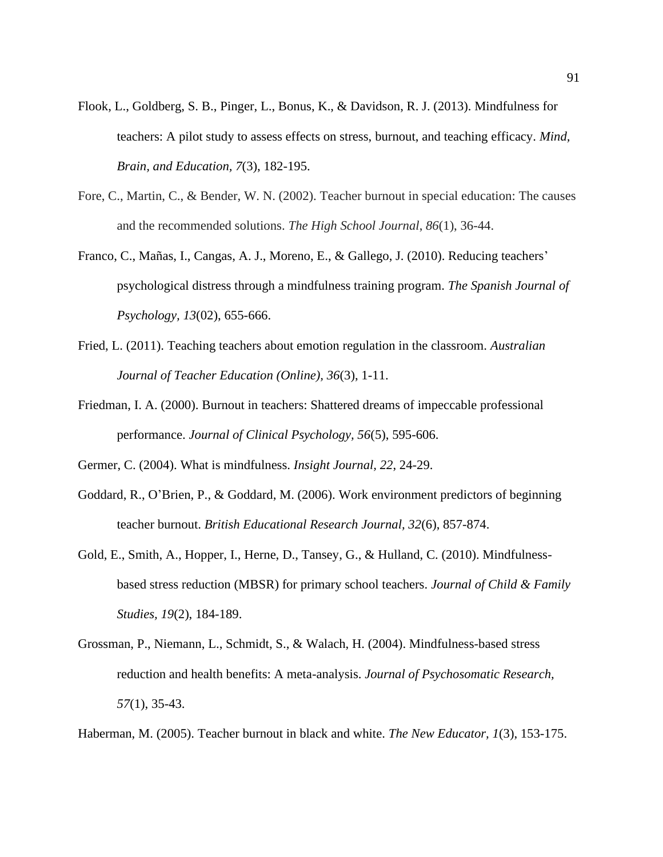- Flook, L., Goldberg, S. B., Pinger, L., Bonus, K., & Davidson, R. J. (2013). Mindfulness for teachers: A pilot study to assess effects on stress, burnout, and teaching efficacy. *Mind, Brain, and Education, 7*(3), 182-195.
- Fore, C., Martin, C., & Bender, W. N. (2002). Teacher burnout in special education: The causes and the recommended solutions. *The High School Journal*, *86*(1), 36-44.
- Franco, C., Mañas, I., Cangas, A. J., Moreno, E., & Gallego, J. (2010). Reducing teachers' psychological distress through a mindfulness training program. *The Spanish Journal of Psychology, 13*(02), 655-666.
- Fried, L. (2011). Teaching teachers about emotion regulation in the classroom. *Australian Journal of Teacher Education (Online), 36*(3), 1-11.
- Friedman, I. A. (2000). Burnout in teachers: Shattered dreams of impeccable professional performance. *Journal of Clinical Psychology, 56*(5), 595-606.
- Germer, C. (2004). What is mindfulness. *Insight Journal, 22*, 24-29.
- Goddard, R., O'Brien, P., & Goddard, M. (2006). Work environment predictors of beginning teacher burnout. *British Educational Research Journal, 32*(6), 857-874.
- Gold, E., Smith, A., Hopper, I., Herne, D., Tansey, G., & Hulland, C. (2010). Mindfulnessbased stress reduction (MBSR) for primary school teachers. *Journal of Child & Family Studies, 19*(2), 184-189.
- Grossman, P., Niemann, L., Schmidt, S., & Walach, H. (2004). Mindfulness-based stress reduction and health benefits: A meta-analysis. *Journal of Psychosomatic Research, 57*(1), 35-43.
- Haberman, M. (2005). Teacher burnout in black and white. *The New Educator, 1*(3), 153-175.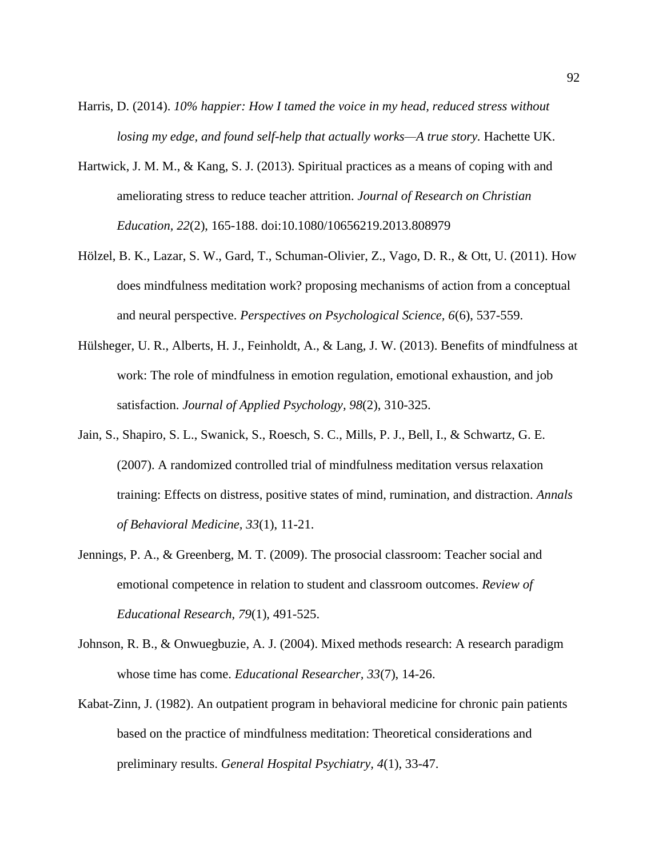- Harris, D. (2014). *10% happier: How I tamed the voice in my head, reduced stress without losing my edge, and found self-help that actually works—A true story.* Hachette UK.
- Hartwick, J. M. M., & Kang, S. J. (2013). Spiritual practices as a means of coping with and ameliorating stress to reduce teacher attrition. *Journal of Research on Christian Education, 22*(2), 165-188. doi:10.1080/10656219.2013.808979
- Hölzel, B. K., Lazar, S. W., Gard, T., Schuman-Olivier, Z., Vago, D. R., & Ott, U. (2011). How does mindfulness meditation work? proposing mechanisms of action from a conceptual and neural perspective. *Perspectives on Psychological Science, 6*(6), 537-559.
- Hülsheger, U. R., Alberts, H. J., Feinholdt, A., & Lang, J. W. (2013). Benefits of mindfulness at work: The role of mindfulness in emotion regulation, emotional exhaustion, and job satisfaction. *Journal of Applied Psychology, 98*(2), 310-325.
- Jain, S., Shapiro, S. L., Swanick, S., Roesch, S. C., Mills, P. J., Bell, I., & Schwartz, G. E. (2007). A randomized controlled trial of mindfulness meditation versus relaxation training: Effects on distress, positive states of mind, rumination, and distraction. *Annals of Behavioral Medicine, 33*(1), 11-21.
- Jennings, P. A., & Greenberg, M. T. (2009). The prosocial classroom: Teacher social and emotional competence in relation to student and classroom outcomes. *Review of Educational Research, 79*(1), 491-525.
- Johnson, R. B., & Onwuegbuzie, A. J. (2004). Mixed methods research: A research paradigm whose time has come. *Educational Researcher, 33*(7), 14-26.
- Kabat-Zinn, J. (1982). An outpatient program in behavioral medicine for chronic pain patients based on the practice of mindfulness meditation: Theoretical considerations and preliminary results. *General Hospital Psychiatry, 4*(1), 33-47.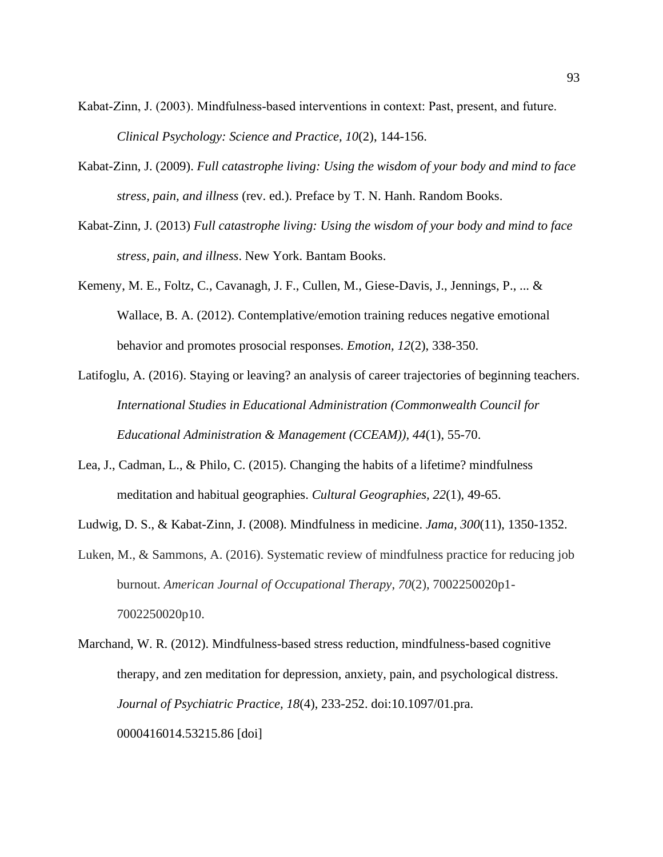- Kabat-Zinn, J. (2003). Mindfulness-based interventions in context: Past, present, and future. *Clinical Psychology: Science and Practice, 10*(2), 144-156.
- Kabat-Zinn, J. (2009). *Full catastrophe living: Using the wisdom of your body and mind to face stress, pain, and illness* (rev. ed.). Preface by T. N. Hanh. Random Books.
- Kabat-Zinn, J. (2013) *Full catastrophe living: Using the wisdom of your body and mind to face stress, pain, and illness*. New York. Bantam Books.
- Kemeny, M. E., Foltz, C., Cavanagh, J. F., Cullen, M., Giese-Davis, J., Jennings, P., ... & Wallace, B. A. (2012). Contemplative/emotion training reduces negative emotional behavior and promotes prosocial responses. *Emotion, 12*(2), 338-350.
- Latifoglu, A. (2016). Staying or leaving? an analysis of career trajectories of beginning teachers. *International Studies in Educational Administration (Commonwealth Council for Educational Administration & Management (CCEAM)), 44*(1), 55-70.
- Lea, J., Cadman, L., & Philo, C. (2015). Changing the habits of a lifetime? mindfulness meditation and habitual geographies. *Cultural Geographies, 22*(1), 49-65.
- Ludwig, D. S., & Kabat-Zinn, J. (2008). Mindfulness in medicine. *Jama, 300*(11), 1350-1352.
- Luken, M., & Sammons, A. (2016). Systematic review of mindfulness practice for reducing job burnout. *American Journal of Occupational Therapy*, *70*(2), 7002250020p1- 7002250020p10.
- Marchand, W. R. (2012). Mindfulness-based stress reduction, mindfulness-based cognitive therapy, and zen meditation for depression, anxiety, pain, and psychological distress. *Journal of Psychiatric Practice, 18*(4), 233-252. doi:10.1097/01.pra. 0000416014.53215.86 [doi]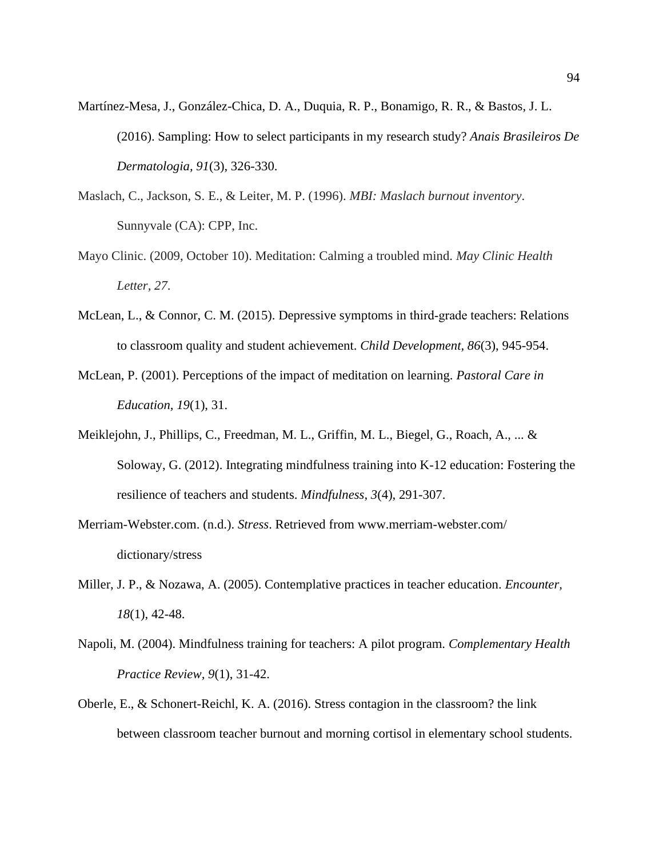- Martínez-Mesa, J., González-Chica, D. A., Duquia, R. P., Bonamigo, R. R., & Bastos, J. L. (2016). Sampling: How to select participants in my research study? *Anais Brasileiros De Dermatologia, 91*(3), 326-330.
- Maslach, C., Jackson, S. E., & Leiter, M. P. (1996). *MBI: Maslach burnout inventory*. Sunnyvale (CA): CPP, Inc.
- Mayo Clinic. (2009, October 10). Meditation: Calming a troubled mind. *May Clinic Health Letter, 27*.
- McLean, L., & Connor, C. M. (2015). Depressive symptoms in third-grade teachers: Relations to classroom quality and student achievement. *Child Development, 86*(3), 945-954.
- McLean, P. (2001). Perceptions of the impact of meditation on learning. *Pastoral Care in Education, 19*(1), 31.
- Meiklejohn, J., Phillips, C., Freedman, M. L., Griffin, M. L., Biegel, G., Roach, A., ... & Soloway, G. (2012). Integrating mindfulness training into K-12 education: Fostering the resilience of teachers and students. *Mindfulness, 3*(4), 291-307.
- Merriam-Webster.com. (n.d.). *Stress*. Retrieved from [www.merriam-webster.com/](http://www.merriam-webster.com/%20dictionary/stress)  [dictionary/stress](http://www.merriam-webster.com/%20dictionary/stress)
- Miller, J. P., & Nozawa, A. (2005). Contemplative practices in teacher education. *Encounter, 18*(1), 42-48.
- Napoli, M. (2004). Mindfulness training for teachers: A pilot program. *Complementary Health Practice Review, 9*(1), 31-42.
- Oberle, E., & Schonert-Reichl, K. A. (2016). Stress contagion in the classroom? the link between classroom teacher burnout and morning cortisol in elementary school students.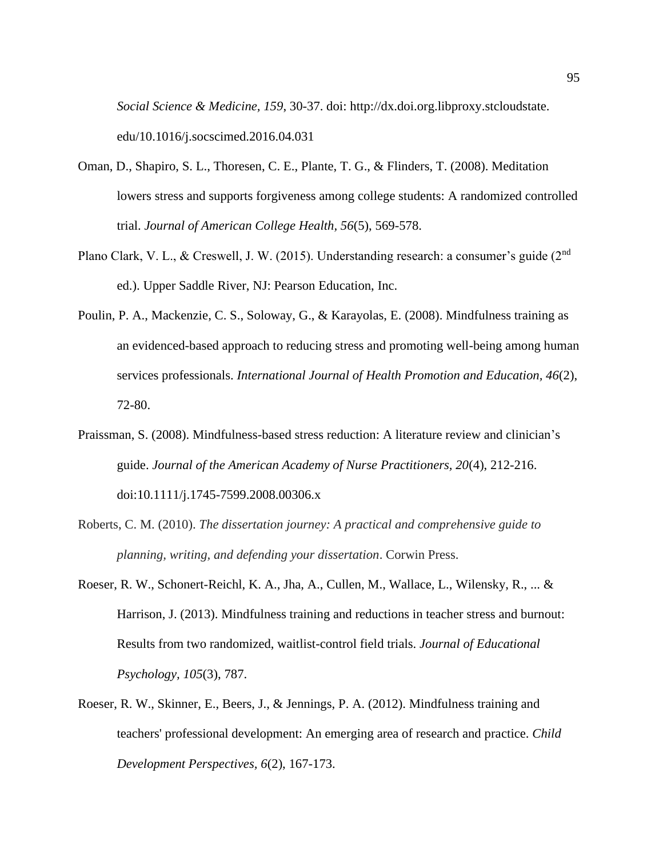*Social Science & Medicine, 159*, 30-37. doi: http://dx.doi.org.libproxy.stcloudstate. edu/10.1016/j.socscimed.2016.04.031

- Oman, D., Shapiro, S. L., Thoresen, C. E., Plante, T. G., & Flinders, T. (2008). Meditation lowers stress and supports forgiveness among college students: A randomized controlled trial. *Journal of American College Health, 56*(5), 569-578.
- Plano Clark, V. L., & Creswell, J. W. (2015). Understanding research: a consumer's guide (2<sup>nd</sup>) ed.). Upper Saddle River, NJ: Pearson Education, Inc.
- Poulin, P. A., Mackenzie, C. S., Soloway, G., & Karayolas, E. (2008). Mindfulness training as an evidenced-based approach to reducing stress and promoting well-being among human services professionals. *International Journal of Health Promotion and Education, 46*(2), 72-80.
- Praissman, S. (2008). Mindfulness-based stress reduction: A literature review and clinician's guide. *Journal of the American Academy of Nurse Practitioners, 20*(4), 212-216. doi:10.1111/j.1745-7599.2008.00306.x
- Roberts, C. M. (2010). *The dissertation journey: A practical and comprehensive guide to planning, writing, and defending your dissertation*. Corwin Press.
- Roeser, R. W., Schonert-Reichl, K. A., Jha, A., Cullen, M., Wallace, L., Wilensky, R., ... & Harrison, J. (2013). Mindfulness training and reductions in teacher stress and burnout: Results from two randomized, waitlist-control field trials. *Journal of Educational Psychology, 105*(3), 787.
- Roeser, R. W., Skinner, E., Beers, J., & Jennings, P. A. (2012). Mindfulness training and teachers' professional development: An emerging area of research and practice. *Child Development Perspectives, 6*(2), 167-173.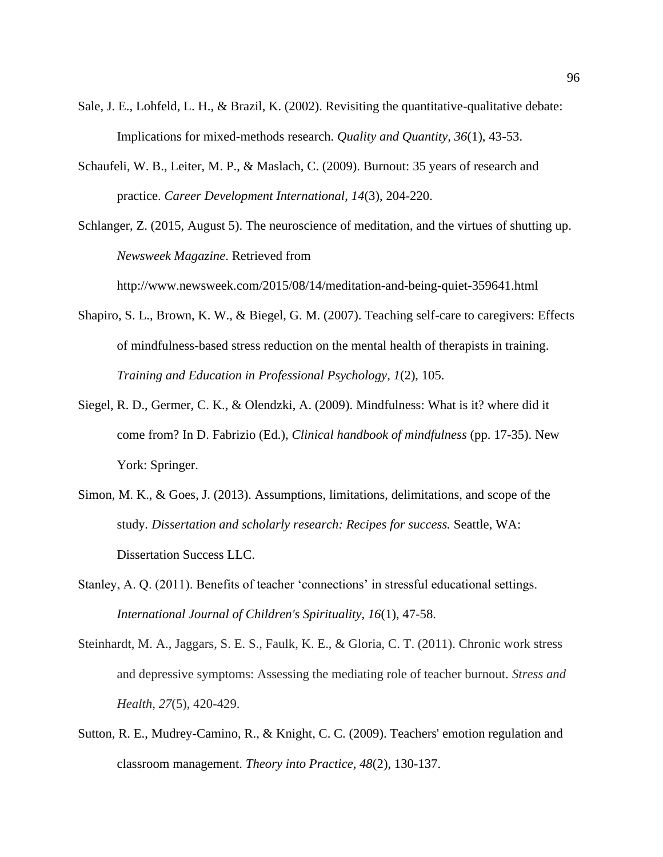- Sale, J. E., Lohfeld, L. H., & Brazil, K. (2002). Revisiting the quantitative-qualitative debate: Implications for mixed-methods research. *Quality and Quantity, 36*(1), 43-53.
- Schaufeli, W. B., Leiter, M. P., & Maslach, C. (2009). Burnout: 35 years of research and practice. *Career Development International, 14*(3), 204-220.

Schlanger, Z. (2015, August 5). The neuroscience of meditation, and the virtues of shutting up. *Newsweek Magazine*. Retrieved fro[m](http://www.newsweek.com/2015/08/14/meditation-and-being-quiet-359641.html) <http://www.newsweek.com/2015/08/14/meditation-and-being-quiet-359641.html>

- Shapiro, S. L., Brown, K. W., & Biegel, G. M. (2007). Teaching self-care to caregivers: Effects of mindfulness-based stress reduction on the mental health of therapists in training. *Training and Education in Professional Psychology, 1*(2), 105.
- Siegel, R. D., Germer, C. K., & Olendzki, A. (2009). Mindfulness: What is it? where did it come from? In D. Fabrizio (Ed.), *Clinical handbook of mindfulness* (pp. 17-35). New York: Springer.
- Simon, M. K., & Goes, J. (2013). Assumptions, limitations, delimitations, and scope of the study*. Dissertation and scholarly research: Recipes for success.* Seattle, WA: Dissertation Success LLC.
- Stanley, A. Q. (2011). Benefits of teacher 'connections' in stressful educational settings. *International Journal of Children's Spirituality, 16*(1), 47-58.
- Steinhardt, M. A., Jaggars, S. E. S., Faulk, K. E., & Gloria, C. T. (2011). Chronic work stress and depressive symptoms: Assessing the mediating role of teacher burnout. *Stress and Health*, *27*(5), 420-429.
- Sutton, R. E., Mudrey-Camino, R., & Knight, C. C. (2009). Teachers' emotion regulation and classroom management. *Theory into Practice, 48*(2), 130-137.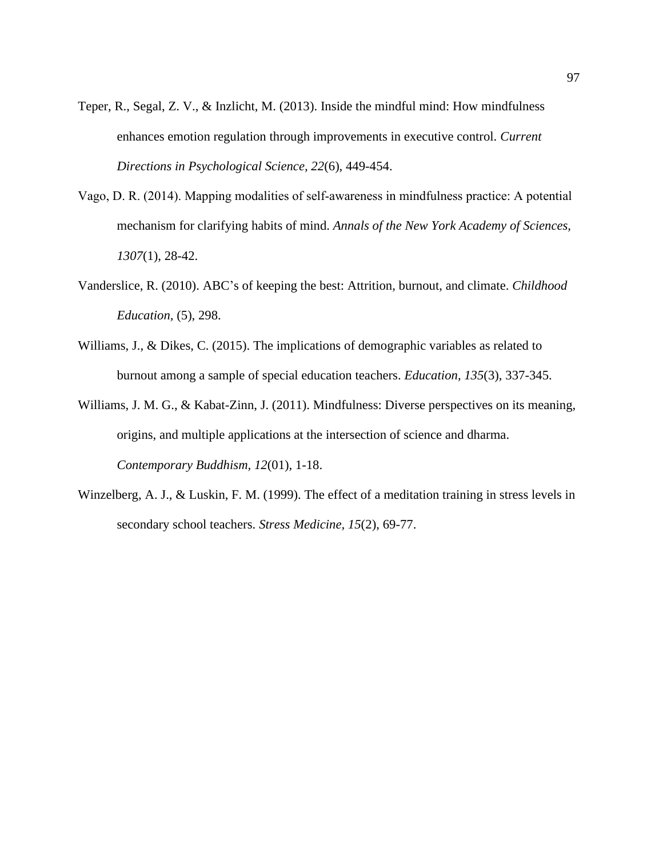- Teper, R., Segal, Z. V., & Inzlicht, M. (2013). Inside the mindful mind: How mindfulness enhances emotion regulation through improvements in executive control. *Current Directions in Psychological Science, 22*(6), 449-454.
- Vago, D. R. (2014). Mapping modalities of self‐awareness in mindfulness practice: A potential mechanism for clarifying habits of mind. *Annals of the New York Academy of Sciences, 1307*(1), 28-42.
- Vanderslice, R. (2010). ABC's of keeping the best: Attrition, burnout, and climate. *Childhood Education,* (5), 298.
- Williams, J., & Dikes, C. (2015). The implications of demographic variables as related to burnout among a sample of special education teachers. *Education, 135*(3), 337-345.
- Williams, J. M. G., & Kabat-Zinn, J. (2011). Mindfulness: Diverse perspectives on its meaning, origins, and multiple applications at the intersection of science and dharma. *Contemporary Buddhism, 12*(01), 1-18.
- Winzelberg, A. J., & Luskin, F. M. (1999). The effect of a meditation training in stress levels in secondary school teachers. *Stress Medicine, 15*(2), 69-77.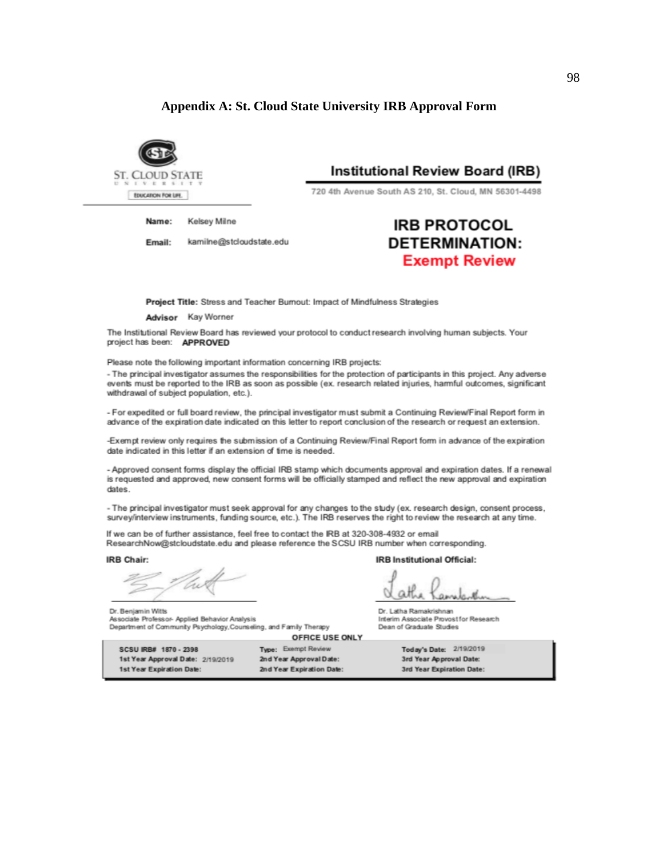#### **Appendix A: St. Cloud State University IRB Approval Form**



Kelsey Milne Name:

Email: kamilne@stcloudstate.edu **Institutional Review Board (IRB)** 

720 4th Avenue South AS 210, St. Cloud, MN 56301-4498

# **IRB PROTOCOL DETERMINATION: Exempt Review**

Project Title: Stress and Teacher Bumout: Impact of Mindfulness Strategies

Advisor Kay Worner

The Institutional Review Board has reviewed your protocol to conduct research involving human subjects. Your project has been: APPROVED

Please note the following important information concerning IRB projects:

- The principal investigator assumes the responsibilities for the protection of participants in this project. Any adverse events must be reported to the IRB as soon as possible (ex. research related injuries, harmful outcomes, significant withdrawal of subject population, etc.).

- For expedited or full board review, the principal investigator must submit a Continuing Review/Final Report form in advance of the expiration date indicated on this letter to report conclusion of the research or request an extension.

-Exempt review only requires the submission of a Continuing Review/Final Report form in advance of the expiration date indicated in this letter if an extension of time is needed.

- Approved consent forms display the official IRB stamp which documents approval and expiration dates. If a renewal is requested and approved, new consent forms will be officially stamped and reflect the new approval and expiration dates.

- The principal investigator must seek approval for any changes to the study (ex. research design, consent process, survey/interview instruments, funding source, etc.). The IRB reserves the right to review the research at any time.

If we can be of further assistance, feel free to contact the IRB at 320-308-4932 or email ResearchNow@stcloudstate.edu and please reference the SCSU IRB number when corresponding.

IRB Chair:

**IRB Institutional Official:** 

athe Dr. Latha Ramakrishnan

Dr. Benjamin Witts Associate Professor- Applied Behavior Analysis Interim Associate Provostfor Research Department of Community Psychology, Counseling, and Family Therapy Dean of Graduate Studies

OFFICE USE ONLY

SCSU IRB# 1870 - 2398 1st Year Approval Date: 2/19/2019 1st Year Expiration Date:

Type: Exempt Review 2nd Year Approval Date: 2nd Year Expiration Date:

Today's Date: 2/19/2019 3rd Year Approval Date: 3rd Year Expiration Date: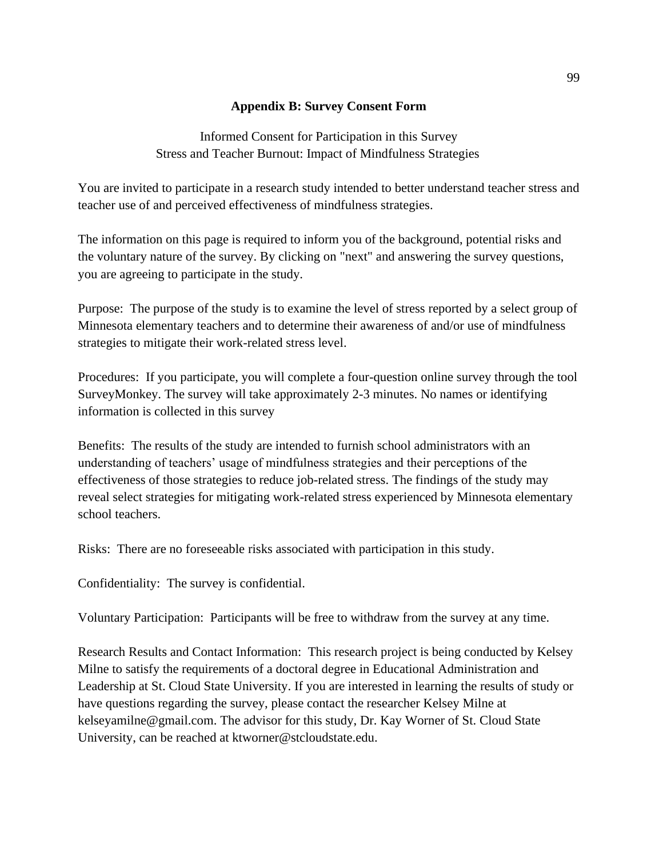### **Appendix B: Survey Consent Form**

Informed Consent for Participation in this Survey Stress and Teacher Burnout: Impact of Mindfulness Strategies

You are invited to participate in a research study intended to better understand teacher stress and teacher use of and perceived effectiveness of mindfulness strategies.

The information on this page is required to inform you of the background, potential risks and the voluntary nature of the survey. By clicking on "next" and answering the survey questions, you are agreeing to participate in the study.

Purpose: The purpose of the study is to examine the level of stress reported by a select group of Minnesota elementary teachers and to determine their awareness of and/or use of mindfulness strategies to mitigate their work-related stress level.

Procedures: If you participate, you will complete a four-question online survey through the tool SurveyMonkey. The survey will take approximately 2-3 minutes. No names or identifying information is collected in this survey

Benefits: The results of the study are intended to furnish school administrators with an understanding of teachers' usage of mindfulness strategies and their perceptions of the effectiveness of those strategies to reduce job-related stress. The findings of the study may reveal select strategies for mitigating work-related stress experienced by Minnesota elementary school teachers.

Risks: There are no foreseeable risks associated with participation in this study.

Confidentiality: The survey is confidential.

Voluntary Participation: Participants will be free to withdraw from the survey at any time.

Research Results and Contact Information: This research project is being conducted by Kelsey Milne to satisfy the requirements of a doctoral degree in Educational Administration and Leadership at St. Cloud State University. If you are interested in learning the results of study or have questions regarding the survey, please contact the researcher Kelsey Milne at kelseyamilne@gmail.com. The advisor for this study, Dr. Kay Worner of St. Cloud State University, can be reached at ktworner@stcloudstate.edu.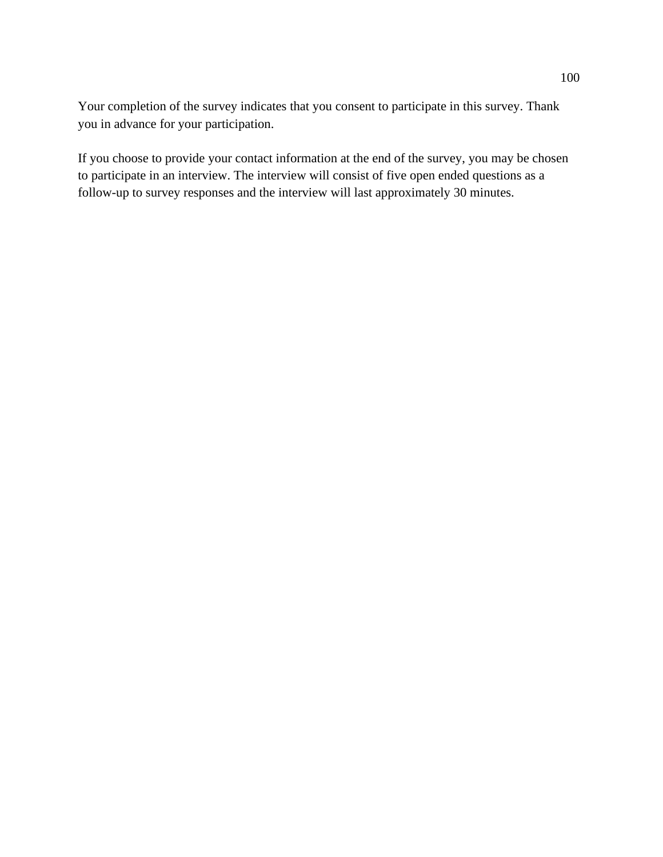Your completion of the survey indicates that you consent to participate in this survey. Thank you in advance for your participation.

If you choose to provide your contact information at the end of the survey, you may be chosen to participate in an interview. The interview will consist of five open ended questions as a follow-up to survey responses and the interview will last approximately 30 minutes.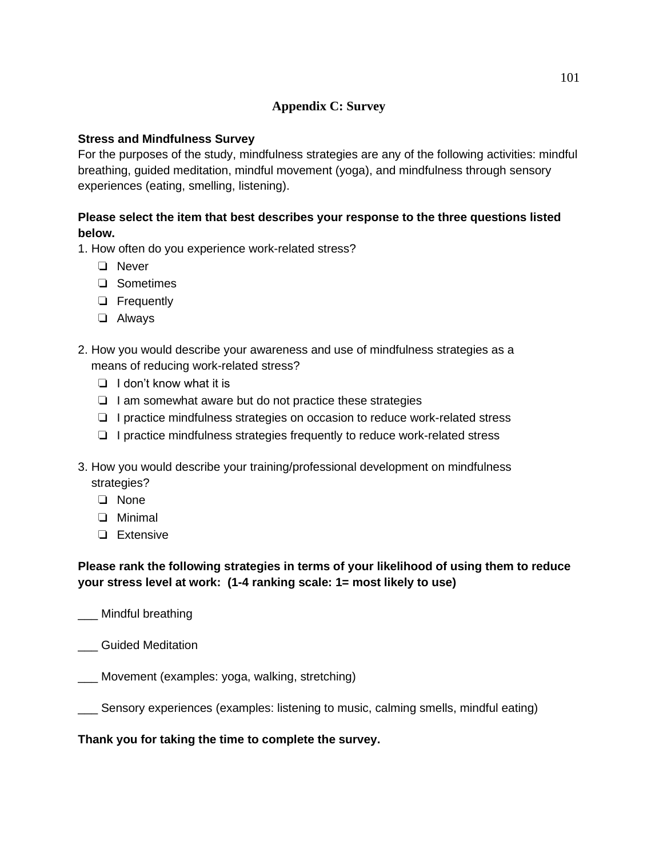## **Appendix C: Survey**

### **Stress and Mindfulness Survey**

For the purposes of the study, mindfulness strategies are any of the following activities: mindful breathing, guided meditation, mindful movement (yoga), and mindfulness through sensory experiences (eating, smelling, listening).

### **Please select the item that best describes your response to the three questions listed below.**

1. How often do you experience work-related stress?

- ❏ Never
- ❏ Sometimes
- ❏ Frequently
- ❏ Always
- 2. How you would describe your awareness and use of mindfulness strategies as a means of reducing work-related stress?
	- ❏ I don't know what it is
	- ❏ I am somewhat aware but do not practice these strategies
	- ❏ I practice mindfulness strategies on occasion to reduce work-related stress
	- ❏ I practice mindfulness strategies frequently to reduce work-related stress
- 3. How you would describe your training/professional development on mindfulness strategies?
	- ❏ None
	- ❏ Minimal
	- ❏ Extensive

### **Please rank the following strategies in terms of your likelihood of using them to reduce your stress level at work: (1-4 ranking scale: 1= most likely to use)**

- \_\_\_ Mindful breathing
- \_\_\_ Guided Meditation

\_\_\_ Movement (examples: yoga, walking, stretching)

\_\_\_ Sensory experiences (examples: listening to music, calming smells, mindful eating)

# **Thank you for taking the time to complete the survey.**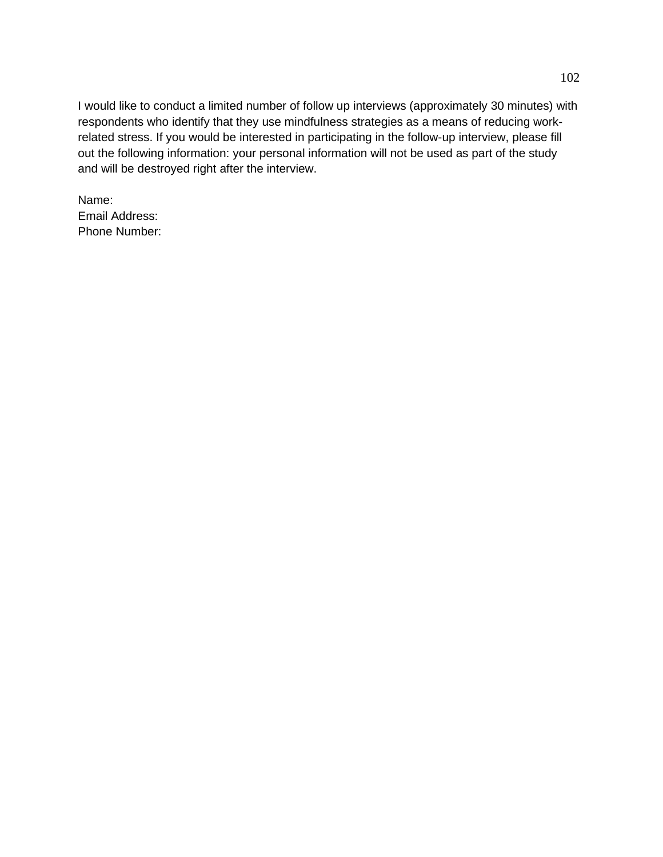I would like to conduct a limited number of follow up interviews (approximately 30 minutes) with respondents who identify that they use mindfulness strategies as a means of reducing workrelated stress. If you would be interested in participating in the follow-up interview, please fill out the following information: your personal information will not be used as part of the study and will be destroyed right after the interview.

Name: Email Address: Phone Number: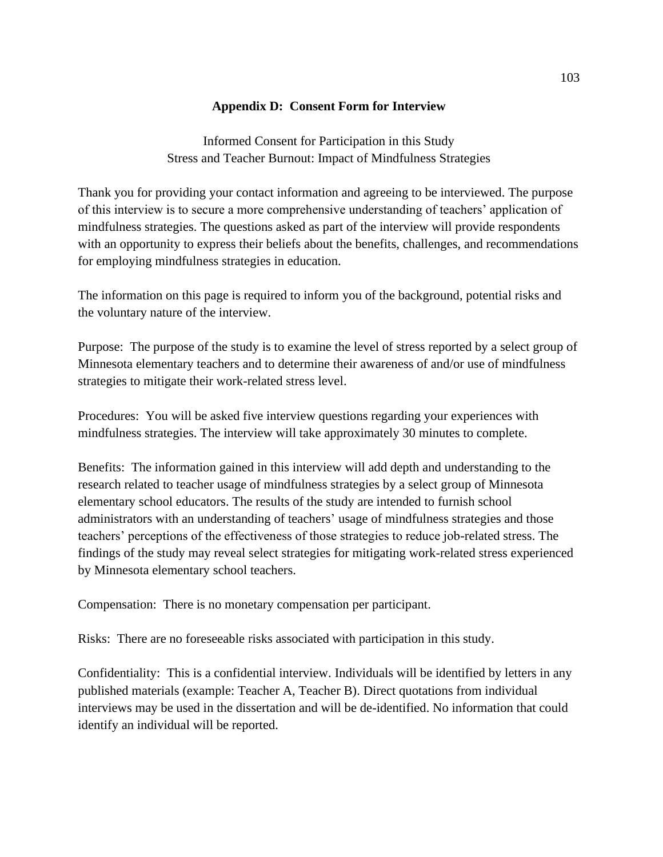### **Appendix D: Consent Form for Interview**

Informed Consent for Participation in this Study Stress and Teacher Burnout: Impact of Mindfulness Strategies

Thank you for providing your contact information and agreeing to be interviewed. The purpose of this interview is to secure a more comprehensive understanding of teachers' application of mindfulness strategies. The questions asked as part of the interview will provide respondents with an opportunity to express their beliefs about the benefits, challenges, and recommendations for employing mindfulness strategies in education.

The information on this page is required to inform you of the background, potential risks and the voluntary nature of the interview.

Purpose: The purpose of the study is to examine the level of stress reported by a select group of Minnesota elementary teachers and to determine their awareness of and/or use of mindfulness strategies to mitigate their work-related stress level.

Procedures: You will be asked five interview questions regarding your experiences with mindfulness strategies. The interview will take approximately 30 minutes to complete.

Benefits: The information gained in this interview will add depth and understanding to the research related to teacher usage of mindfulness strategies by a select group of Minnesota elementary school educators. The results of the study are intended to furnish school administrators with an understanding of teachers' usage of mindfulness strategies and those teachers' perceptions of the effectiveness of those strategies to reduce job-related stress. The findings of the study may reveal select strategies for mitigating work-related stress experienced by Minnesota elementary school teachers.

Compensation: There is no monetary compensation per participant.

Risks: There are no foreseeable risks associated with participation in this study.

Confidentiality: This is a confidential interview. Individuals will be identified by letters in any published materials (example: Teacher A, Teacher B). Direct quotations from individual interviews may be used in the dissertation and will be de-identified. No information that could identify an individual will be reported.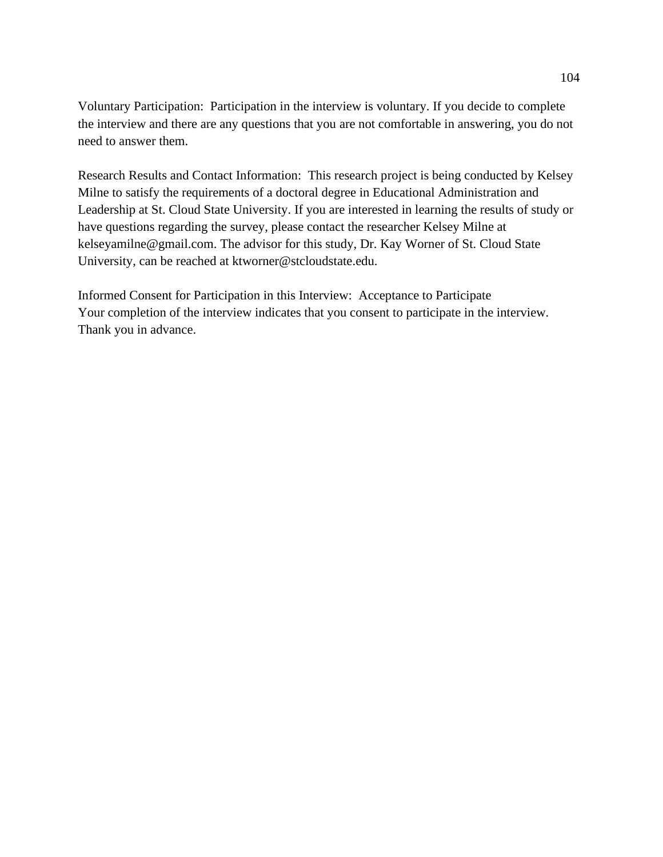Voluntary Participation: Participation in the interview is voluntary. If you decide to complete the interview and there are any questions that you are not comfortable in answering, you do not need to answer them.

Research Results and Contact Information: This research project is being conducted by Kelsey Milne to satisfy the requirements of a doctoral degree in Educational Administration and Leadership at St. Cloud State University. If you are interested in learning the results of study or have questions regarding the survey, please contact the researcher Kelsey Milne at kelseyamilne@gmail.com. The advisor for this study, Dr. Kay Worner of St. Cloud State University, can be reached at ktworner@stcloudstate.edu.

Informed Consent for Participation in this Interview: Acceptance to Participate Your completion of the interview indicates that you consent to participate in the interview. Thank you in advance.